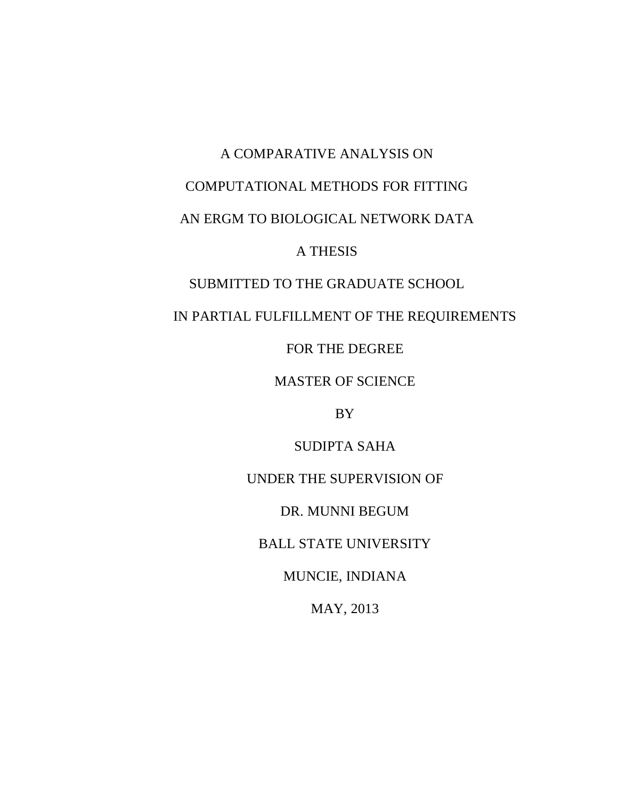# A COMPARATIVE ANALYSIS ON COMPUTATIONAL METHODS FOR FITTING AN ERGM TO BIOLOGICAL NETWORK DATA A THESIS SUBMITTED TO THE GRADUATE SCHOOL

IN PARTIAL FULFILLMENT OF THE REQUIREMENTS

FOR THE DEGREE

MASTER OF SCIENCE

BY

SUDIPTA SAHA

UNDER THE SUPERVISION OF

DR. MUNNI BEGUM

BALL STATE UNIVERSITY

MUNCIE, INDIANA

MAY, 2013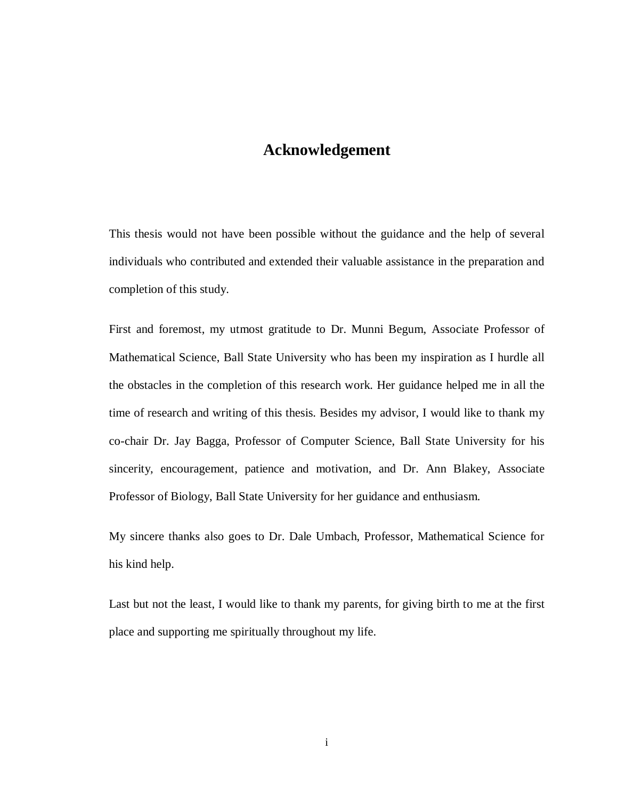# **Acknowledgement**

This thesis would not have been possible without the guidance and the help of several individuals who contributed and extended their valuable assistance in the preparation and completion of this study.

First and foremost, my utmost gratitude to Dr. Munni Begum, Associate Professor of Mathematical Science, Ball State University who has been my inspiration as I hurdle all the obstacles in the completion of this research work. Her guidance helped me in all the time of research and writing of this thesis. Besides my advisor, I would like to thank my co-chair Dr. Jay Bagga, Professor of Computer Science, Ball State University for his sincerity, encouragement, patience and motivation, and Dr. Ann Blakey, Associate Professor of Biology, Ball State University for her guidance and enthusiasm.

My sincere thanks also goes to Dr. Dale Umbach, Professor, Mathematical Science for his kind help.

Last but not the least, I would like to thank my parents, for giving birth to me at the first place and supporting me spiritually throughout my life.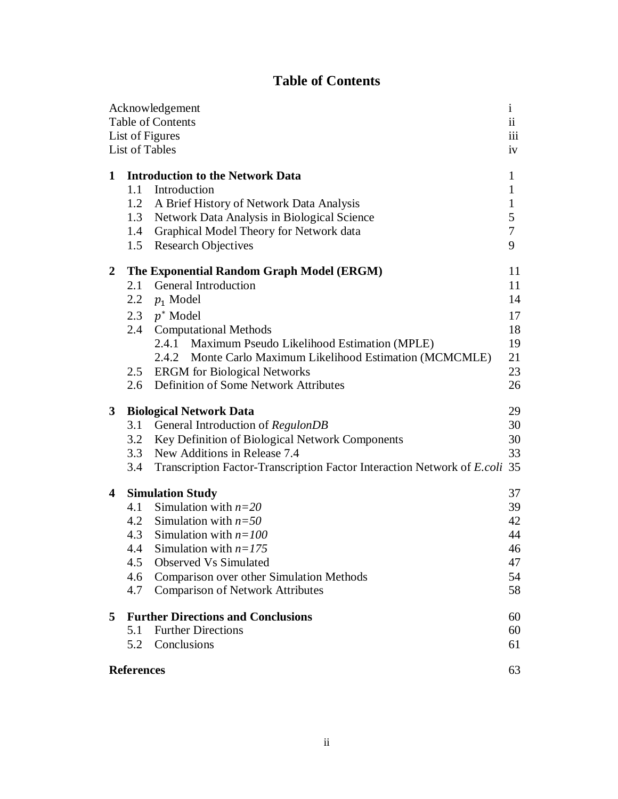# **Table of Contents**

|                   |                                                 | Acknowledgement                                                            | $\mathbf{1}$ |  |  |
|-------------------|-------------------------------------------------|----------------------------------------------------------------------------|--------------|--|--|
| Table of Contents |                                                 |                                                                            |              |  |  |
| List of Figures   |                                                 |                                                                            |              |  |  |
|                   |                                                 | List of Tables                                                             | iv           |  |  |
| 1                 |                                                 | <b>Introduction to the Network Data</b>                                    | 1            |  |  |
|                   | 1.1                                             | Introduction                                                               | 1            |  |  |
|                   | 1.2                                             | A Brief History of Network Data Analysis                                   | $\mathbf{1}$ |  |  |
|                   | 1.3                                             | Network Data Analysis in Biological Science                                | 5            |  |  |
|                   | 1.4                                             | Graphical Model Theory for Network data                                    | $\tau$       |  |  |
|                   | 1.5                                             | <b>Research Objectives</b>                                                 | 9            |  |  |
| $\boldsymbol{2}$  | The Exponential Random Graph Model (ERGM)<br>11 |                                                                            |              |  |  |
|                   | 2.1                                             | <b>General Introduction</b>                                                | 11           |  |  |
|                   | $2.2\phantom{0}$                                | $p_1$ Model                                                                | 14           |  |  |
|                   | 2.3                                             | $p^*$ Model                                                                | 17           |  |  |
|                   | 2.4                                             | <b>Computational Methods</b>                                               | 18           |  |  |
|                   |                                                 | 2.4.1 Maximum Pseudo Likelihood Estimation (MPLE)                          | 19           |  |  |
|                   |                                                 | 2.4.2 Monte Carlo Maximum Likelihood Estimation (MCMCMLE)                  | 21           |  |  |
|                   | $2.5\,$                                         | <b>ERGM</b> for Biological Networks                                        | 23           |  |  |
|                   | 2.6                                             | Definition of Some Network Attributes                                      | 26           |  |  |
| 3                 | 29<br><b>Biological Network Data</b>            |                                                                            |              |  |  |
|                   | 3.1                                             | General Introduction of RegulonDB                                          | 30           |  |  |
|                   |                                                 | 3.2 Key Definition of Biological Network Components                        | 30           |  |  |
|                   | 3.3                                             | New Additions in Release 7.4                                               | 33           |  |  |
|                   | 3.4                                             | Transcription Factor-Transcription Factor Interaction Network of E.coli 35 |              |  |  |
| 4                 | <b>Simulation Study</b><br>37                   |                                                                            |              |  |  |
|                   |                                                 | 4.1 Simulation with $n=20$                                                 | 39           |  |  |
|                   |                                                 | 4.2 Simulation with $n=50$                                                 | 42           |  |  |
|                   |                                                 | 4.3 Simulation with $n=100$                                                | 44           |  |  |
|                   | 4.4                                             | Simulation with $n=175$                                                    | 46           |  |  |
|                   | 4.5                                             | <b>Observed Vs Simulated</b>                                               | 47           |  |  |
|                   | 4.6                                             | Comparison over other Simulation Methods                                   | 54           |  |  |
|                   | 4.7                                             | <b>Comparison of Network Attributes</b>                                    | 58           |  |  |
| 5                 | <b>Further Directions and Conclusions</b><br>60 |                                                                            |              |  |  |
|                   | 5.1                                             | <b>Further Directions</b>                                                  | 60           |  |  |
|                   | 5.2                                             | Conclusions                                                                | 61           |  |  |
|                   | <b>References</b>                               |                                                                            |              |  |  |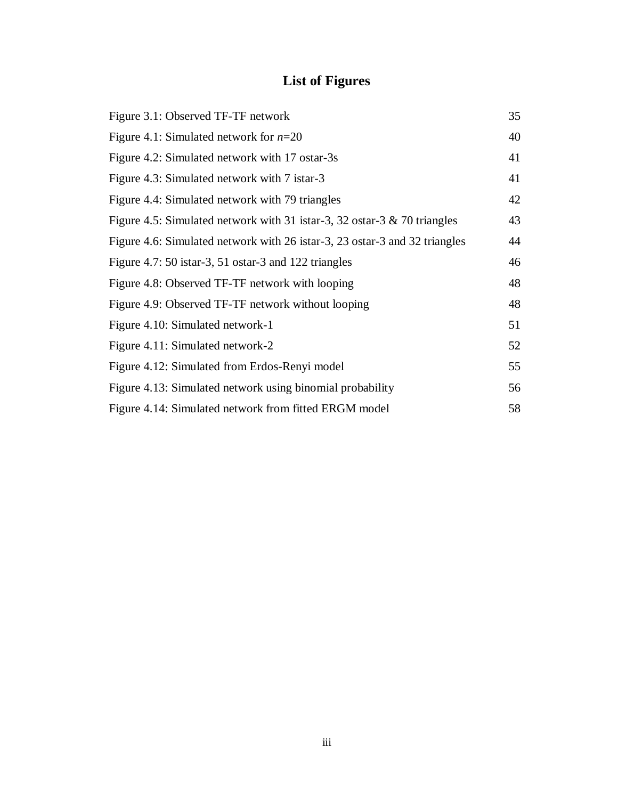# **List of Figures**

| Figure 3.1: Observed TF-TF network                                          | 35 |
|-----------------------------------------------------------------------------|----|
| Figure 4.1: Simulated network for $n=20$                                    | 40 |
| Figure 4.2: Simulated network with 17 ostar-3s                              | 41 |
| Figure 4.3: Simulated network with 7 istar-3                                | 41 |
| Figure 4.4: Simulated network with 79 triangles                             | 42 |
| Figure 4.5: Simulated network with 31 istar-3, 32 ostar-3 $\&$ 70 triangles | 43 |
| Figure 4.6: Simulated network with 26 istar-3, 23 ostar-3 and 32 triangles  | 44 |
| Figure 4.7: 50 istar-3, 51 ostar-3 and 122 triangles                        | 46 |
| Figure 4.8: Observed TF-TF network with looping                             | 48 |
| Figure 4.9: Observed TF-TF network without looping                          | 48 |
| Figure 4.10: Simulated network-1                                            | 51 |
| Figure 4.11: Simulated network-2                                            | 52 |
| Figure 4.12: Simulated from Erdos-Renyi model                               | 55 |
| Figure 4.13: Simulated network using binomial probability                   | 56 |
| Figure 4.14: Simulated network from fitted ERGM model                       | 58 |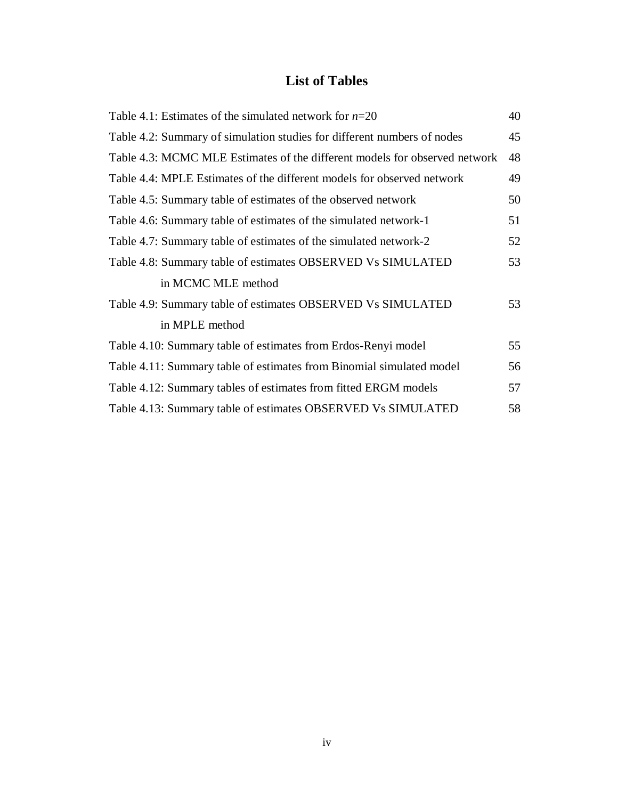# **List of Tables**

| Table 4.1: Estimates of the simulated network for $n=20$                   | 40 |  |
|----------------------------------------------------------------------------|----|--|
| Table 4.2: Summary of simulation studies for different numbers of nodes    | 45 |  |
| Table 4.3: MCMC MLE Estimates of the different models for observed network | 48 |  |
| Table 4.4: MPLE Estimates of the different models for observed network     | 49 |  |
| Table 4.5: Summary table of estimates of the observed network              | 50 |  |
| Table 4.6: Summary table of estimates of the simulated network-1           | 51 |  |
| Table 4.7: Summary table of estimates of the simulated network-2           | 52 |  |
| Table 4.8: Summary table of estimates OBSERVED Vs SIMULATED                | 53 |  |
| in MCMC MLE method                                                         |    |  |
| Table 4.9: Summary table of estimates OBSERVED Vs SIMULATED                | 53 |  |
| in MPLE method                                                             |    |  |
| Table 4.10: Summary table of estimates from Erdos-Renyi model              | 55 |  |
| Table 4.11: Summary table of estimates from Binomial simulated model       | 56 |  |
| Table 4.12: Summary tables of estimates from fitted ERGM models            | 57 |  |
| Table 4.13: Summary table of estimates OBSERVED Vs SIMULATED               |    |  |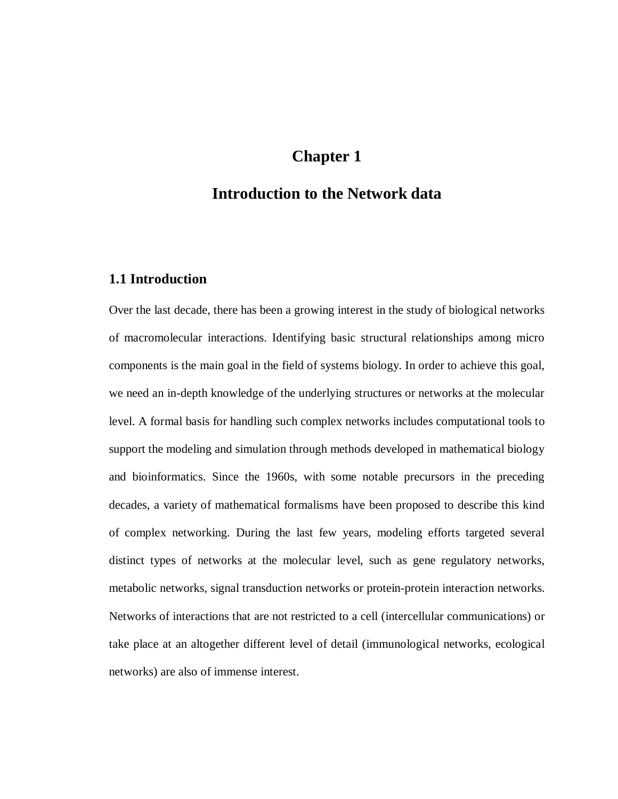# **Chapter 1**

# **Introduction to the Network data**

## **1.1 Introduction**

Over the last decade, there has been a growing interest in the study of biological networks of macromolecular interactions. Identifying basic structural relationships among micro components is the main goal in the field of systems biology. In order to achieve this goal, we need an in-depth knowledge of the underlying structures or networks at the molecular level. A formal basis for handling such complex networks includes computational tools to support the modeling and simulation through methods developed in mathematical biology and bioinformatics. Since the 1960s, with some notable precursors in the preceding decades, a variety of mathematical formalisms have been proposed to describe this kind of complex networking. During the last few years, modeling efforts targeted several distinct types of networks at the molecular level, such as gene regulatory networks, metabolic networks, signal transduction networks or protein-protein interaction networks. Networks of interactions that are not restricted to a cell (intercellular communications) or take place at an altogether different level of detail (immunological networks, ecological networks) are also of immense interest.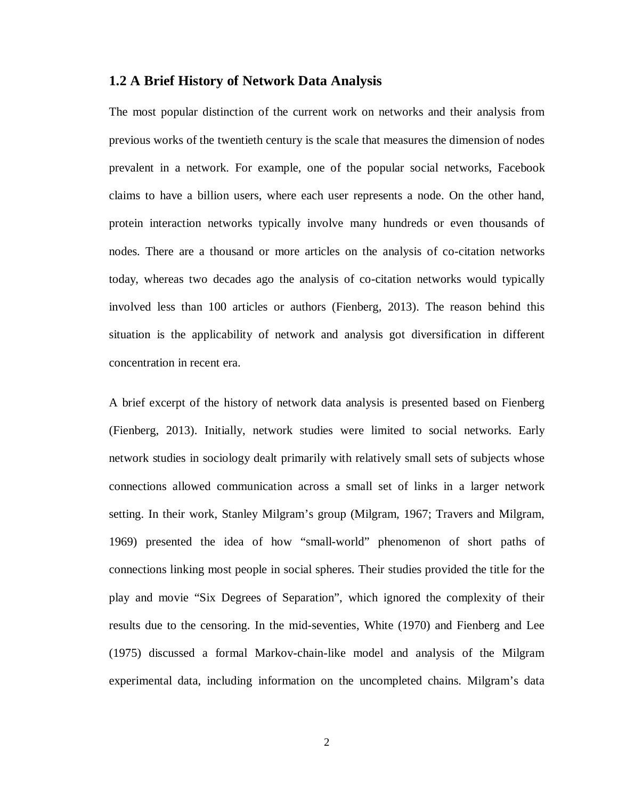#### **1.2 A Brief History of Network Data Analysis**

The most popular distinction of the current work on networks and their analysis from previous works of the twentieth century is the scale that measures the dimension of nodes prevalent in a network. For example, one of the popular social networks, Facebook claims to have a billion users, where each user represents a node. On the other hand, protein interaction networks typically involve many hundreds or even thousands of nodes. There are a thousand or more articles on the analysis of co-citation networks today, whereas two decades ago the analysis of co-citation networks would typically involved less than 100 articles or authors (Fienberg, 2013). The reason behind this situation is the applicability of network and analysis got diversification in different concentration in recent era.

A brief excerpt of the history of network data analysis is presented based on Fienberg (Fienberg, 2013). Initially, network studies were limited to social networks. Early network studies in sociology dealt primarily with relatively small sets of subjects whose connections allowed communication across a small set of links in a larger network setting. In their work, Stanley Milgram's group (Milgram, 1967; Travers and Milgram, 1969) presented the idea of how "small-world" phenomenon of short paths of connections linking most people in social spheres. Their studies provided the title for the play and movie "Six Degrees of Separation", which ignored the complexity of their results due to the censoring. In the mid-seventies, White (1970) and Fienberg and Lee (1975) discussed a formal Markov-chain-like model and analysis of the Milgram experimental data, including information on the uncompleted chains. Milgram's data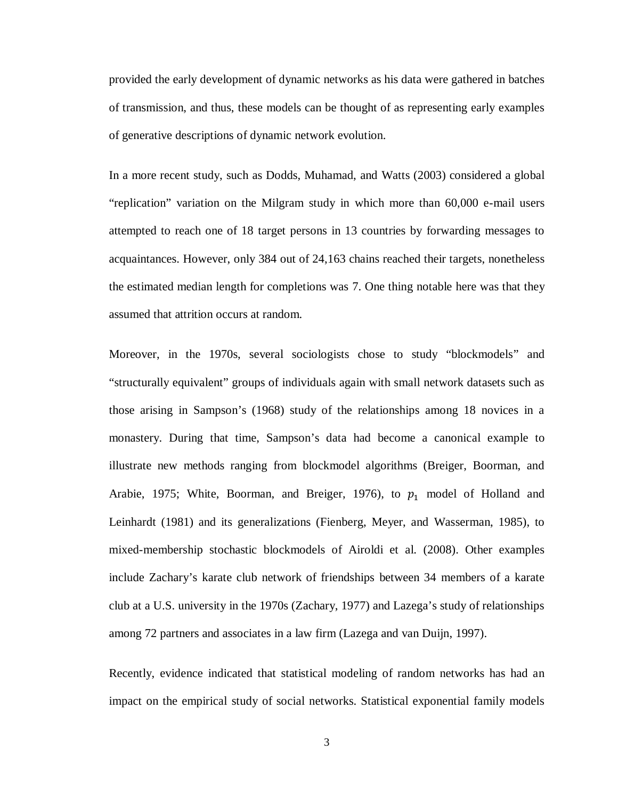provided the early development of dynamic networks as his data were gathered in batches of transmission, and thus, these models can be thought of as representing early examples of generative descriptions of dynamic network evolution.

In a more recent study, such as Dodds, Muhamad, and Watts (2003) considered a global "replication" variation on the Milgram study in which more than 60,000 e-mail users attempted to reach one of 18 target persons in 13 countries by forwarding messages to acquaintances. However, only 384 out of 24,163 chains reached their targets, nonetheless the estimated median length for completions was 7. One thing notable here was that they assumed that attrition occurs at random.

Moreover, in the 1970s, several sociologists chose to study "blockmodels" and "structurally equivalent" groups of individuals again with small network datasets such as those arising in Sampson's (1968) study of the relationships among 18 novices in a monastery. During that time, Sampson's data had become a canonical example to illustrate new methods ranging from blockmodel algorithms (Breiger, Boorman, and Arabie, 1975; White, Boorman, and Breiger, 1976), to  $p_1$  model of Holland and Leinhardt (1981) and its generalizations (Fienberg, Meyer, and Wasserman, 1985), to mixed-membership stochastic blockmodels of Airoldi et al. (2008). Other examples include Zachary's karate club network of friendships between 34 members of a karate club at a U.S. university in the 1970s (Zachary, 1977) and Lazega's study of relationships among 72 partners and associates in a law firm (Lazega and van Duijn, 1997).

Recently, evidence indicated that statistical modeling of random networks has had an impact on the empirical study of social networks. Statistical exponential family models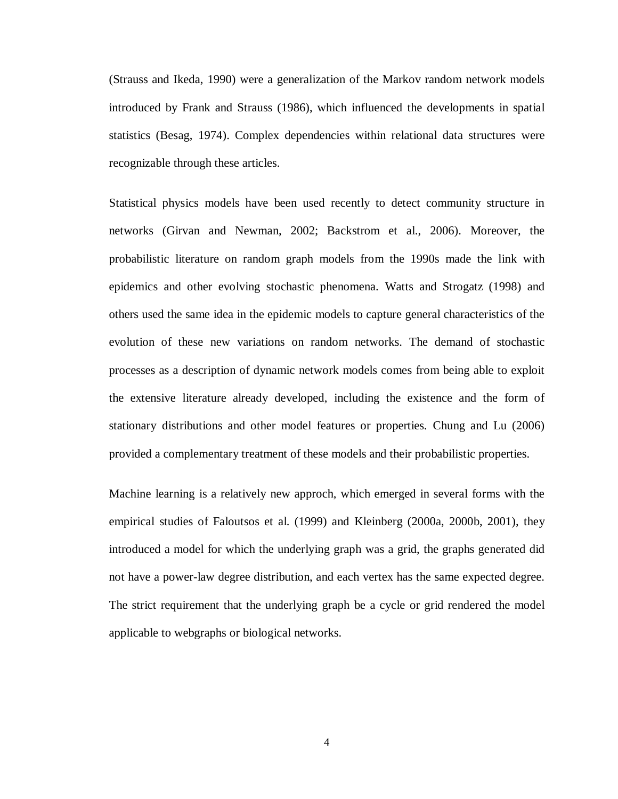(Strauss and Ikeda, 1990) were a generalization of the Markov random network models introduced by Frank and Strauss (1986), which influenced the developments in spatial statistics (Besag, 1974). Complex dependencies within relational data structures were recognizable through these articles.

Statistical physics models have been used recently to detect community structure in networks (Girvan and Newman, 2002; Backstrom et al., 2006). Moreover, the probabilistic literature on random graph models from the 1990s made the link with epidemics and other evolving stochastic phenomena. Watts and Strogatz (1998) and others used the same idea in the epidemic models to capture general characteristics of the evolution of these new variations on random networks. The demand of stochastic processes as a description of dynamic network models comes from being able to exploit the extensive literature already developed, including the existence and the form of stationary distributions and other model features or properties. Chung and Lu (2006) provided a complementary treatment of these models and their probabilistic properties.

Machine learning is a relatively new approch, which emerged in several forms with the empirical studies of Faloutsos et al. (1999) and Kleinberg (2000a, 2000b, 2001), they introduced a model for which the underlying graph was a grid, the graphs generated did not have a power-law degree distribution, and each vertex has the same expected degree. The strict requirement that the underlying graph be a cycle or grid rendered the model applicable to webgraphs or biological networks.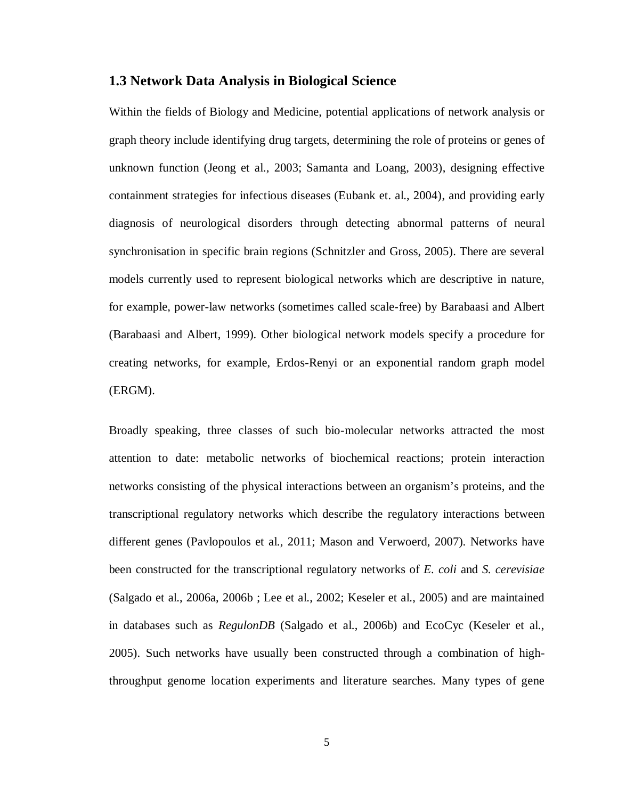#### **1.3 Network Data Analysis in Biological Science**

Within the fields of Biology and Medicine, potential applications of network analysis or graph theory include identifying drug targets, determining the role of proteins or genes of unknown function (Jeong et al., 2003; Samanta and Loang, 2003), designing effective containment strategies for infectious diseases (Eubank et. al., 2004), and providing early diagnosis of neurological disorders through detecting abnormal patterns of neural synchronisation in specific brain regions (Schnitzler and Gross, 2005). There are several models currently used to represent biological networks which are descriptive in nature, for example, power-law networks (sometimes called scale-free) by Barabaasi and Albert (Barabaasi and Albert, 1999). Other biological network models specify a procedure for creating networks, for example, Erdos-Renyi or an exponential random graph model (ERGM).

Broadly speaking, three classes of such bio-molecular networks attracted the most attention to date: metabolic networks of biochemical reactions; protein interaction networks consisting of the physical interactions between an organism's proteins, and the transcriptional regulatory networks which describe the regulatory interactions between different genes (Pavlopoulos et al., 2011; Mason and Verwoerd, 2007). Networks have been constructed for the transcriptional regulatory networks of *E. coli* and *S. cerevisiae* (Salgado et al., 2006a, 2006b ; Lee et al., 2002; Keseler et al., 2005) and are maintained in databases such as *RegulonDB* (Salgado et al., 2006b) and EcoCyc (Keseler et al., 2005). Such networks have usually been constructed through a combination of highthroughput genome location experiments and literature searches. Many types of gene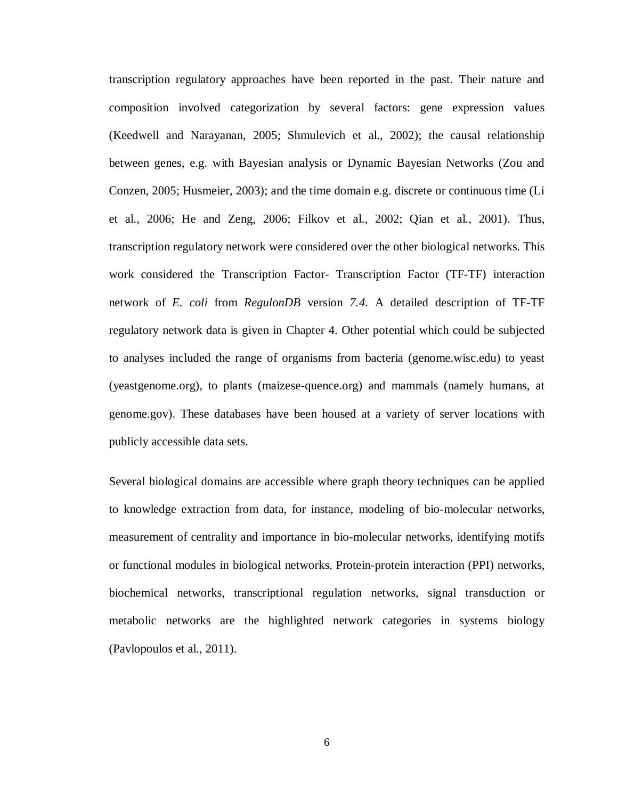transcription regulatory approaches have been reported in the past. Their nature and composition involved categorization by several factors: gene expression values (Keedwell and Narayanan, 2005; Shmulevich et al., 2002); the causal relationship between genes, e.g. with Bayesian analysis or Dynamic Bayesian Networks (Zou and Conzen, 2005; Husmeier, 2003); and the time domain e.g. discrete or continuous time (Li et al., 2006; He and Zeng, 2006; Filkov et al., 2002; Qian et al., 2001). Thus, transcription regulatory network were considered over the other biological networks. This work considered the Transcription Factor- Transcription Factor (TF-TF) interaction network of *E. coli* from *RegulonDB* version *7.4*. A detailed description of TF-TF regulatory network data is given in Chapter 4. Other potential which could be subjected to analyses included the range of organisms from bacteria (genome.wisc.edu) to yeast (yeastgenome.org), to plants (maizese-quence.org) and mammals (namely humans, at genome.gov). These databases have been housed at a variety of server locations with publicly accessible data sets.

Several biological domains are accessible where graph theory techniques can be applied to knowledge extraction from data, for instance, modeling of bio-molecular networks, measurement of centrality and importance in bio-molecular networks, identifying motifs or functional modules in biological networks. Protein-protein interaction (PPI) networks, biochemical networks, transcriptional regulation networks, signal transduction or metabolic networks are the highlighted network categories in systems biology (Pavlopoulos et al., 2011).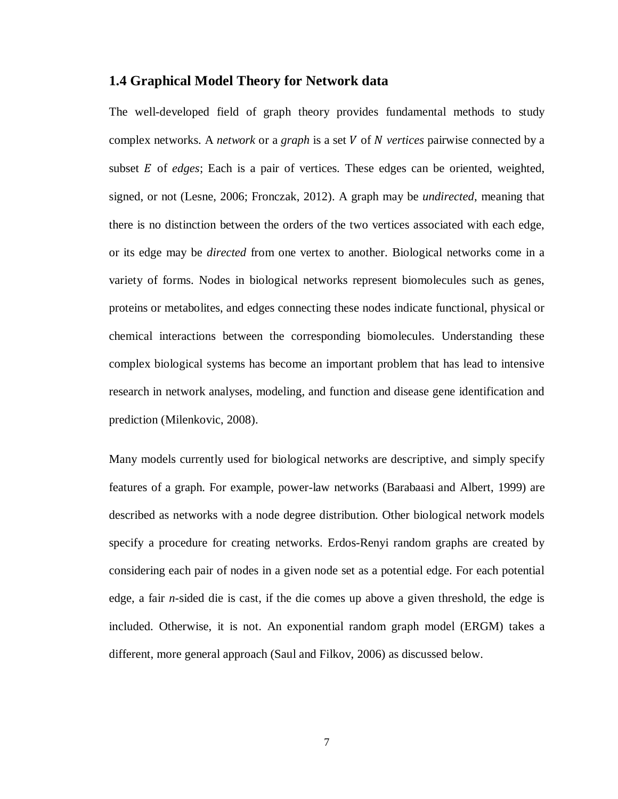#### **1.4 Graphical Model Theory for Network data**

The well-developed field of graph theory provides fundamental methods to study complex networks. A *network* or a *graph* is a set V of N *vertices* pairwise connected by a subset E of *edges*; Each is a pair of vertices. These edges can be oriented, weighted, signed, or not (Lesne, 2006; Fronczak, 2012). A graph may be *undirected*, meaning that there is no distinction between the orders of the two vertices associated with each edge, or its edge may be *directed* from one vertex to another. Biological networks come in a variety of forms. Nodes in biological networks represent biomolecules such as genes, proteins or metabolites, and edges connecting these nodes indicate functional, physical or chemical interactions between the corresponding biomolecules. Understanding these complex biological systems has become an important problem that has lead to intensive research in network analyses, modeling, and function and disease gene identification and prediction (Milenkovic, 2008).

Many models currently used for biological networks are descriptive, and simply specify features of a graph. For example, power-law networks (Barabaasi and Albert, 1999) are described as networks with a node degree distribution. Other biological network models specify a procedure for creating networks. Erdos-Renyi random graphs are created by considering each pair of nodes in a given node set as a potential edge. For each potential edge, a fair *n*-sided die is cast, if the die comes up above a given threshold, the edge is included. Otherwise, it is not. An exponential random graph model (ERGM) takes a different, more general approach (Saul and Filkov, 2006) as discussed below.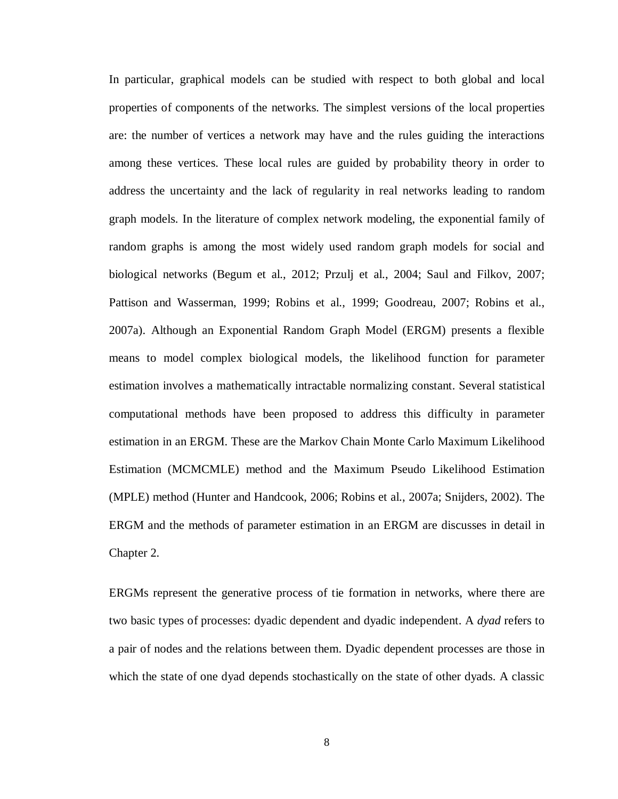In particular, graphical models can be studied with respect to both global and local properties of components of the networks. The simplest versions of the local properties are: the number of vertices a network may have and the rules guiding the interactions among these vertices. These local rules are guided by probability theory in order to address the uncertainty and the lack of regularity in real networks leading to random graph models. In the literature of complex network modeling, the exponential family of random graphs is among the most widely used random graph models for social and biological networks (Begum et al., 2012; Przulj et al., 2004; Saul and Filkov, 2007; Pattison and Wasserman, 1999; Robins et al., 1999; Goodreau, 2007; Robins et al., 2007a). Although an Exponential Random Graph Model (ERGM) presents a flexible means to model complex biological models, the likelihood function for parameter estimation involves a mathematically intractable normalizing constant. Several statistical computational methods have been proposed to address this difficulty in parameter estimation in an ERGM. These are the Markov Chain Monte Carlo Maximum Likelihood Estimation (MCMCMLE) method and the Maximum Pseudo Likelihood Estimation (MPLE) method (Hunter and Handcook, 2006; Robins et al., 2007a; Snijders, 2002). The ERGM and the methods of parameter estimation in an ERGM are discusses in detail in Chapter 2.

ERGMs represent the generative process of tie formation in networks, where there are two basic types of processes: dyadic dependent and dyadic independent. A *dyad* refers to a pair of nodes and the relations between them. Dyadic dependent processes are those in which the state of one dyad depends stochastically on the state of other dyads. A classic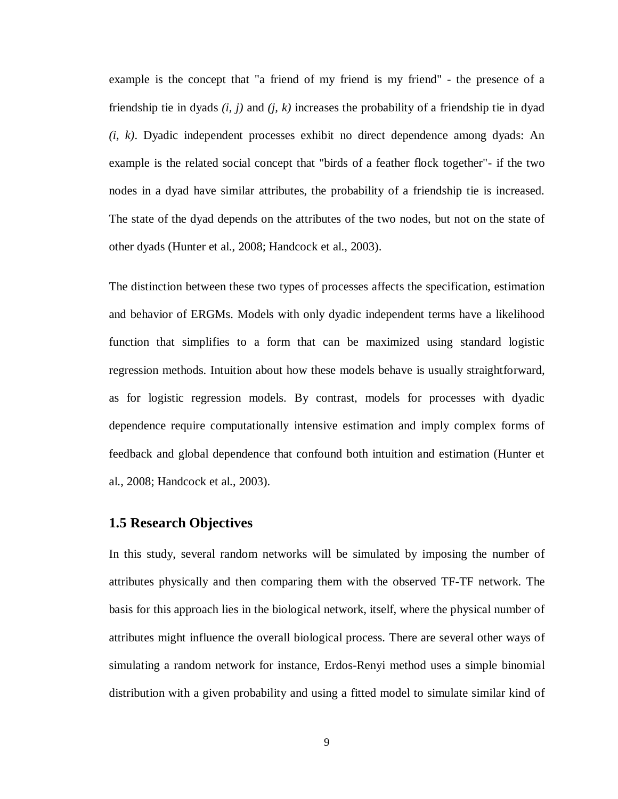example is the concept that "a friend of my friend is my friend" - the presence of a friendship tie in dyads *(i, j)* and *(j, k)* increases the probability of a friendship tie in dyad *(i, k)*. Dyadic independent processes exhibit no direct dependence among dyads: An example is the related social concept that "birds of a feather flock together"- if the two nodes in a dyad have similar attributes, the probability of a friendship tie is increased. The state of the dyad depends on the attributes of the two nodes, but not on the state of other dyads (Hunter et al., 2008; Handcock et al., 2003).

The distinction between these two types of processes affects the specification, estimation and behavior of ERGMs. Models with only dyadic independent terms have a likelihood function that simplifies to a form that can be maximized using standard logistic regression methods. Intuition about how these models behave is usually straightforward, as for logistic regression models. By contrast, models for processes with dyadic dependence require computationally intensive estimation and imply complex forms of feedback and global dependence that confound both intuition and estimation (Hunter et al., 2008; Handcock et al., 2003).

#### **1.5 Research Objectives**

In this study, several random networks will be simulated by imposing the number of attributes physically and then comparing them with the observed TF-TF network. The basis for this approach lies in the biological network, itself, where the physical number of attributes might influence the overall biological process. There are several other ways of simulating a random network for instance, Erdos-Renyi method uses a simple binomial distribution with a given probability and using a fitted model to simulate similar kind of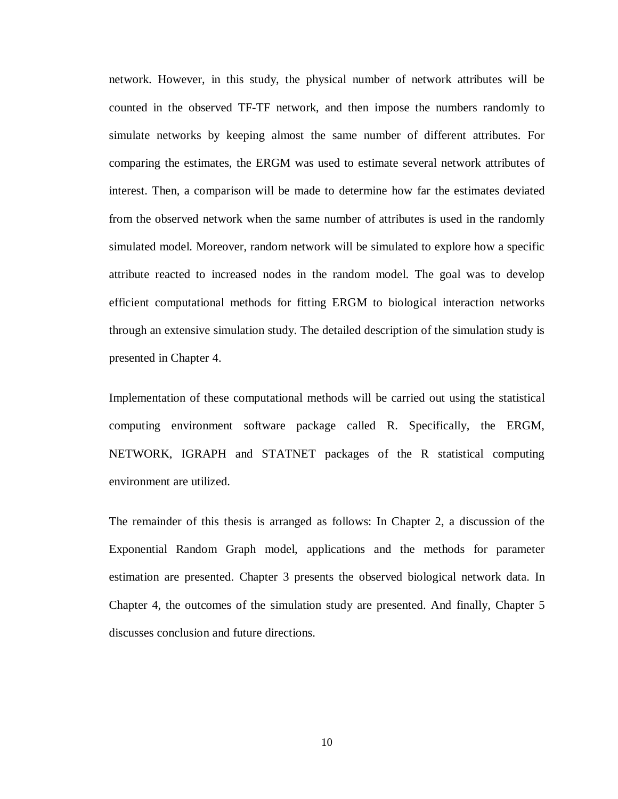network. However, in this study, the physical number of network attributes will be counted in the observed TF-TF network, and then impose the numbers randomly to simulate networks by keeping almost the same number of different attributes. For comparing the estimates, the ERGM was used to estimate several network attributes of interest. Then, a comparison will be made to determine how far the estimates deviated from the observed network when the same number of attributes is used in the randomly simulated model. Moreover, random network will be simulated to explore how a specific attribute reacted to increased nodes in the random model. The goal was to develop efficient computational methods for fitting ERGM to biological interaction networks through an extensive simulation study. The detailed description of the simulation study is presented in Chapter 4.

Implementation of these computational methods will be carried out using the statistical computing environment software package called R. Specifically, the ERGM, NETWORK, IGRAPH and STATNET packages of the R statistical computing environment are utilized.

The remainder of this thesis is arranged as follows: In Chapter 2, a discussion of the Exponential Random Graph model, applications and the methods for parameter estimation are presented. Chapter 3 presents the observed biological network data. In Chapter 4, the outcomes of the simulation study are presented. And finally, Chapter 5 discusses conclusion and future directions.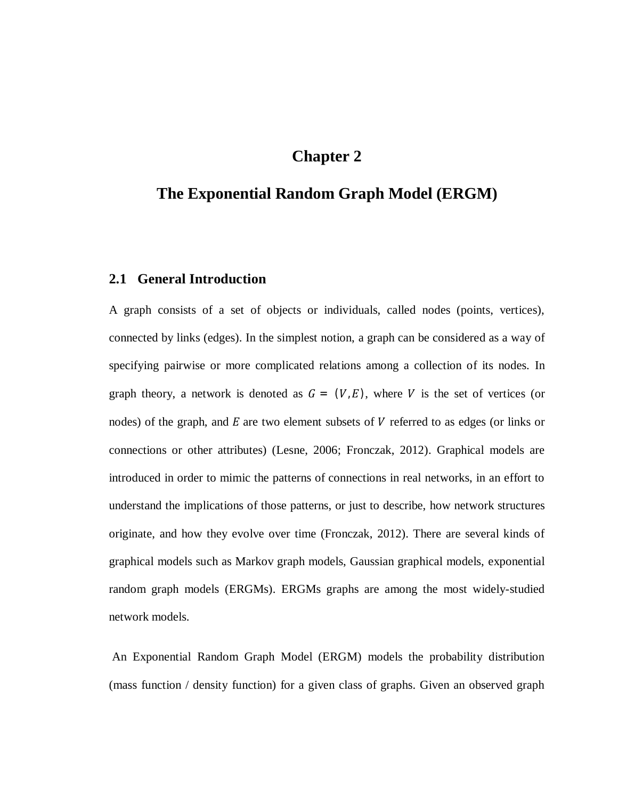# **Chapter 2**

# **The Exponential Random Graph Model (ERGM)**

#### **2.1 General Introduction**

A graph consists of a set of objects or individuals, called nodes (points, vertices), connected by links (edges). In the simplest notion, a graph can be considered as a way of specifying pairwise or more complicated relations among a collection of its nodes. In graph theory, a network is denoted as  $G = (V, E)$ , where V is the set of vertices (or nodes) of the graph, and  $E$  are two element subsets of  $V$  referred to as edges (or links or connections or other attributes) (Lesne, 2006; Fronczak, 2012). Graphical models are introduced in order to mimic the patterns of connections in real networks, in an effort to understand the implications of those patterns, or just to describe, how network structures originate, and how they evolve over time (Fronczak, 2012). There are several kinds of graphical models such as Markov graph models, Gaussian graphical models, exponential random graph models (ERGMs). ERGMs graphs are among the most widely-studied network models.

An Exponential Random Graph Model (ERGM) models the probability distribution (mass function / density function) for a given class of graphs. Given an observed graph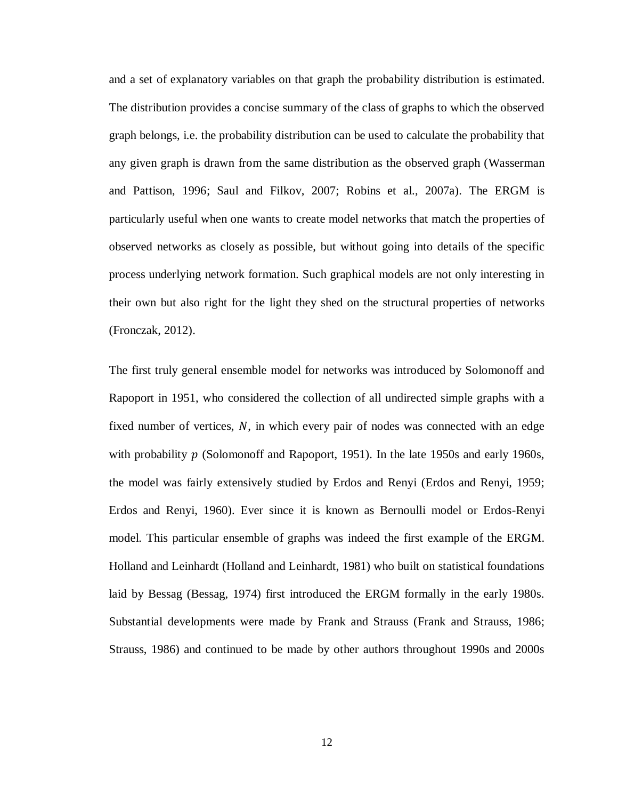and a set of explanatory variables on that graph the probability distribution is estimated. The distribution provides a concise summary of the class of graphs to which the observed graph belongs, i.e. the probability distribution can be used to calculate the probability that any given graph is drawn from the same distribution as the observed graph (Wasserman and Pattison, 1996; Saul and Filkov, 2007; Robins et al., 2007a). The ERGM is particularly useful when one wants to create model networks that match the properties of observed networks as closely as possible, but without going into details of the specific process underlying network formation. Such graphical models are not only interesting in their own but also right for the light they shed on the structural properties of networks (Fronczak, 2012).

The first truly general ensemble model for networks was introduced by Solomonoff and Rapoport in 1951, who considered the collection of all undirected simple graphs with a fixed number of vertices,  $N$ , in which every pair of nodes was connected with an edge with probability  $p$  (Solomonoff and Rapoport, 1951). In the late 1950s and early 1960s, the model was fairly extensively studied by Erdos and Renyi (Erdos and Renyi, 1959; Erdos and Renyi, 1960). Ever since it is known as Bernoulli model or Erdos-Renyi model. This particular ensemble of graphs was indeed the first example of the ERGM. Holland and Leinhardt (Holland and Leinhardt, 1981) who built on statistical foundations laid by Bessag (Bessag, 1974) first introduced the ERGM formally in the early 1980s. Substantial developments were made by Frank and Strauss (Frank and Strauss, 1986; Strauss, 1986) and continued to be made by other authors throughout 1990s and 2000s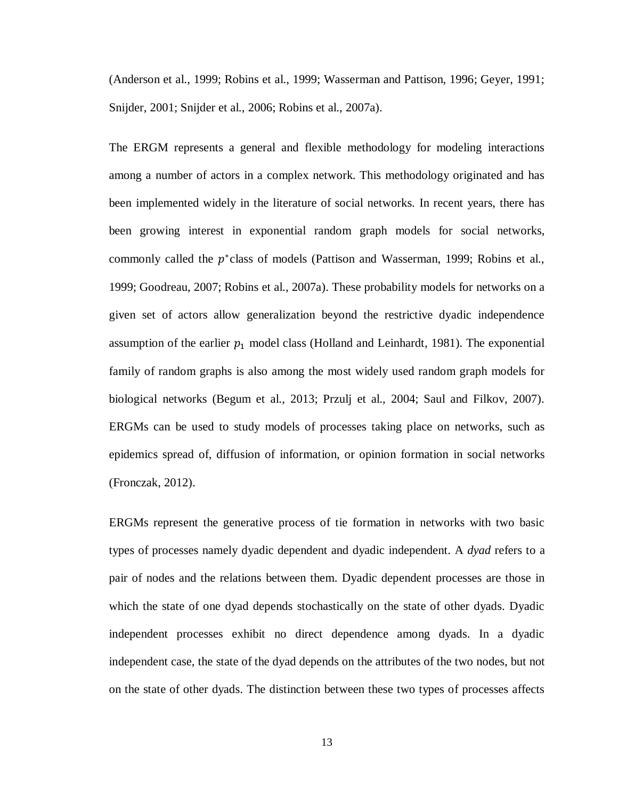(Anderson et al., 1999; Robins et al., 1999; Wasserman and Pattison, 1996; Geyer, 1991; Snijder, 2001; Snijder et al., 2006; Robins et al., 2007a).

The ERGM represents a general and flexible methodology for modeling interactions among a number of actors in a complex network. This methodology originated and has been implemented widely in the literature of social networks. In recent years, there has been growing interest in exponential random graph models for social networks, commonly called the  $p^*$ class of models (Pattison and Wasserman, 1999; Robins et al., 1999; Goodreau, 2007; Robins et al., 2007a). These probability models for networks on a given set of actors allow generalization beyond the restrictive dyadic independence assumption of the earlier  $p_1$  model class (Holland and Leinhardt, 1981). The exponential family of random graphs is also among the most widely used random graph models for biological networks (Begum et al., 2013; Przulj et al., 2004; Saul and Filkov, 2007). ERGMs can be used to study models of processes taking place on networks, such as epidemics spread of, diffusion of information, or opinion formation in social networks (Fronczak, 2012).

ERGMs represent the generative process of tie formation in networks with two basic types of processes namely dyadic dependent and dyadic independent. A *dyad* refers to a pair of nodes and the relations between them. Dyadic dependent processes are those in which the state of one dyad depends stochastically on the state of other dyads. Dyadic independent processes exhibit no direct dependence among dyads. In a dyadic independent case, the state of the dyad depends on the attributes of the two nodes, but not on the state of other dyads. The distinction between these two types of processes affects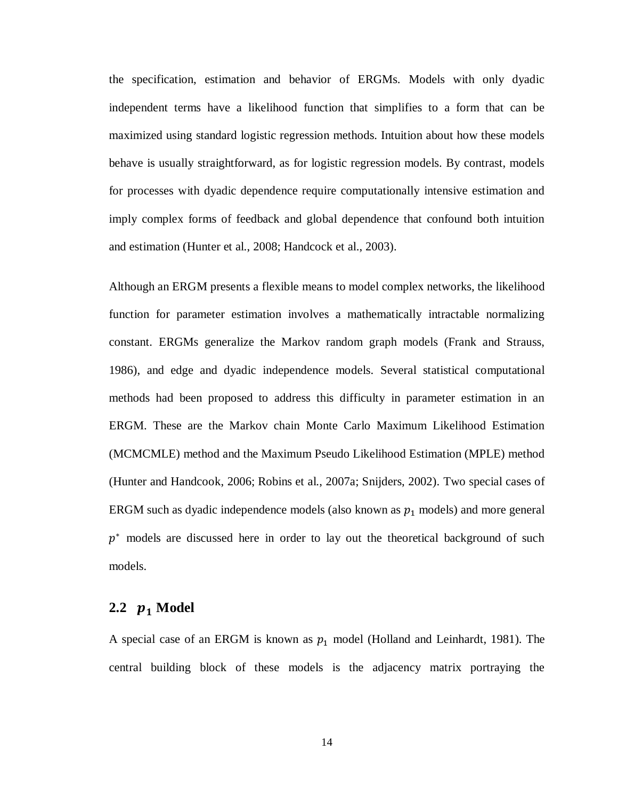the specification, estimation and behavior of ERGMs. Models with only dyadic independent terms have a likelihood function that simplifies to a form that can be maximized using standard logistic regression methods. Intuition about how these models behave is usually straightforward, as for logistic regression models. By contrast, models for processes with dyadic dependence require computationally intensive estimation and imply complex forms of feedback and global dependence that confound both intuition and estimation (Hunter et al., 2008; Handcock et al., 2003).

Although an ERGM presents a flexible means to model complex networks, the likelihood function for parameter estimation involves a mathematically intractable normalizing constant. ERGMs generalize the Markov random graph models (Frank and Strauss, 1986), and edge and dyadic independence models. Several statistical computational methods had been proposed to address this difficulty in parameter estimation in an ERGM. These are the Markov chain Monte Carlo Maximum Likelihood Estimation (MCMCMLE) method and the Maximum Pseudo Likelihood Estimation (MPLE) method (Hunter and Handcook, 2006; Robins et al., 2007a; Snijders, 2002). Two special cases of ERGM such as dyadic independence models (also known as  $p_1$  models) and more general  $p<sup>*</sup>$  models are discussed here in order to lay out the theoretical background of such models.

## **2.2**  $p_1$  Model

A special case of an ERGM is known as  $p_1$  model (Holland and Leinhardt, 1981). The central building block of these models is the adjacency matrix portraying the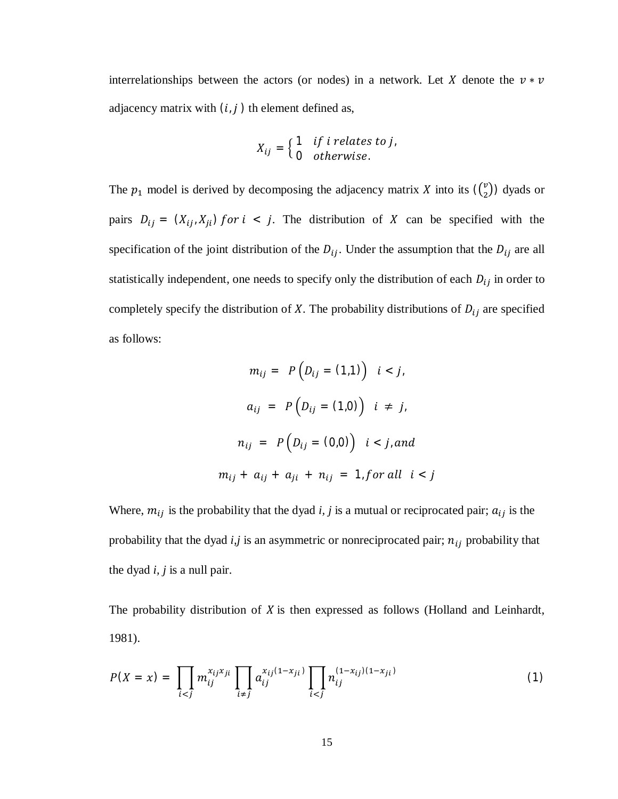interrelationships between the actors (or nodes) in a network. Let X denote the  $v * v$ adjacency matrix with  $(i, j)$  th element defined as,

$$
X_{ij} = \begin{cases} 1 & if inelates to j, \\ 0 & otherwise. \end{cases}
$$

The  $p_1$  model is derived by decomposing the adjacency matrix X into its  $\binom{v}{2}$  $\binom{v}{2}$ ) dyads or pairs  $D_{ij} = (X_{ij}, X_{ji})$  for  $i < j$ . The distribution of X can be specified with the specification of the joint distribution of the  $D_{ij}$ . Under the assumption that the  $D_{ij}$  are all statistically independent, one needs to specify only the distribution of each  $D_{ij}$  in order to completely specify the distribution of  $X$ . The probability distributions of  $D_{ij}$  are specified as follows:

$$
m_{ij} = P(D_{ij} = (1,1)) \quad i < j,
$$
  
\n
$$
a_{ij} = P(D_{ij} = (1,0)) \quad i \neq j,
$$
  
\n
$$
n_{ij} = P(D_{ij} = (0,0)) \quad i < j, and
$$
  
\n
$$
m_{ij} + a_{ij} + a_{ji} + n_{ij} = 1, for all \quad i < j
$$

Where,  $m_{ij}$  is the probability that the dyad *i*, *j* is a mutual or reciprocated pair;  $a_{ij}$  is the probability that the dyad  $i, j$  is an asymmetric or nonreciprocated pair;  $n_{ij}$  probability that the dyad *i, j* is a null pair.

The probability distribution of  $X$  is then expressed as follows (Holland and Leinhardt, 1981).

$$
P(X = x) = \prod_{i < j} m_{ij}^{x_{ij}x_{ji}} \prod_{i \neq j} a_{ij}^{x_{ij}(1-x_{ji})} \prod_{i < j} n_{ij}^{(1-x_{ij})(1-x_{ji})} \tag{1}
$$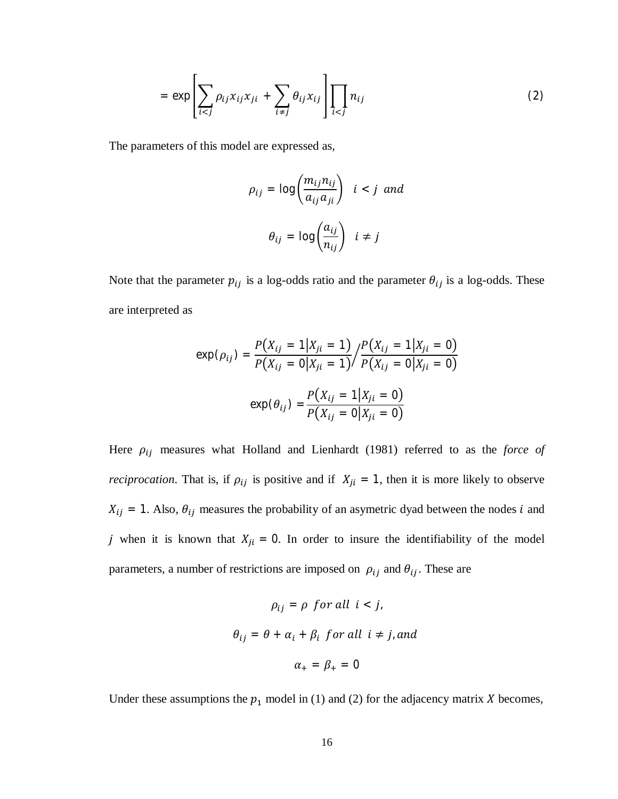$$
= \exp\left[\sum_{i < j} \rho_{ij} x_{ij} x_{ji} + \sum_{i \neq j} \theta_{ij} x_{ij}\right] \prod_{i < j} n_{ij} \tag{2}
$$

The parameters of this model are expressed as,

$$
\rho_{ij} = \log \left( \frac{m_{ij} n_{ij}}{a_{ij} a_{ji}} \right) \quad i < j \quad \text{and}
$$
\n
$$
\theta_{ij} = \log \left( \frac{a_{ij}}{n_{ij}} \right) \quad i \neq j
$$

Note that the parameter  $p_{ij}$  is a log-odds ratio and the parameter  $\theta_{ij}$  is a log-odds. These are interpreted as

$$
\exp(\rho_{ij}) = \frac{P(X_{ij} = 1 | X_{ji} = 1)}{P(X_{ij} = 0 | X_{ji} = 1)} / \frac{P(X_{ij} = 1 | X_{ji} = 0)}{P(X_{ij} = 0 | X_{ji} = 0)}
$$

$$
\exp(\theta_{ij}) = \frac{P(X_{ij} = 1 | X_{ji} = 0)}{P(X_{ij} = 0 | X_{ji} = 0)}
$$

Here  $\rho_{ij}$  measures what Holland and Lienhardt (1981) referred to as the *force of reciprocation*. That is, if  $\rho_{ij}$  is positive and if  $X_{ji} = 1$ , then it is more likely to observe  $X_{ij} = 1$ . Also,  $\theta_{ij}$  measures the probability of an asymetric dyad between the nodes *i* and j when it is known that  $X_{ji} = 0$ . In order to insure the identifiability of the model parameters, a number of restrictions are imposed on  $\rho_{ij}$  and  $\theta_{ij}$ . These are

$$
\rho_{ij} = \rho \text{ for all } i < j,
$$
\n
$$
\theta_{ij} = \theta + \alpha_i + \beta_i \text{ for all } i \neq j, \text{ and}
$$
\n
$$
\alpha_+ = \beta_+ = 0
$$

Under these assumptions the  $p_1$  model in (1) and (2) for the adjacency matrix X becomes,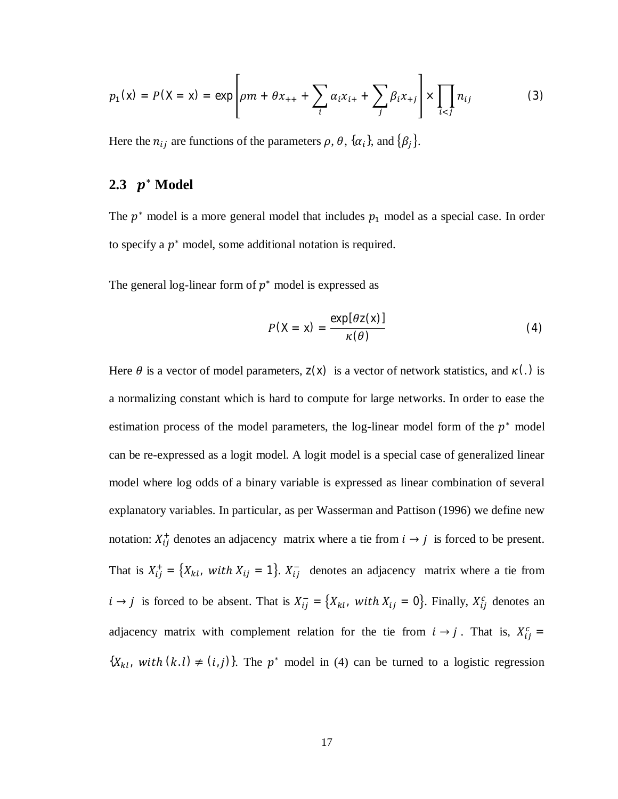$$
p_1(x) = P(X = x) = \exp \left[ \rho m + \theta x_{++} + \sum_i \alpha_i x_{i+} + \sum_j \beta_i x_{+j} \right] \times \prod_{i < j} n_{ij}
$$
 (3)

Here the  $n_{ij}$  are functions of the parameters  $\rho$ ,  $\theta$ ,  $\{\alpha_i\}$ , and  $\{\beta_j\}$ .

# **2.3** <sup>∗</sup> **Model**

The  $p^*$  model is a more general model that includes  $p_1$  model as a special case. In order to specify a  $p^*$  model, some additional notation is required.

The general log-linear form of  $p^*$  model is expressed as

$$
P(X = x) = \frac{\exp[\theta z(x)]}{\kappa(\theta)}
$$
(4)

Here  $\theta$  is a vector of model parameters,  $z(x)$  is a vector of network statistics, and  $\kappa(.)$  is a normalizing constant which is hard to compute for large networks. In order to ease the estimation process of the model parameters, the log-linear model form of the  $p^*$  model can be re-expressed as a logit model. A logit model is a special case of generalized linear model where log odds of a binary variable is expressed as linear combination of several explanatory variables. In particular, as per Wasserman and Pattison (1996) we define new notation:  $X_{ij}^{+}$  denotes an adjacency matrix where a tie from  $i \rightarrow j$  is forced to be present. That is  $X_{ij}^+ = \{X_{kl}, \text{ with } X_{ij} = 1\}$ .  $X_{ij}^-$  denotes an adjacency matrix where a tie from  $i \rightarrow j$  is forced to be absent. That is  $X_{ij}^- = \{X_{kl}, \text{ with } X_{ij} = 0\}$ . Finally,  $X_{ij}^c$  denotes an adjacency matrix with complement relation for the tie from  $i \rightarrow j$ . That is,  $X_{ij}^c =$  ${X_{kl}}$ , with  $(k, l) \neq (i, j)$ . The  $p^*$  model in (4) can be turned to a logistic regression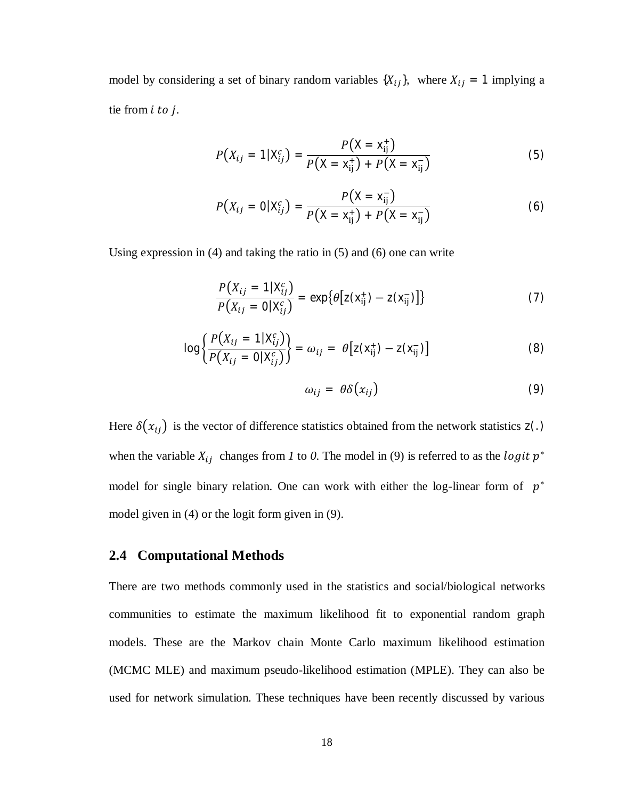model by considering a set of binary random variables  $\{X_{ij}\}\$ , where  $X_{ij} = 1$  implying a tie from *i* to *j*.

$$
P(X_{ij} = 1 | X_{ij}^c) = \frac{P(X = x_{ij}^+)}{P(X = x_{ij}^+) + P(X = x_{ij}^-)}
$$
(5)

$$
P(X_{ij} = 0 | X_{ij}^c) = \frac{P(X = x_{ij}^-)}{P(X = x_{ij}^+) + P(X = x_{ij}^-)}
$$
(6)

Using expression in (4) and taking the ratio in (5) and (6) one can write

$$
\frac{P(X_{ij} = 1 | X_{ij}^c)}{P(X_{ij} = 0 | X_{ij}^c)} = \exp\{\theta \big[ z(x_{ij}^+) - z(x_{ij}^-) \big] \}
$$
(7)

$$
\log \left\{ \frac{P(X_{ij} = 1 | X_{ij}^c)}{P(X_{ij} = 0 | X_{ij}^c)} \right\} = \omega_{ij} = \theta \left[ z(x_{ij}^+) - z(x_{ij}^-) \right]
$$
(8)

$$
\omega_{ij} = \theta \delta(x_{ij}) \tag{9}
$$

Here  $\delta(x_{ij})$  is the vector of difference statistics obtained from the network statistics  $z(.)$ when the variable  $X_{ij}$  changes from *l* to *0*. The model in (9) is referred to as the *logit*  $p^*$ model for single binary relation. One can work with either the log-linear form of  $p^*$ model given in (4) or the logit form given in (9).

#### **2.4 Computational Methods**

There are two methods commonly used in the statistics and social/biological networks communities to estimate the maximum likelihood fit to exponential random graph models. These are the Markov chain Monte Carlo maximum likelihood estimation (MCMC MLE) and maximum pseudo-likelihood estimation (MPLE). They can also be used for network simulation. These techniques have been recently discussed by various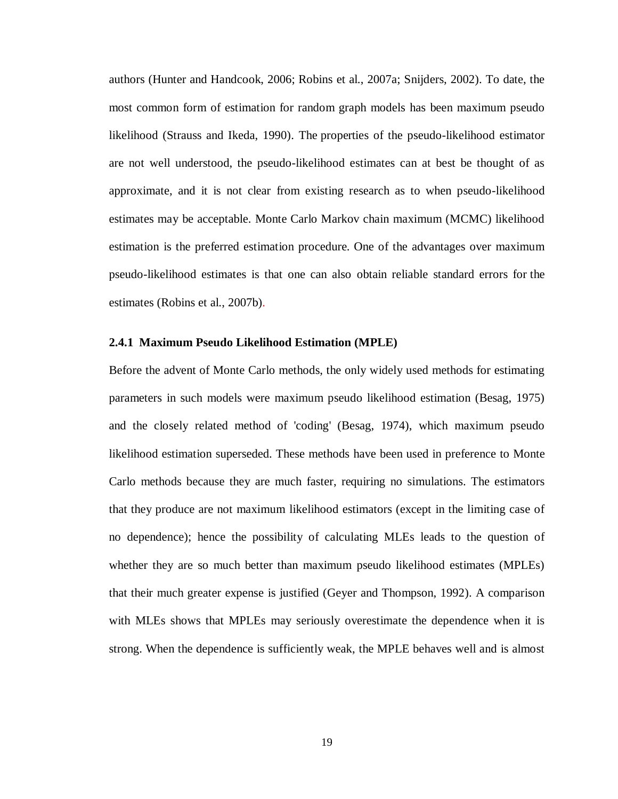authors (Hunter and Handcook, 2006; Robins et al., 2007a; Snijders, 2002). To date, the most common form of estimation for random graph models has been maximum pseudo likelihood (Strauss and Ikeda, 1990). The properties of the pseudo-likelihood estimator are not well understood, the pseudo-likelihood estimates can at best be thought of as approximate, and it is not clear from existing research as to when pseudo-likelihood estimates may be acceptable. Monte Carlo Markov chain maximum (MCMC) likelihood estimation is the preferred estimation procedure. One of the advantages over maximum pseudo-likelihood estimates is that one can also obtain reliable standard errors for the estimates (Robins et al., 2007b).

#### **2.4.1 Maximum Pseudo Likelihood Estimation (MPLE)**

Before the advent of Monte Carlo methods, the only widely used methods for estimating parameters in such models were maximum pseudo likelihood estimation (Besag, 1975) and the closely related method of 'coding' (Besag, 1974), which maximum pseudo likelihood estimation superseded. These methods have been used in preference to Monte Carlo methods because they are much faster, requiring no simulations. The estimators that they produce are not maximum likelihood estimators (except in the limiting case of no dependence); hence the possibility of calculating MLEs leads to the question of whether they are so much better than maximum pseudo likelihood estimates (MPLEs) that their much greater expense is justified (Geyer and Thompson, 1992). A comparison with MLEs shows that MPLEs may seriously overestimate the dependence when it is strong. When the dependence is sufficiently weak, the MPLE behaves well and is almost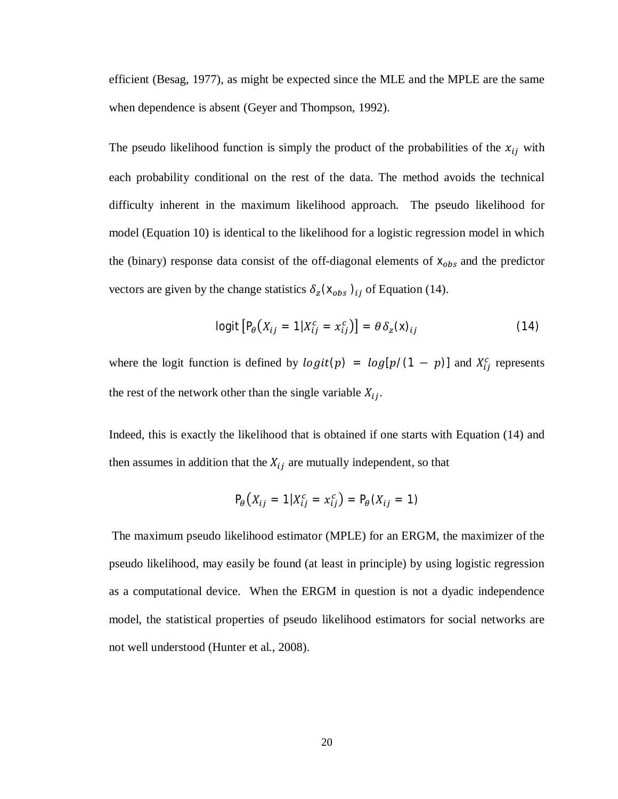efficient (Besag, 1977), as might be expected since the MLE and the MPLE are the same when dependence is absent (Geyer and Thompson, 1992).

The pseudo likelihood function is simply the product of the probabilities of the  $x_{ij}$  with each probability conditional on the rest of the data. The method avoids the technical difficulty inherent in the maximum likelihood approach. The pseudo likelihood for model (Equation 10) is identical to the likelihood for a logistic regression model in which the (binary) response data consist of the off-diagonal elements of  $x_{obs}$  and the predictor vectors are given by the change statistics  $\delta_z(\mathbf{x}_{obs})_{ij}$  of Equation (14).

$$
logit [P_{\theta}(X_{ij} = 1 | X_{ij}^c = x_{ij}^c)] = \theta \delta_z(x)_{ij}
$$
 (14)

where the logit function is defined by  $logit(p) = log[p/(1 - p)]$  and  $X_{ij}^c$  represents the rest of the network other than the single variable  $X_{ij}$ .

Indeed, this is exactly the likelihood that is obtained if one starts with Equation (14) and then assumes in addition that the  $X_{ij}$  are mutually independent, so that

$$
P_{\theta}(X_{ij} = 1 | X_{ij}^c = x_{ij}^c) = P_{\theta}(X_{ij} = 1)
$$

The maximum pseudo likelihood estimator (MPLE) for an ERGM, the maximizer of the pseudo likelihood, may easily be found (at least in principle) by using logistic regression as a computational device. When the ERGM in question is not a dyadic independence model, the statistical properties of pseudo likelihood estimators for social networks are not well understood (Hunter et al., 2008).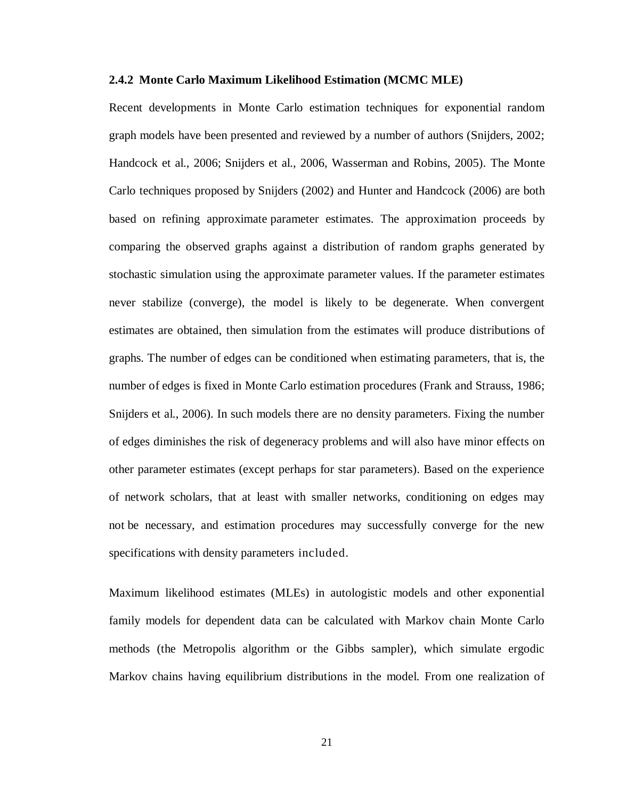#### **2.4.2 Monte Carlo Maximum Likelihood Estimation (MCMC MLE)**

Recent developments in Monte Carlo estimation techniques for exponential random graph models have been presented and reviewed by a number of authors (Snijders, 2002; Handcock et al., 2006; Snijders et al., 2006, Wasserman and Robins, 2005). The Monte Carlo techniques proposed by Snijders (2002) and Hunter and Handcock (2006) are both based on refining approximate parameter estimates. The approximation proceeds by comparing the observed graphs against a distribution of random graphs generated by stochastic simulation using the approximate parameter values. If the parameter estimates never stabilize (converge), the model is likely to be degenerate. When convergent estimates are obtained, then simulation from the estimates will produce distributions of graphs. The number of edges can be conditioned when estimating parameters, that is, the number of edges is fixed in Monte Carlo estimation procedures (Frank and Strauss, 1986; Snijders et al., 2006). In such models there are no density parameters. Fixing the number of edges diminishes the risk of degeneracy problems and will also have minor effects on other parameter estimates (except perhaps for star parameters). Based on the experience of network scholars, that at least with smaller networks, conditioning on edges may not be necessary, and estimation procedures may successfully converge for the new specifications with density parameters included.

Maximum likelihood estimates (MLEs) in autologistic models and other exponential family models for dependent data can be calculated with Markov chain Monte Carlo methods (the Metropolis algorithm or the Gibbs sampler), which simulate ergodic Markov chains having equilibrium distributions in the model. From one realization of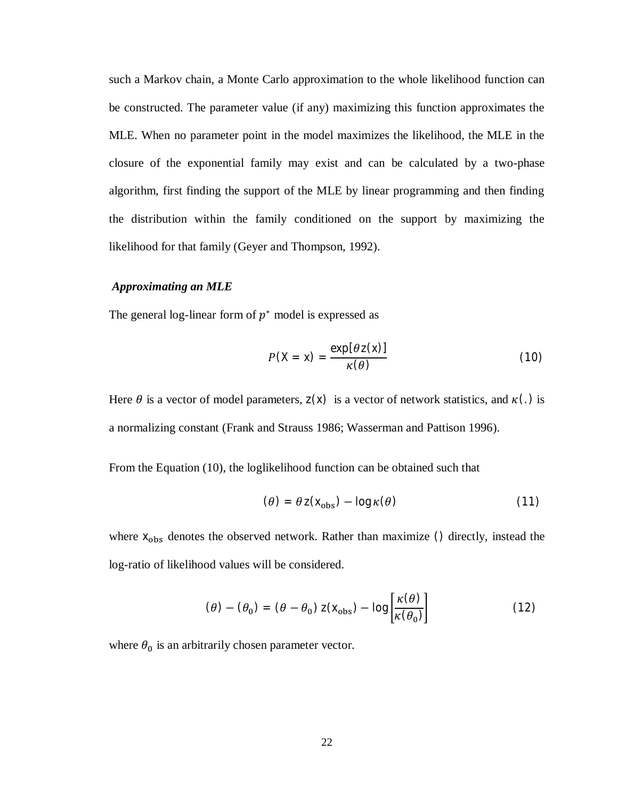such a Markov chain, a Monte Carlo approximation to the whole likelihood function can be constructed. The parameter value (if any) maximizing this function approximates the MLE. When no parameter point in the model maximizes the likelihood, the MLE in the closure of the exponential family may exist and can be calculated by a two-phase algorithm, first finding the support of the MLE by linear programming and then finding the distribution within the family conditioned on the support by maximizing the likelihood for that family (Geyer and Thompson, 1992).

#### *Approximating an MLE*

The general log-linear form of  $p^*$  model is expressed as

$$
P(X = x) = \frac{\exp[\theta z(x)]}{\kappa(\theta)}
$$
 (10)

Here  $\theta$  is a vector of model parameters,  $z(x)$  is a vector of network statistics, and  $\kappa(.)$  is a normalizing constant (Frank and Strauss 1986; Wasserman and Pattison 1996).

From the Equation (10), the loglikelihood function can be obtained such that

$$
(\theta) = \theta z(x_{\text{obs}}) - \log \kappa(\theta) \tag{11}
$$

where  $x<sub>obs</sub>$  denotes the observed network. Rather than maximize () directly, instead the log-ratio of likelihood values will be considered.

$$
(\theta) - (\theta_0) = (\theta - \theta_0) z(x_{\text{obs}}) - \log \left[ \frac{\kappa(\theta)}{\kappa(\theta_0)} \right]
$$
 (12)

where  $\theta_0$  is an arbitrarily chosen parameter vector.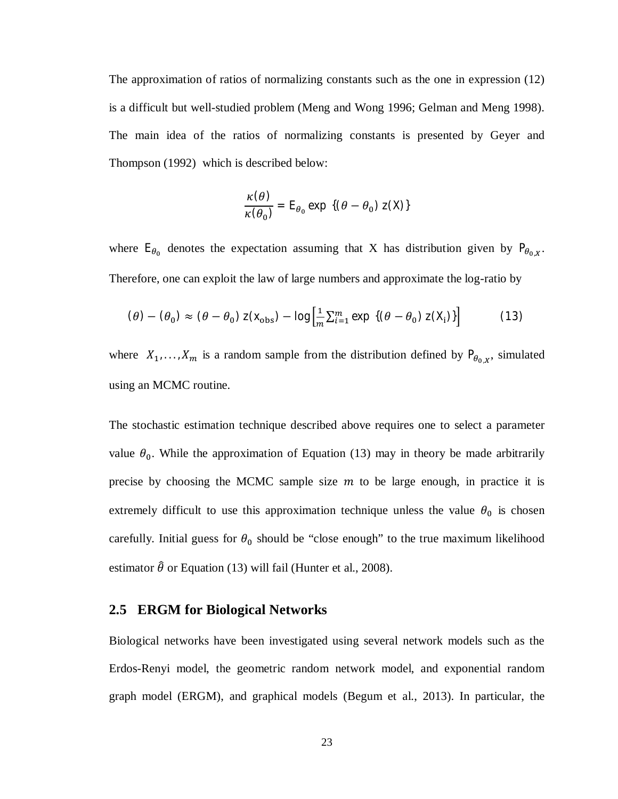The approximation of ratios of normalizing constants such as the one in expression (12) is a difficult but well-studied problem (Meng and Wong 1996; Gelman and Meng 1998). The main idea of the ratios of normalizing constants is presented by Geyer and Thompson (1992) which is described below:

$$
\frac{\kappa(\theta)}{\kappa(\theta_0)} = \mathsf{E}_{\theta_0} \exp \{(\theta - \theta_0) \mathsf{z}(\mathsf{X})\}
$$

where  $E_{\theta_0}$  denotes the expectation assuming that X has distribution given by  $P_{\theta_{0,X}}$ . Therefore, one can exploit the law of large numbers and approximate the log-ratio by

$$
(\theta) - (\theta_0) \approx (\theta - \theta_0) z(\mathbf{x}_{\text{obs}}) - \log \left[ \frac{1}{m} \sum_{i=1}^{m} \exp \left\{ (\theta - \theta_0) z(\mathbf{X}_i) \right\} \right] \tag{13}
$$

where  $X_1, \ldots, X_m$  is a random sample from the distribution defined by  $P_{\theta_{0,X}}$ , simulated using an MCMC routine.

The stochastic estimation technique described above requires one to select a parameter value  $\theta_0$ . While the approximation of Equation (13) may in theory be made arbitrarily precise by choosing the MCMC sample size  $m$  to be large enough, in practice it is extremely difficult to use this approximation technique unless the value  $\theta_0$  is chosen carefully. Initial guess for  $\theta_0$  should be "close enough" to the true maximum likelihood estimator  $\hat{\theta}$  or Equation (13) will fail (Hunter et al., 2008).

#### **2.5 ERGM for Biological Networks**

Biological networks have been investigated using several network models such as the Erdos-Renyi model, the geometric random network model, and exponential random graph model (ERGM), and graphical models (Begum et al., 2013). In particular, the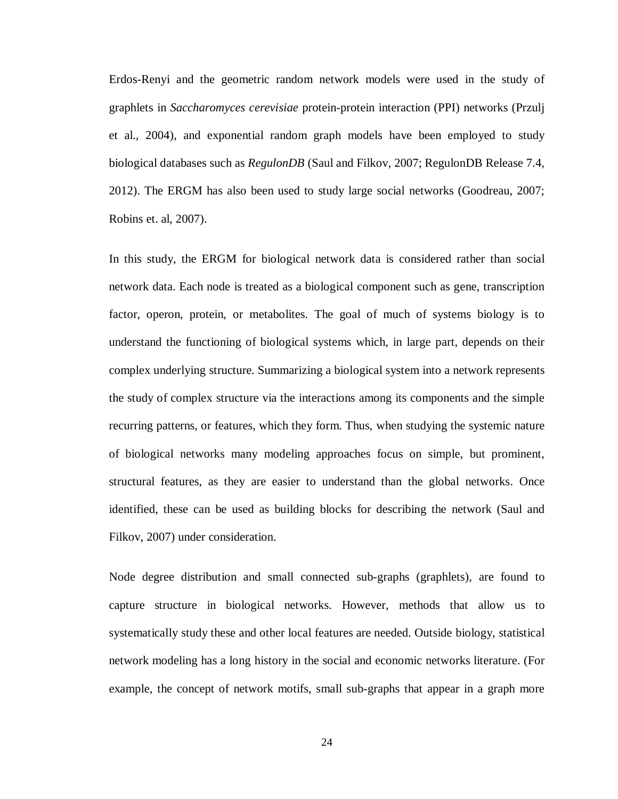Erdos-Renyi and the geometric random network models were used in the study of graphlets in *Saccharomyces cerevisiae* protein-protein interaction (PPI) networks (Przulj et al., 2004), and exponential random graph models have been employed to study biological databases such as *RegulonDB* (Saul and Filkov, 2007; RegulonDB Release 7.4, 2012). The ERGM has also been used to study large social networks (Goodreau, 2007; Robins et. al, 2007).

In this study, the ERGM for biological network data is considered rather than social network data. Each node is treated as a biological component such as gene, transcription factor, operon, protein, or metabolites. The goal of much of systems biology is to understand the functioning of biological systems which, in large part, depends on their complex underlying structure. Summarizing a biological system into a network represents the study of complex structure via the interactions among its components and the simple recurring patterns, or features, which they form. Thus, when studying the systemic nature of biological networks many modeling approaches focus on simple, but prominent, structural features, as they are easier to understand than the global networks. Once identified, these can be used as building blocks for describing the network (Saul and Filkov, 2007) under consideration.

Node degree distribution and small connected sub-graphs (graphlets), are found to capture structure in biological networks. However, methods that allow us to systematically study these and other local features are needed. Outside biology, statistical network modeling has a long history in the social and economic networks literature. (For example, the concept of network motifs, small sub-graphs that appear in a graph more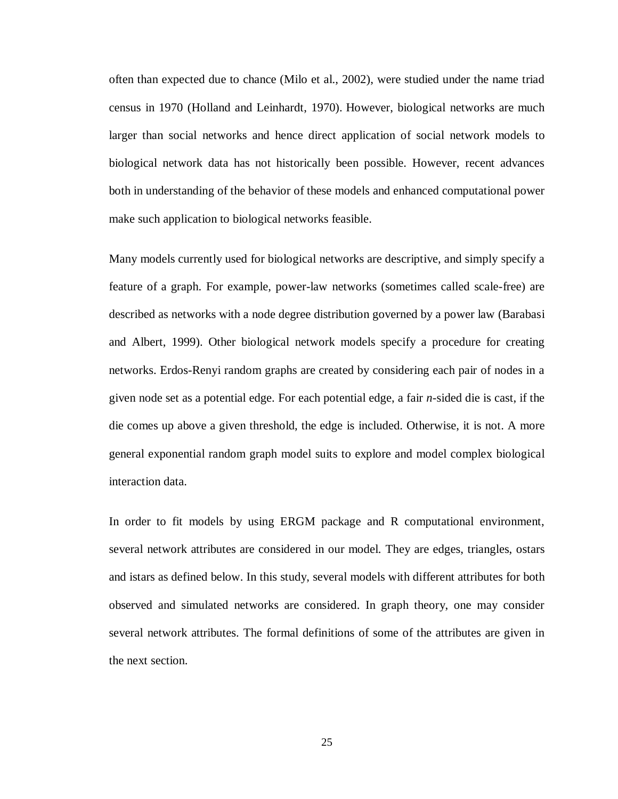often than expected due to chance (Milo et al., 2002), were studied under the name triad census in 1970 (Holland and Leinhardt, 1970). However, biological networks are much larger than social networks and hence direct application of social network models to biological network data has not historically been possible. However, recent advances both in understanding of the behavior of these models and enhanced computational power make such application to biological networks feasible.

Many models currently used for biological networks are descriptive, and simply specify a feature of a graph. For example, power-law networks (sometimes called scale-free) are described as networks with a node degree distribution governed by a power law (Barabasi and Albert, 1999). Other biological network models specify a procedure for creating networks. Erdos-Renyi random graphs are created by considering each pair of nodes in a given node set as a potential edge. For each potential edge, a fair *n*-sided die is cast, if the die comes up above a given threshold, the edge is included. Otherwise, it is not. A more general exponential random graph model suits to explore and model complex biological interaction data.

In order to fit models by using ERGM package and R computational environment, several network attributes are considered in our model. They are edges, triangles, ostars and istars as defined below. In this study, several models with different attributes for both observed and simulated networks are considered. In graph theory, one may consider several network attributes. The formal definitions of some of the attributes are given in the next section.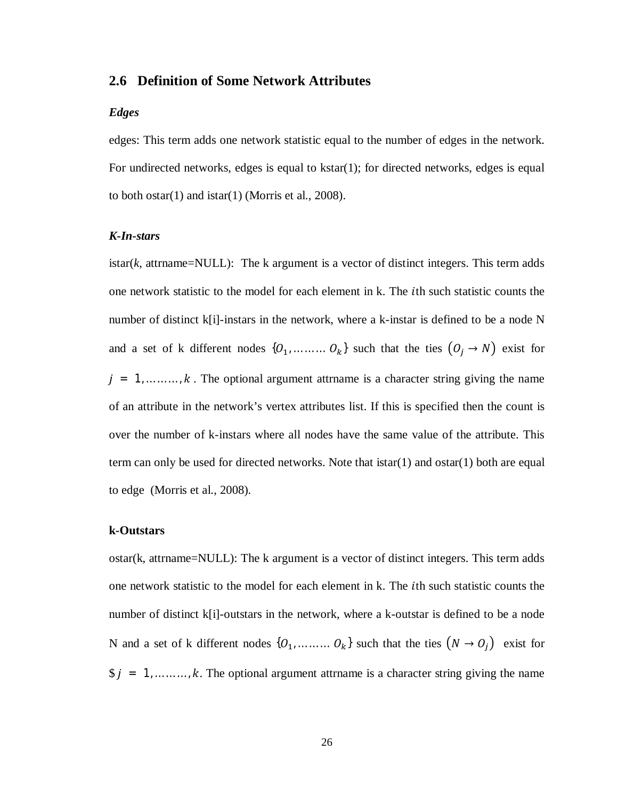#### **2.6 Definition of Some Network Attributes**

#### *Edges*

edges: This term adds one network statistic equal to the number of edges in the network. For undirected networks, edges is equal to kstar(1); for directed networks, edges is equal to both ostar $(1)$  and istar $(1)$  (Morris et al., 2008).

#### *K-In-stars*

istar $(k, \text{attrname=NULL})$ : The k argument is a vector of distinct integers. This term adds one network statistic to the model for each element in k. The *i*th such statistic counts the number of distinct  $k[i]$ -instars in the network, where a k-instar is defined to be a node N and a set of k different nodes  $\{O_1, \ldots, O_k\}$  such that the ties  $(O_j \rightarrow N)$  exist for  $j = 1, \dots, k$ . The optional argument attrname is a character string giving the name of an attribute in the network's vertex attributes list. If this is specified then the count is over the number of k-instars where all nodes have the same value of the attribute. This term can only be used for directed networks. Note that istar(1) and ostar(1) both are equal to edge (Morris et al., 2008).

#### **k-Outstars**

ostar(k, attrname=NULL): The k argument is a vector of distinct integers. This term adds one network statistic to the model for each element in k. The *i*th such statistic counts the number of distinct k[i]-outstars in the network, where a k-outstar is defined to be a node N and a set of k different nodes  $\{O_1, \ldots, O_k\}$  such that the ties  $(N \rightarrow O_j)$  exist for  $\hat{y} = 1, \dots, k$ . The optional argument attrname is a character string giving the name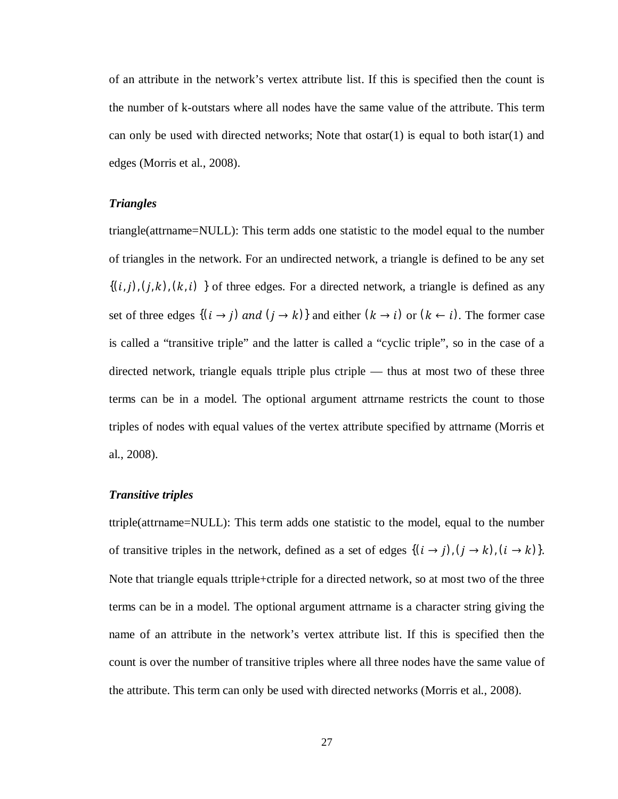of an attribute in the network's vertex attribute list. If this is specified then the count is the number of k-outstars where all nodes have the same value of the attribute. This term can only be used with directed networks; Note that  $\text{ostar}(1)$  is equal to both istar $(1)$  and edges (Morris et al., 2008).

#### *Triangles*

triangle(attrname=NULL): This term adds one statistic to the model equal to the number of triangles in the network. For an undirected network, a triangle is defined to be any set  $\{(i,j), (j,k), (k,i)\}\$  of three edges. For a directed network, a triangle is defined as any set of three edges  $\{(i \rightarrow j) \text{ and } (j \rightarrow k)\}$  and either  $(k \rightarrow i)$  or  $(k \leftarrow i)$ . The former case is called a "transitive triple" and the latter is called a "cyclic triple", so in the case of a directed network, triangle equals ttriple plus ctriple — thus at most two of these three terms can be in a model. The optional argument attrname restricts the count to those triples of nodes with equal values of the vertex attribute specified by attrname (Morris et al., 2008).

#### *Transitive triples*

ttriple(attrname=NULL): This term adds one statistic to the model, equal to the number of transitive triples in the network, defined as a set of edges  $\{(i \rightarrow j), (j \rightarrow k), (i \rightarrow k)\}$ . Note that triangle equals ttriple+ctriple for a directed network, so at most two of the three terms can be in a model. The optional argument attrname is a character string giving the name of an attribute in the network's vertex attribute list. If this is specified then the count is over the number of transitive triples where all three nodes have the same value of the attribute. This term can only be used with directed networks (Morris et al., 2008).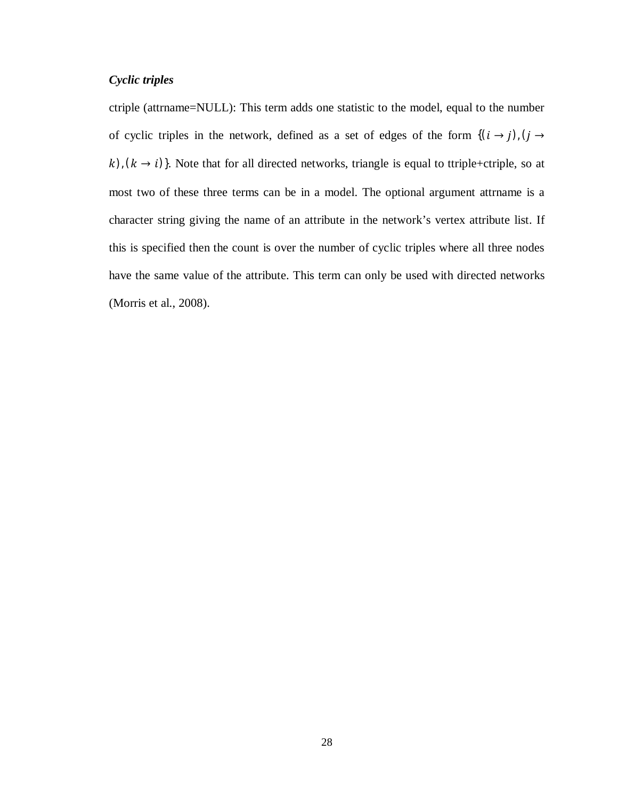#### *Cyclic triples*

ctriple (attrname=NULL): This term adds one statistic to the model, equal to the number of cyclic triples in the network, defined as a set of edges of the form  $\{(i \rightarrow j), (j \rightarrow j)$  $(k)$ ,  $(k \rightarrow i)$ }. Note that for all directed networks, triangle is equal to ttriple+ctriple, so at most two of these three terms can be in a model. The optional argument attrname is a character string giving the name of an attribute in the network's vertex attribute list. If this is specified then the count is over the number of cyclic triples where all three nodes have the same value of the attribute. This term can only be used with directed networks (Morris et al., 2008).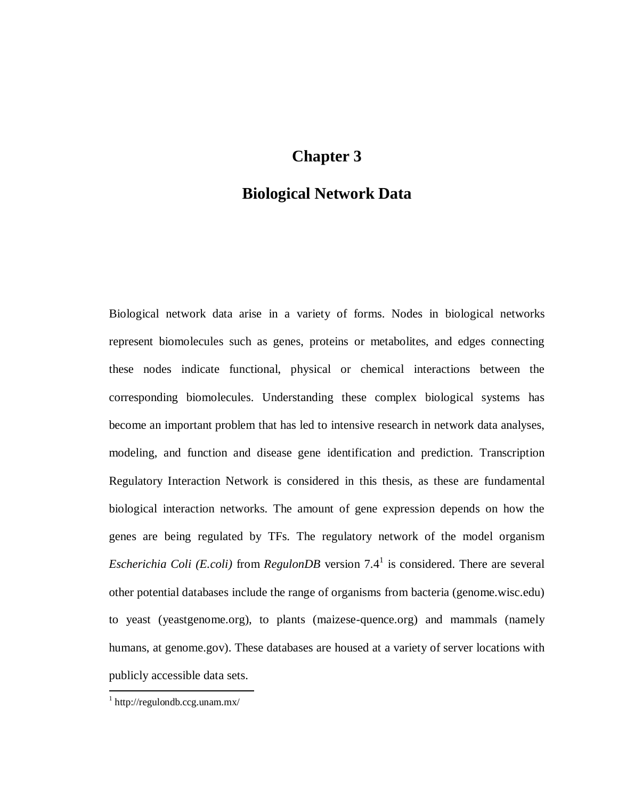# **Chapter 3**

# **Biological Network Data**

Biological network data arise in a variety of forms. Nodes in biological networks represent biomolecules such as genes, proteins or metabolites, and edges connecting these nodes indicate functional, physical or chemical interactions between the corresponding biomolecules. Understanding these complex biological systems has become an important problem that has led to intensive research in network data analyses, modeling, and function and disease gene identification and prediction. Transcription Regulatory Interaction Network is considered in this thesis, as these are fundamental biological interaction networks. The amount of gene expression depends on how the genes are being regulated by TFs. The regulatory network of the model organism *Escherichia Coli (E.coli)* from *RegulonDB* version 7.4<sup>1</sup> is considered. There are several other potential databases include the range of organisms from bacteria (genome.wisc.edu) to yeast (yeastgenome.org), to plants (maizese-quence.org) and mammals (namely humans, at genome.gov). These databases are housed at a variety of server locations with publicly accessible data sets.

 $\overline{a}$ 

<sup>1</sup> http://regulondb.ccg.unam.mx/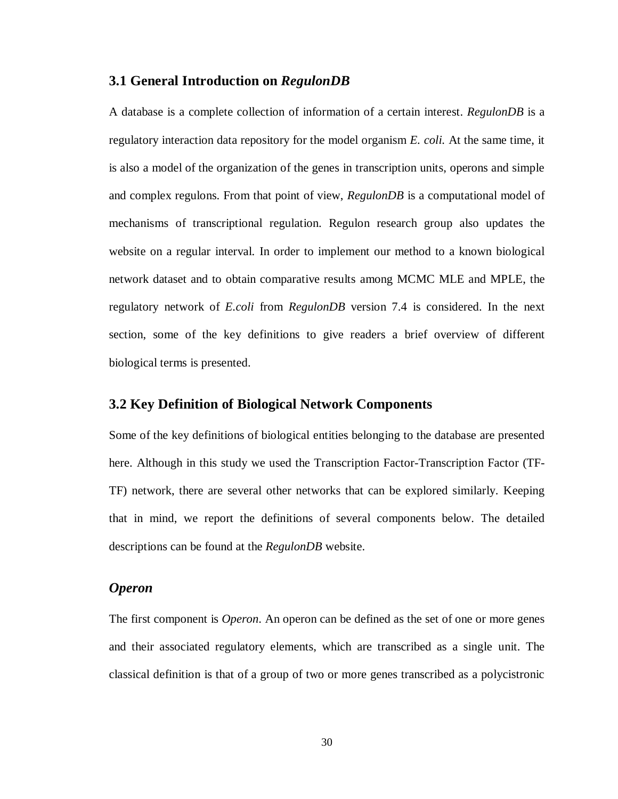#### **3.1 General Introduction on** *RegulonDB*

A database is a complete collection of information of a certain interest. *RegulonDB* is a regulatory interaction data repository for the model organism *E. coli.* At the same time, it is also a model of the organization of the genes in transcription units, operons and simple and complex regulons. From that point of view, *RegulonDB* is a computational model of mechanisms of transcriptional regulation. Regulon research group also updates the website on a regular interval. In order to implement our method to a known biological network dataset and to obtain comparative results among MCMC MLE and MPLE, the regulatory network of *E.coli* from *RegulonDB* version 7.4 is considered. In the next section, some of the key definitions to give readers a brief overview of different biological terms is presented.

#### **3.2 Key Definition of Biological Network Components**

Some of the key definitions of biological entities belonging to the database are presented here. Although in this study we used the Transcription Factor-Transcription Factor (TF-TF) network, there are several other networks that can be explored similarly. Keeping that in mind, we report the definitions of several components below. The detailed descriptions can be found at the *RegulonDB* website.

#### *Operon*

The first component is *Operon*. An operon can be defined as the set of one or more genes and their associated regulatory elements, which are transcribed as a single unit. The classical definition is that of a group of two or more genes transcribed as a polycistronic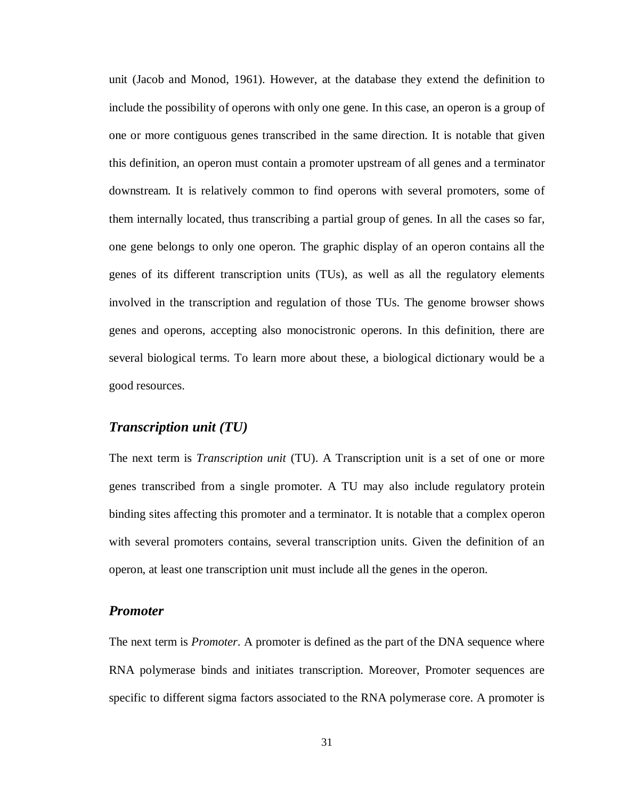unit (Jacob and Monod, 1961). However, at the database they extend the definition to include the possibility of operons with only one gene. In this case, an operon is a group of one or more contiguous genes transcribed in the same direction. It is notable that given this definition, an operon must contain a promoter upstream of all genes and a terminator downstream. It is relatively common to find operons with several promoters, some of them internally located, thus transcribing a partial group of genes. In all the cases so far, one gene belongs to only one operon. The graphic display of an operon contains all the genes of its different transcription units (TUs), as well as all the regulatory elements involved in the transcription and regulation of those TUs. The genome browser shows genes and operons, accepting also monocistronic operons. In this definition, there are several biological terms. To learn more about these, a biological dictionary would be a good resources.

#### *Transcription unit (TU)*

The next term is *Transcription unit* (TU). A Transcription unit is a set of one or more genes transcribed from a single promoter. A TU may also include regulatory protein binding sites affecting this promoter and a terminator. It is notable that a complex operon with several promoters contains, several transcription units. Given the definition of an operon, at least one transcription unit must include all the genes in the operon.

#### *Promoter*

The next term is *Promoter*. A promoter is defined as the part of the DNA sequence where RNA polymerase binds and initiates transcription. Moreover, Promoter sequences are specific to different sigma factors associated to the RNA polymerase core. A promoter is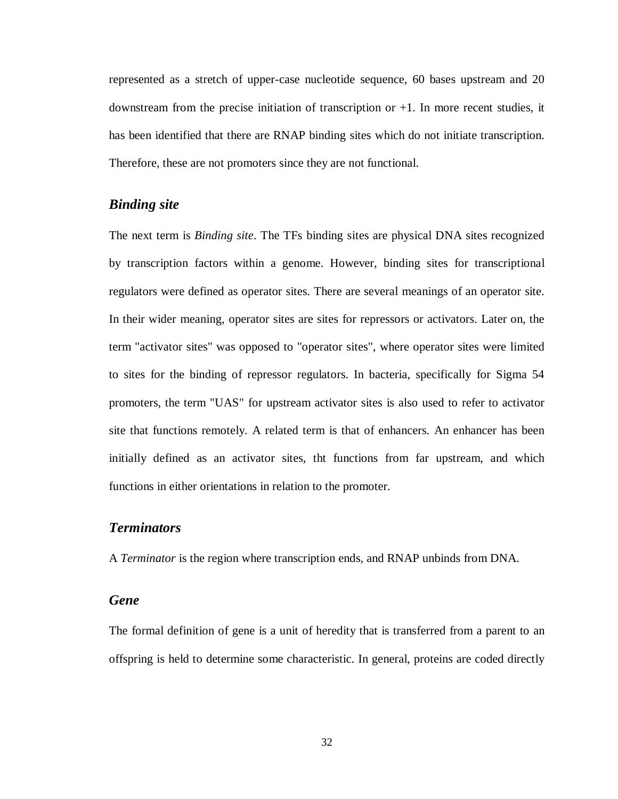represented as a stretch of upper-case nucleotide sequence, 60 bases upstream and 20 downstream from the precise initiation of transcription or +1. In more recent studies, it has been identified that there are RNAP binding sites which do not initiate transcription. Therefore, these are not promoters since they are not functional.

### *Binding site*

The next term is *Binding site*. The TFs binding sites are physical DNA sites recognized by transcription factors within a genome. However, binding sites for transcriptional regulators were defined as operator sites. There are several meanings of an operator site. In their wider meaning, operator sites are sites for repressors or activators. Later on, the term "activator sites" was opposed to "operator sites", where operator sites were limited to sites for the binding of repressor regulators. In bacteria, specifically for Sigma 54 promoters, the term "UAS" for upstream activator sites is also used to refer to activator site that functions remotely. A related term is that of enhancers. An enhancer has been initially defined as an activator sites, tht functions from far upstream, and which functions in either orientations in relation to the promoter.

#### *Terminators*

A *Terminator* is the region where transcription ends, and RNAP unbinds from DNA.

#### *Gene*

The formal definition of gene is a unit of heredity that is transferred from a parent to an offspring is held to determine some characteristic. In general, proteins are coded directly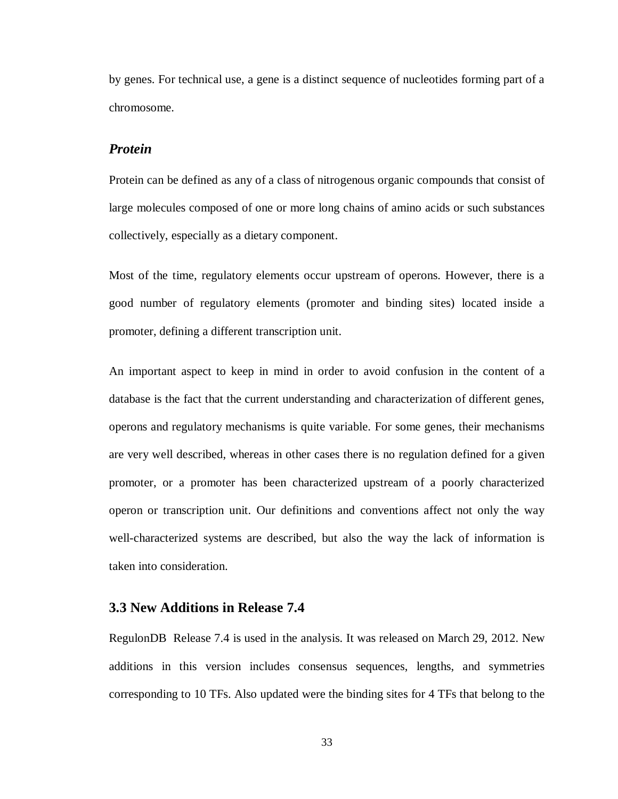by genes. For technical use, a gene is a distinct sequence of nucleotides forming part of a chromosome.

#### *Protein*

Protein can be defined as any of a class of nitrogenous organic compounds that consist of large molecules composed of one or more long chains of amino acids or such substances collectively, especially as a dietary component.

Most of the time, regulatory elements occur upstream of operons. However, there is a good number of regulatory elements (promoter and binding sites) located inside a promoter, defining a different transcription unit.

An important aspect to keep in mind in order to avoid confusion in the content of a database is the fact that the current understanding and characterization of different genes, operons and regulatory mechanisms is quite variable. For some genes, their mechanisms are very well described, whereas in other cases there is no regulation defined for a given promoter, or a promoter has been characterized upstream of a poorly characterized operon or transcription unit. Our definitions and conventions affect not only the way well-characterized systems are described, but also the way the lack of information is taken into consideration.

#### **3.3 New Additions in Release 7.4**

RegulonDB Release 7.4 is used in the analysis. It was released on March 29, 2012. New additions in this version includes consensus sequences, lengths, and symmetries corresponding to 10 TFs. Also updated were the binding sites for 4 TFs that belong to the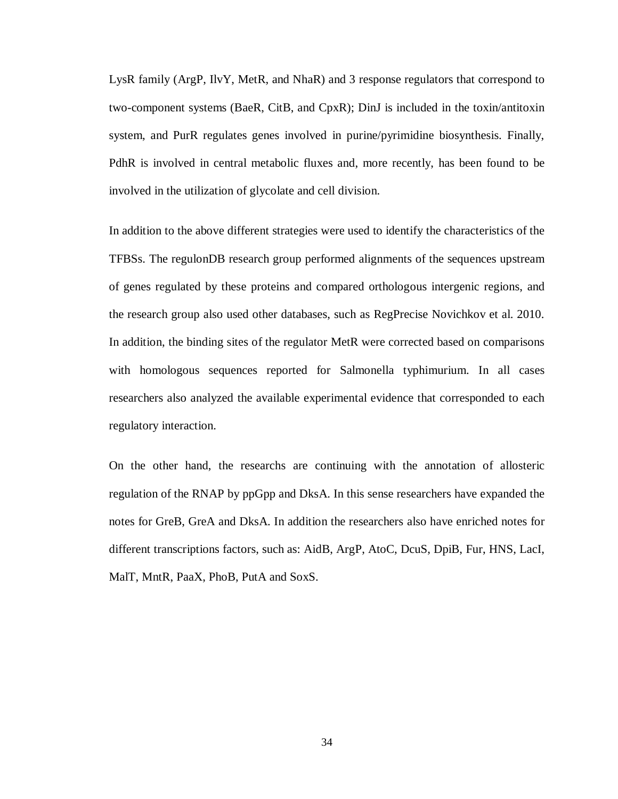LysR family (ArgP, IlvY, MetR, and NhaR) and 3 response regulators that correspond to two-component systems (BaeR, CitB, and CpxR); DinJ is included in the toxin/antitoxin system, and PurR regulates genes involved in purine/pyrimidine biosynthesis. Finally, PdhR is involved in central metabolic fluxes and, more recently, has been found to be involved in the utilization of glycolate and cell division.

In addition to the above different strategies were used to identify the characteristics of the TFBSs. The regulonDB research group performed alignments of the sequences upstream of genes regulated by these proteins and compared orthologous intergenic regions, and the research group also used other databases, such as RegPrecise Novichkov et al. 2010. In addition, the binding sites of the regulator MetR were corrected based on comparisons with homologous sequences reported for Salmonella typhimurium. In all cases researchers also analyzed the available experimental evidence that corresponded to each regulatory interaction.

On the other hand, the researchs are continuing with the annotation of allosteric regulation of the RNAP by ppGpp and DksA. In this sense researchers have expanded the notes for GreB, GreA and DksA. In addition the researchers also have enriched notes for different transcriptions factors, such as: AidB, ArgP, AtoC, DcuS, DpiB, Fur, HNS, LacI, MalT, MntR, PaaX, PhoB, PutA and SoxS.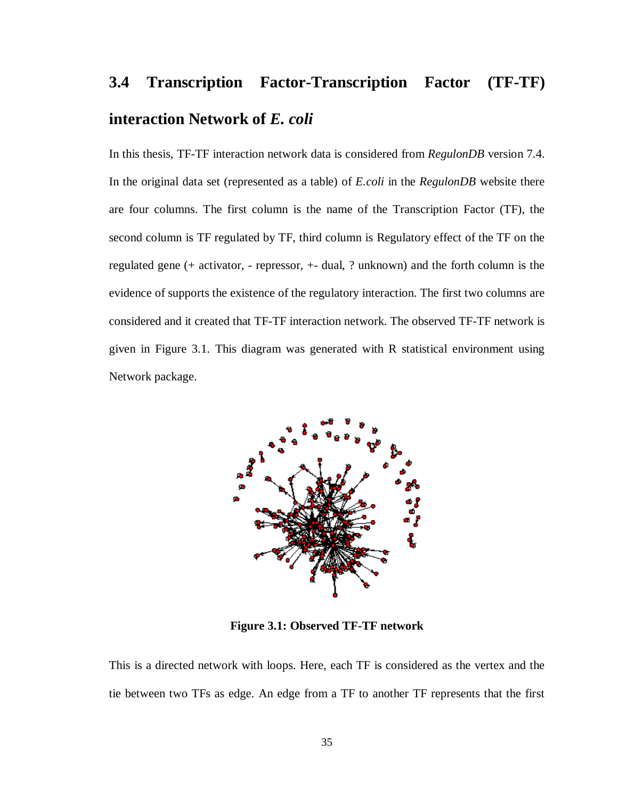# **3.4 Transcription Factor-Transcription Factor (TF-TF) interaction Network of** *E. coli*

In this thesis, TF-TF interaction network data is considered from *RegulonDB* version 7.4. In the original data set (represented as a table) of *E.coli* in the *RegulonDB* website there are four columns. The first column is the name of the Transcription Factor (TF), the second column is TF regulated by TF, third column is Regulatory effect of the TF on the regulated gene (+ activator, - repressor, +- dual, ? unknown) and the forth column is the evidence of supports the existence of the regulatory interaction. The first two columns are considered and it created that TF-TF interaction network. The observed TF-TF network is given in Figure 3.1. This diagram was generated with R statistical environment using Network package.



**Figure 3.1: Observed TF-TF network** 

This is a directed network with loops. Here, each TF is considered as the vertex and the tie between two TFs as edge. An edge from a TF to another TF represents that the first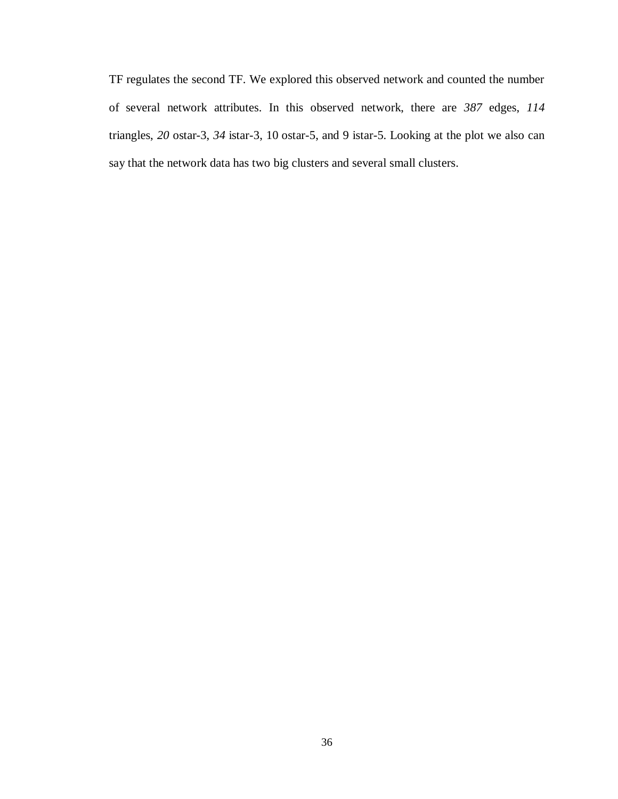TF regulates the second TF. We explored this observed network and counted the number of several network attributes. In this observed network, there are *387* edges, *114* triangles, *20* ostar-3, *34* istar-3, 10 ostar-5, and 9 istar-5. Looking at the plot we also can say that the network data has two big clusters and several small clusters.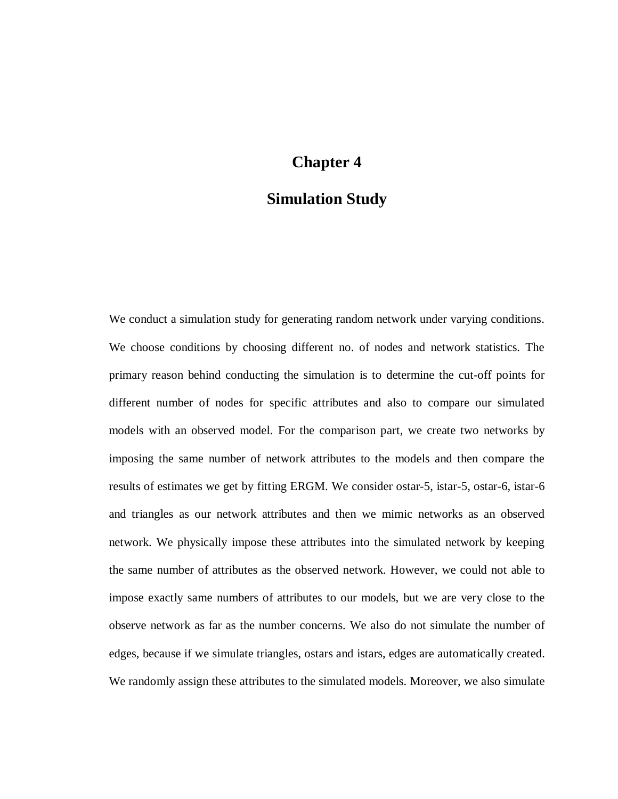# **Chapter 4**

# **Simulation Study**

We conduct a simulation study for generating random network under varying conditions. We choose conditions by choosing different no. of nodes and network statistics. The primary reason behind conducting the simulation is to determine the cut-off points for different number of nodes for specific attributes and also to compare our simulated models with an observed model. For the comparison part, we create two networks by imposing the same number of network attributes to the models and then compare the results of estimates we get by fitting ERGM. We consider ostar-5, istar-5, ostar-6, istar-6 and triangles as our network attributes and then we mimic networks as an observed network. We physically impose these attributes into the simulated network by keeping the same number of attributes as the observed network. However, we could not able to impose exactly same numbers of attributes to our models, but we are very close to the observe network as far as the number concerns. We also do not simulate the number of edges, because if we simulate triangles, ostars and istars, edges are automatically created. We randomly assign these attributes to the simulated models. Moreover, we also simulate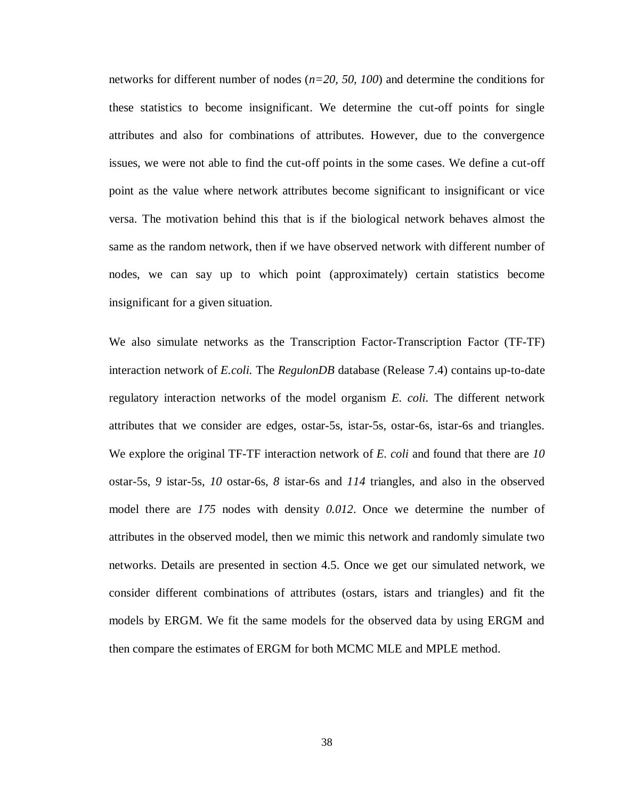networks for different number of nodes (*n=20, 50, 100*) and determine the conditions for these statistics to become insignificant. We determine the cut-off points for single attributes and also for combinations of attributes. However, due to the convergence issues, we were not able to find the cut-off points in the some cases. We define a cut-off point as the value where network attributes become significant to insignificant or vice versa. The motivation behind this that is if the biological network behaves almost the same as the random network, then if we have observed network with different number of nodes, we can say up to which point (approximately) certain statistics become insignificant for a given situation.

We also simulate networks as the Transcription Factor-Transcription Factor (TF-TF) interaction network of *E.coli.* The *RegulonDB* database (Release 7.4) contains up-to-date regulatory interaction networks of the model organism *E. coli.* The different network attributes that we consider are edges, ostar-5s, istar-5s, ostar-6s, istar-6s and triangles. We explore the original TF-TF interaction network of *E. coli* and found that there are *10* ostar-5s, *9* istar-5s, *10* ostar-6s, *8* istar-6s and *114* triangles, and also in the observed model there are *175* nodes with density *0.012*. Once we determine the number of attributes in the observed model, then we mimic this network and randomly simulate two networks. Details are presented in section 4.5. Once we get our simulated network, we consider different combinations of attributes (ostars, istars and triangles) and fit the models by ERGM. We fit the same models for the observed data by using ERGM and then compare the estimates of ERGM for both MCMC MLE and MPLE method.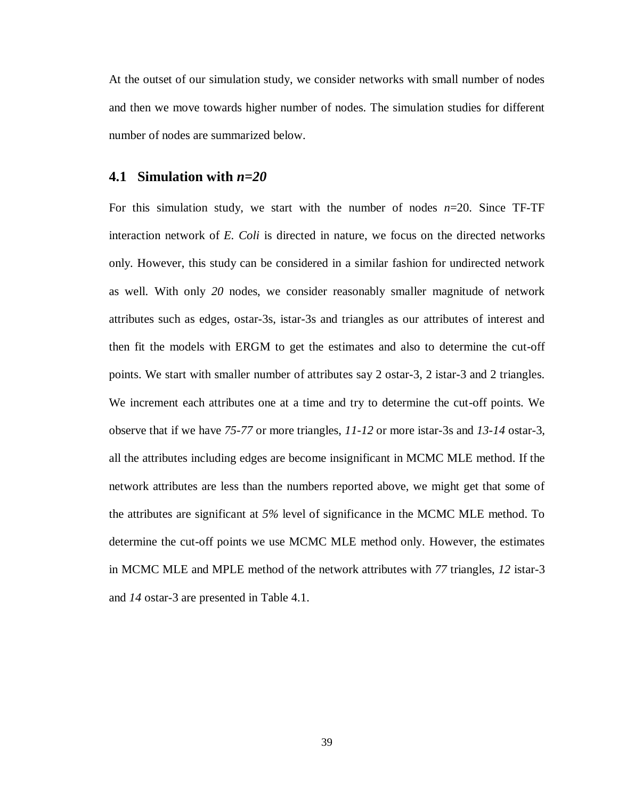At the outset of our simulation study, we consider networks with small number of nodes and then we move towards higher number of nodes. The simulation studies for different number of nodes are summarized below.

#### **4.1 Simulation with** *n=20*

For this simulation study, we start with the number of nodes  $n=20$ . Since TF-TF interaction network of *E. Coli* is directed in nature, we focus on the directed networks only. However, this study can be considered in a similar fashion for undirected network as well. With only *20* nodes, we consider reasonably smaller magnitude of network attributes such as edges, ostar-3s, istar-3s and triangles as our attributes of interest and then fit the models with ERGM to get the estimates and also to determine the cut-off points. We start with smaller number of attributes say 2 ostar-3, 2 istar-3 and 2 triangles. We increment each attributes one at a time and try to determine the cut-off points. We observe that if we have *75-77* or more triangles, *11-12* or more istar-3s and *13-14* ostar-3, all the attributes including edges are become insignificant in MCMC MLE method. If the network attributes are less than the numbers reported above, we might get that some of the attributes are significant at *5%* level of significance in the MCMC MLE method. To determine the cut-off points we use MCMC MLE method only. However, the estimates in MCMC MLE and MPLE method of the network attributes with *77* triangles, *12* istar-3 and *14* ostar-3 are presented in Table 4.1.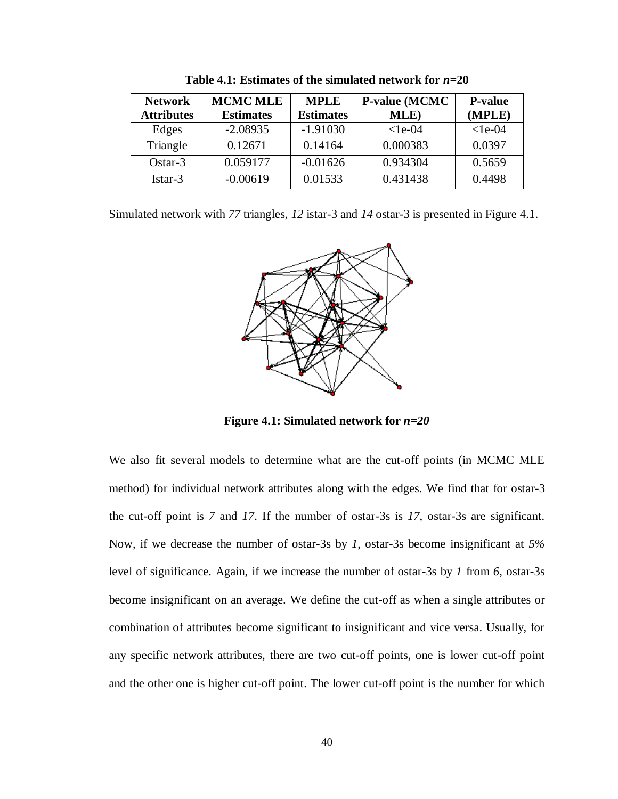| <b>Network</b>    | <b>MCMC MLE</b>  | <b>MPLE</b>      | P-value (MCMC | <b>P-value</b> |
|-------------------|------------------|------------------|---------------|----------------|
| <b>Attributes</b> | <b>Estimates</b> | <b>Estimates</b> | MLE)          | (MPLE)         |
| Edges             | $-2.08935$       | $-1.91030$       | $<$ 1e-04     | $<$ 1e-04      |
| Triangle          | 0.12671          | 0.14164          | 0.000383      | 0.0397         |
| $Ostar-3$         | 0.059177         | $-0.01626$       | 0.934304      | 0.5659         |
| Istar-3           | $-0.00619$       | 0.01533          | 0.431438      | 0.4498         |

**Table 4.1: Estimates of the simulated network for** *n***=20**

Simulated network with *77* triangles, *12* istar-3 and *14* ostar-3 is presented in Figure 4.1.



**Figure 4.1: Simulated network for** *n=20*

We also fit several models to determine what are the cut-off points (in MCMC MLE method) for individual network attributes along with the edges. We find that for ostar-3 the cut-off point is *7* and *17*. If the number of ostar-3s is *17*, ostar-3s are significant. Now, if we decrease the number of ostar-3s by *1*, ostar-3s become insignificant at *5%* level of significance. Again, if we increase the number of ostar-3s by *1* from *6*, ostar-3s become insignificant on an average. We define the cut-off as when a single attributes or combination of attributes become significant to insignificant and vice versa. Usually, for any specific network attributes, there are two cut-off points, one is lower cut-off point and the other one is higher cut-off point. The lower cut-off point is the number for which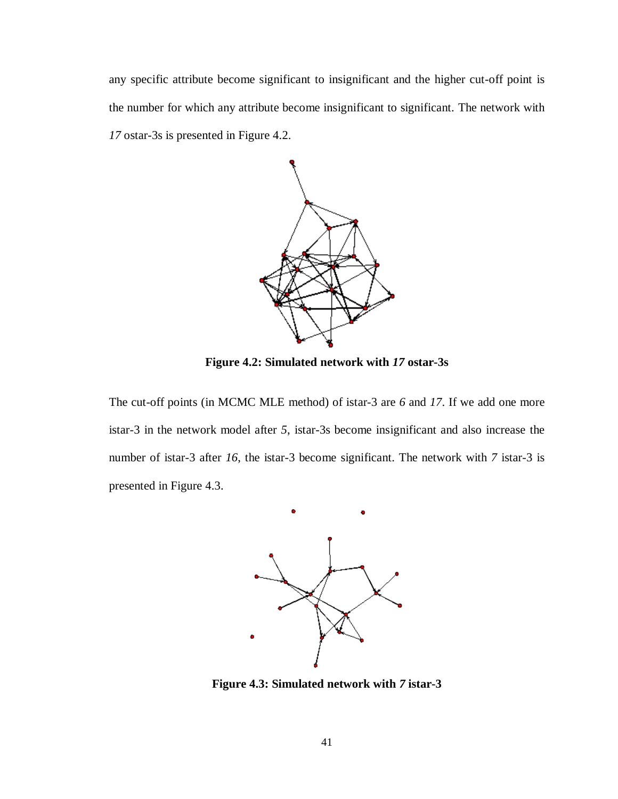any specific attribute become significant to insignificant and the higher cut-off point is the number for which any attribute become insignificant to significant. The network with *17* ostar-3s is presented in Figure 4.2.



**Figure 4.2: Simulated network with** *17* **ostar-3s**

The cut-off points (in MCMC MLE method) of istar-3 are *6* and *17*. If we add one more istar-3 in the network model after *5*, istar-3s become insignificant and also increase the number of istar-3 after *16*, the istar-3 become significant. The network with *7* istar-3 is presented in Figure 4.3.



**Figure 4.3: Simulated network with** *7* **istar-3**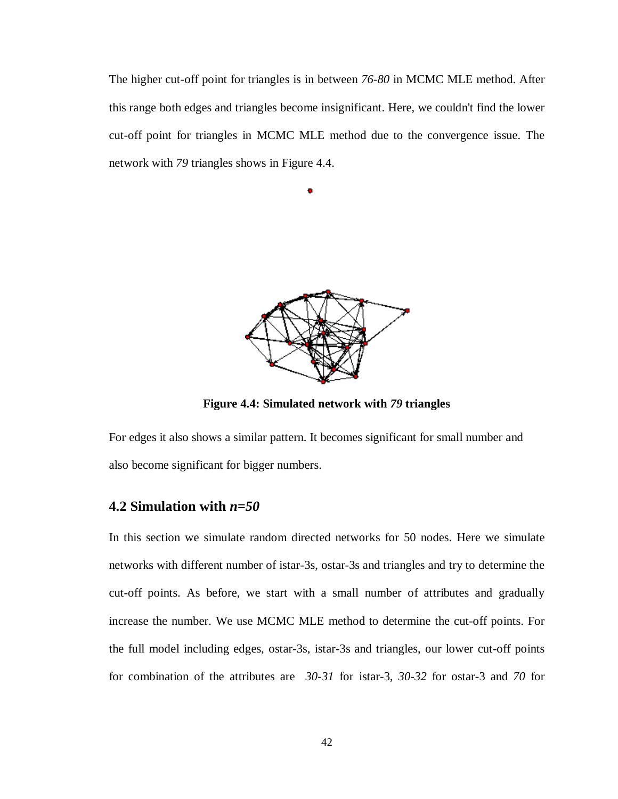The higher cut-off point for triangles is in between *76-80* in MCMC MLE method. After this range both edges and triangles become insignificant. Here, we couldn't find the lower cut-off point for triangles in MCMC MLE method due to the convergence issue. The network with *79* triangles shows in Figure 4.4.

 $\bullet$ 



**Figure 4.4: Simulated network with** *79* **triangles**

For edges it also shows a similar pattern. It becomes significant for small number and also become significant for bigger numbers.

#### **4.2 Simulation with** *n=50*

In this section we simulate random directed networks for 50 nodes. Here we simulate networks with different number of istar-3s, ostar-3s and triangles and try to determine the cut-off points. As before, we start with a small number of attributes and gradually increase the number. We use MCMC MLE method to determine the cut-off points. For the full model including edges, ostar-3s, istar-3s and triangles, our lower cut-off points for combination of the attributes are *30-31* for istar-3, *30-32* for ostar-3 and *70* for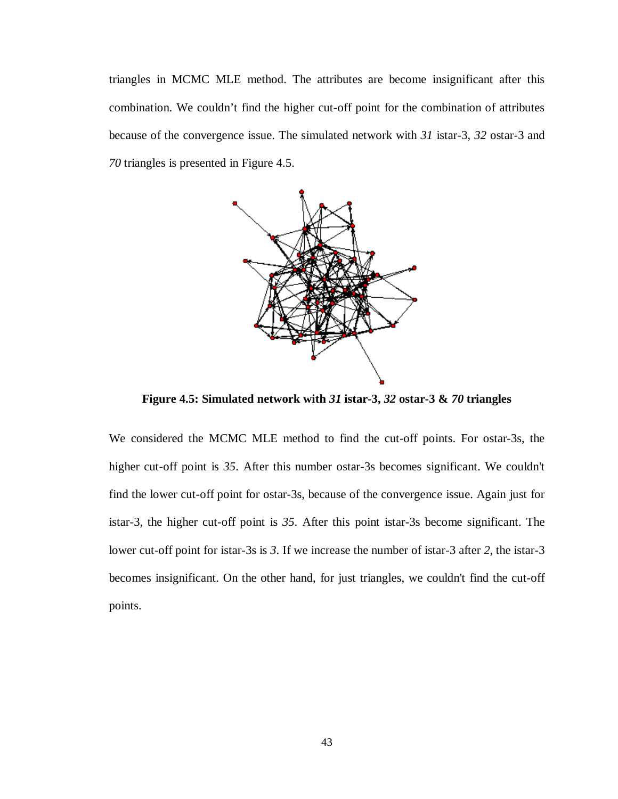triangles in MCMC MLE method. The attributes are become insignificant after this combination. We couldn't find the higher cut-off point for the combination of attributes because of the convergence issue. The simulated network with *31* istar-3, *32* ostar-3 and *70* triangles is presented in Figure 4.5.



**Figure 4.5: Simulated network with** *31* **istar-3,** *32* **ostar-3 &** *70* **triangles**

We considered the MCMC MLE method to find the cut-off points. For ostar-3s, the higher cut-off point is *35*. After this number ostar-3s becomes significant. We couldn't find the lower cut-off point for ostar-3s, because of the convergence issue. Again just for istar-3, the higher cut-off point is *35*. After this point istar-3s become significant. The lower cut-off point for istar-3s is *3*. If we increase the number of istar-3 after *2*, the istar-3 becomes insignificant. On the other hand, for just triangles, we couldn't find the cut-off points.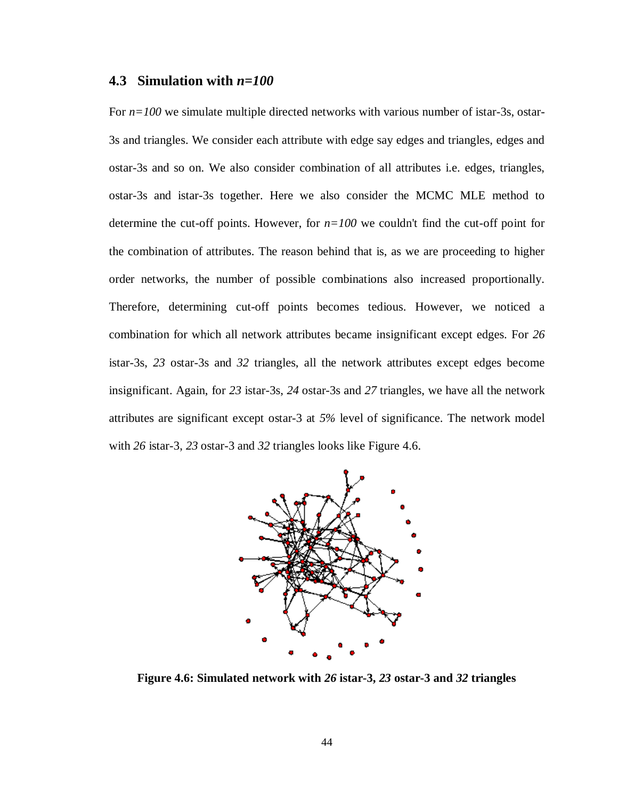#### **4.3 Simulation with** *n=100*

For  $n=100$  we simulate multiple directed networks with various number of istar-3s, ostar-3s and triangles. We consider each attribute with edge say edges and triangles, edges and ostar-3s and so on. We also consider combination of all attributes i.e. edges, triangles, ostar-3s and istar-3s together. Here we also consider the MCMC MLE method to determine the cut-off points. However, for  $n=100$  we couldn't find the cut-off point for the combination of attributes. The reason behind that is, as we are proceeding to higher order networks, the number of possible combinations also increased proportionally. Therefore, determining cut-off points becomes tedious. However, we noticed a combination for which all network attributes became insignificant except edges. For *26* istar-3s, *23* ostar-3s and *32* triangles, all the network attributes except edges become insignificant. Again, for *23* istar-3s, *24* ostar-3s and *27* triangles, we have all the network attributes are significant except ostar-3 at *5%* level of significance. The network model with *26* istar-3, *23* ostar-3 and *32* triangles looks like Figure 4.6.



**Figure 4.6: Simulated network with** *26* **istar-3,** *23* **ostar-3 and** *32* **triangles**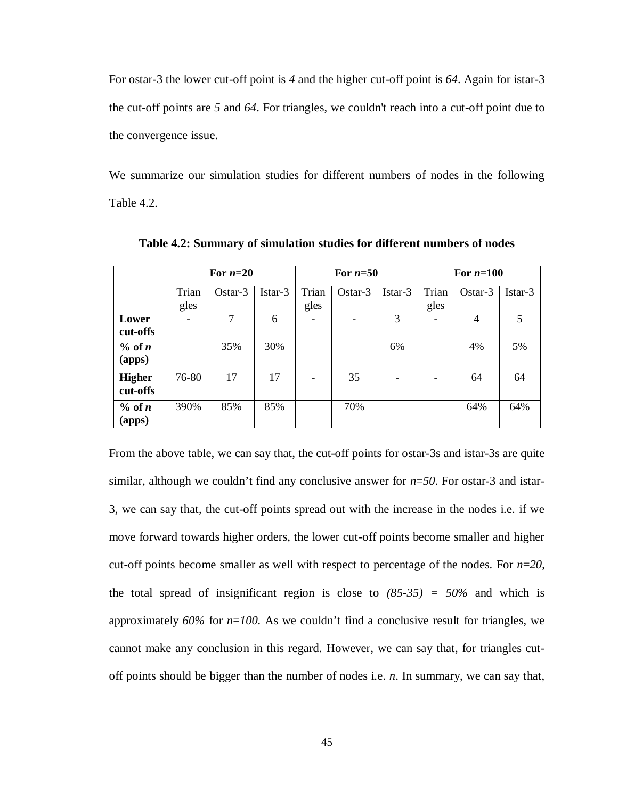For ostar-3 the lower cut-off point is *4* and the higher cut-off point is *64*. Again for istar-3 the cut-off points are *5* and *64*. For triangles, we couldn't reach into a cut-off point due to the convergence issue.

We summarize our simulation studies for different numbers of nodes in the following Table 4.2.

|                           |               | For $n=20$     |         |               | For $n=50$ |         |                          | For $n=100$ |         |
|---------------------------|---------------|----------------|---------|---------------|------------|---------|--------------------------|-------------|---------|
|                           | Trian<br>gles | Ostar-3        | Istar-3 | Trian<br>gles | Ostar-3    | Istar-3 | Trian<br>gles            | Ostar-3     | Istar-3 |
| Lower<br>cut-offs         |               | $\overline{7}$ | 6       |               |            | 3       | -                        | 4           | 5       |
| $%$ of n<br>(apps)        |               | 35%            | 30%     |               |            | 6%      |                          | 4%          | 5%      |
| <b>Higher</b><br>cut-offs | 76-80         | 17             | 17      |               | 35         |         | $\overline{\phantom{a}}$ | 64          | 64      |
| % of n<br>(apps)          | 390%          | 85%            | 85%     |               | 70%        |         |                          | 64%         | 64%     |

**Table 4.2: Summary of simulation studies for different numbers of nodes**

From the above table, we can say that, the cut-off points for ostar-3s and istar-3s are quite similar, although we couldn't find any conclusive answer for  $n=50$ . For ostar-3 and istar-3, we can say that, the cut-off points spread out with the increase in the nodes i.e. if we move forward towards higher orders, the lower cut-off points become smaller and higher cut-off points become smaller as well with respect to percentage of the nodes. For *n*=*20*, the total spread of insignificant region is close to *(85-35) = 50%* and which is approximately *60%* for *n*=*100.* As we couldn't find a conclusive result for triangles, we cannot make any conclusion in this regard. However, we can say that, for triangles cutoff points should be bigger than the number of nodes i.e. *n*. In summary, we can say that,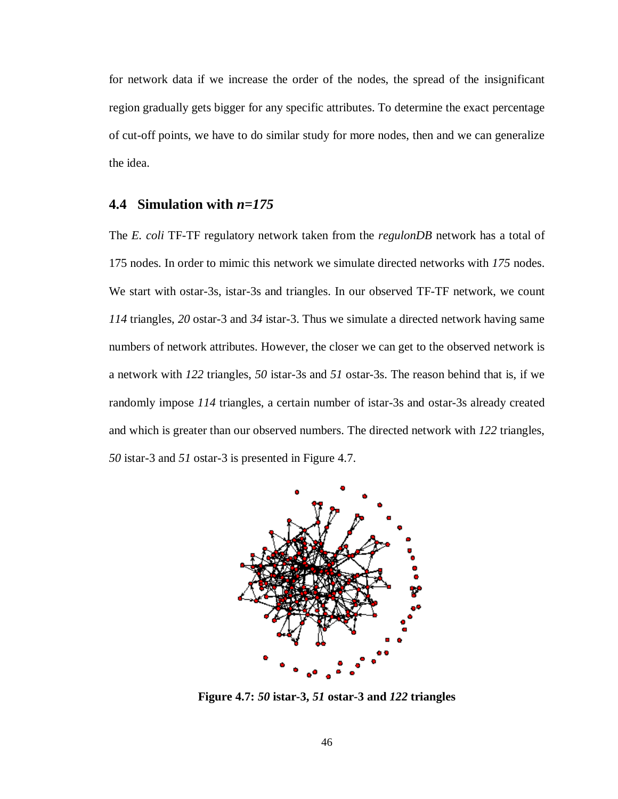for network data if we increase the order of the nodes, the spread of the insignificant region gradually gets bigger for any specific attributes. To determine the exact percentage of cut-off points, we have to do similar study for more nodes, then and we can generalize the idea.

#### **4.4 Simulation with** *n=175*

The *E. coli* TF-TF regulatory network taken from the *regulonDB* network has a total of 175 nodes. In order to mimic this network we simulate directed networks with *175* nodes. We start with ostar-3s, istar-3s and triangles. In our observed TF-TF network, we count *114* triangles, *20* ostar-3 and *34* istar-3. Thus we simulate a directed network having same numbers of network attributes. However, the closer we can get to the observed network is a network with *122* triangles, *50* istar-3s and *51* ostar-3s. The reason behind that is, if we randomly impose *114* triangles, a certain number of istar-3s and ostar-3s already created and which is greater than our observed numbers. The directed network with *122* triangles, *50* istar-3 and *51* ostar-3 is presented in Figure 4.7.



**Figure 4.7:** *50* **istar-3,** *51* **ostar-3 and** *122* **triangles**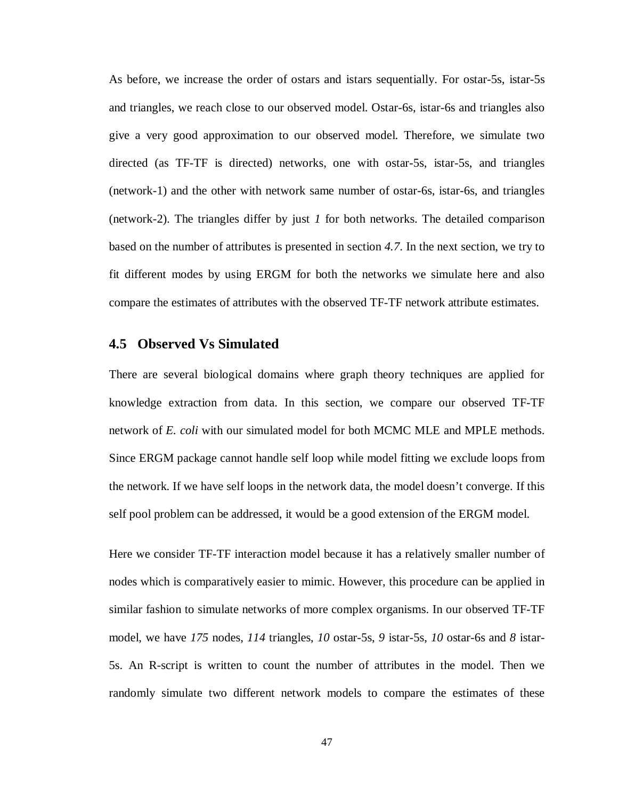As before, we increase the order of ostars and istars sequentially. For ostar-5s, istar-5s and triangles, we reach close to our observed model. Ostar-6s, istar-6s and triangles also give a very good approximation to our observed model. Therefore, we simulate two directed (as TF-TF is directed) networks, one with ostar-5s, istar-5s, and triangles (network-1) and the other with network same number of ostar-6s, istar-6s, and triangles (network-2). The triangles differ by just *1* for both networks. The detailed comparison based on the number of attributes is presented in section *4.7*. In the next section, we try to fit different modes by using ERGM for both the networks we simulate here and also compare the estimates of attributes with the observed TF-TF network attribute estimates.

#### **4.5 Observed Vs Simulated**

There are several biological domains where graph theory techniques are applied for knowledge extraction from data. In this section, we compare our observed TF-TF network of *E. coli* with our simulated model for both MCMC MLE and MPLE methods. Since ERGM package cannot handle self loop while model fitting we exclude loops from the network. If we have self loops in the network data, the model doesn't converge. If this self pool problem can be addressed, it would be a good extension of the ERGM model.

Here we consider TF-TF interaction model because it has a relatively smaller number of nodes which is comparatively easier to mimic. However, this procedure can be applied in similar fashion to simulate networks of more complex organisms. In our observed TF-TF model, we have *175* nodes, *114* triangles, *10* ostar-5s, *9* istar-5s, *10* ostar-6s and *8* istar-5s. An R-script is written to count the number of attributes in the model. Then we randomly simulate two different network models to compare the estimates of these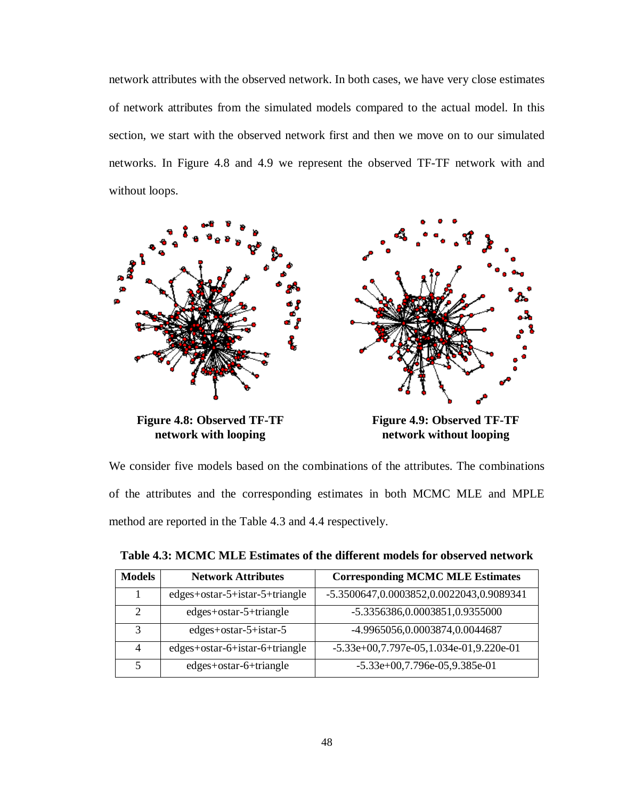network attributes with the observed network. In both cases, we have very close estimates of network attributes from the simulated models compared to the actual model. In this section, we start with the observed network first and then we move on to our simulated networks. In Figure 4.8 and 4.9 we represent the observed TF-TF network with and without loops.



**network with looping**

**network without looping**

We consider five models based on the combinations of the attributes. The combinations of the attributes and the corresponding estimates in both MCMC MLE and MPLE method are reported in the Table 4.3 and 4.4 respectively.

| <b>Models</b>               | <b>Network Attributes</b>      | <b>Corresponding MCMC MLE Estimates</b>   |
|-----------------------------|--------------------------------|-------------------------------------------|
|                             | edges+ostar-5+istar-5+triangle | -5.3500647,0.0003852,0.0022043,0.9089341  |
| $\mathcal{D}_{\mathcal{L}}$ | edges+ostar-5+triangle         | -5.3356386,0.0003851,0.9355000            |
| 3                           | $edges + ostar-5 + istar-5$    | -4.9965056,0.0003874,0.0044687            |
| 4                           | edges+ostar-6+istar-6+triangle | $-5.33e+00,7.797e-05,1.034e-01,9.220e-01$ |
| 5                           | edges+ostar-6+triangle         | $-5.33e+00,7.796e-05,9.385e-01$           |

**Table 4.3: MCMC MLE Estimates of the different models for observed network**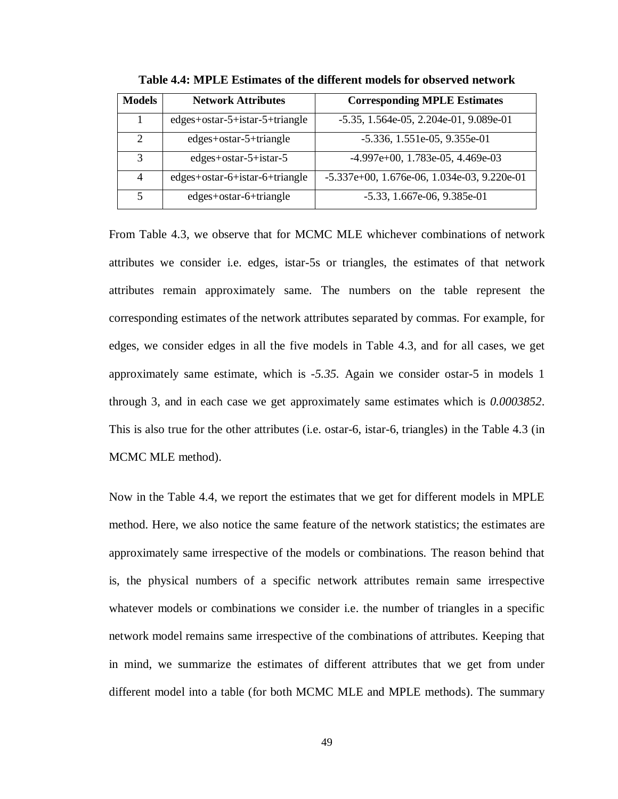| <b>Models</b>  | <b>Network Attributes</b>      | <b>Corresponding MPLE Estimates</b>            |
|----------------|--------------------------------|------------------------------------------------|
|                | edges+ostar-5+istar-5+triangle | $-5.35, 1.564e-05, 2.204e-01, 9.089e-01$       |
| $\overline{c}$ | edges+ostar-5+triangle         | $-5.336$ , 1.551e $-05$ , 9.355e $-01$         |
| 3              | $edges + ostar-5 + istar-5$    | $-4.997e+00$ , 1.783e-05, 4.469e-03            |
| 4              | edges+ostar-6+istar-6+triangle | $-5.337e+00$ , 1.676e-06, 1.034e-03, 9.220e-01 |
| 5              | edges+ostar-6+triangle         | $-5.33, 1.667e-06, 9.385e-01$                  |

**Table 4.4: MPLE Estimates of the different models for observed network**

From Table 4.3, we observe that for MCMC MLE whichever combinations of network attributes we consider i.e. edges, istar-5s or triangles, the estimates of that network attributes remain approximately same. The numbers on the table represent the corresponding estimates of the network attributes separated by commas. For example, for edges, we consider edges in all the five models in Table 4.3, and for all cases, we get approximately same estimate, which is *-5.35.* Again we consider ostar-5 in models 1 through 3, and in each case we get approximately same estimates which is *0.0003852*. This is also true for the other attributes (i.e. ostar-6, istar-6, triangles) in the Table 4.3 (in MCMC MLE method).

Now in the Table 4.4, we report the estimates that we get for different models in MPLE method. Here, we also notice the same feature of the network statistics; the estimates are approximately same irrespective of the models or combinations. The reason behind that is, the physical numbers of a specific network attributes remain same irrespective whatever models or combinations we consider i.e. the number of triangles in a specific network model remains same irrespective of the combinations of attributes. Keeping that in mind, we summarize the estimates of different attributes that we get from under different model into a table (for both MCMC MLE and MPLE methods). The summary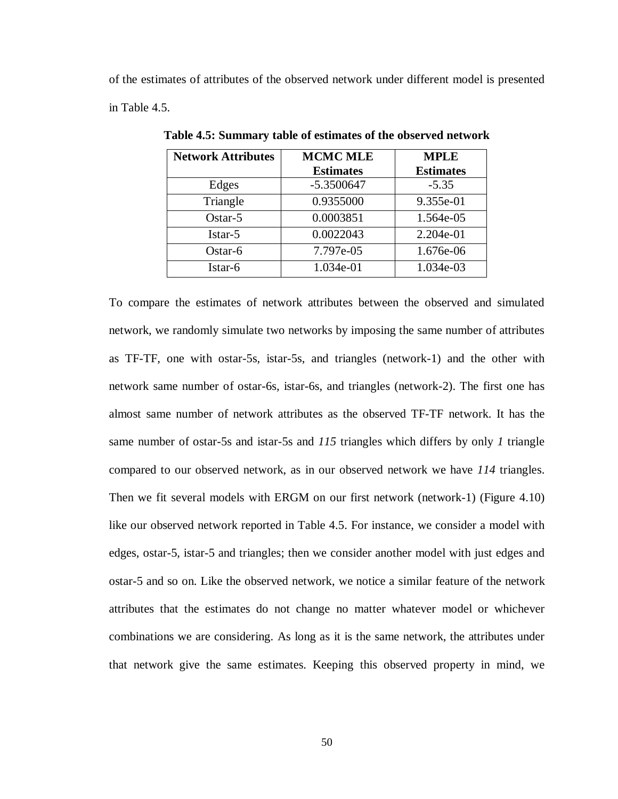of the estimates of attributes of the observed network under different model is presented in Table 4.5.

| <b>Network Attributes</b> | <b>MCMC MLE</b>  | <b>MPLE</b>      |
|---------------------------|------------------|------------------|
|                           | <b>Estimates</b> | <b>Estimates</b> |
| Edges                     | $-5.3500647$     | $-5.35$          |
| Triangle                  | 0.9355000        | 9.355e-01        |
| $Ostar-5$                 | 0.0003851        | 1.564e-05        |
| Istar-5                   | 0.0022043        | 2.204e-01        |
| Ostar-6                   | 7.797e-05        | 1.676e-06        |
| Istar-6                   | 1.034e-01        | 1.034e-03        |

**Table 4.5: Summary table of estimates of the observed network**

To compare the estimates of network attributes between the observed and simulated network, we randomly simulate two networks by imposing the same number of attributes as TF-TF, one with ostar-5s, istar-5s, and triangles (network-1) and the other with network same number of ostar-6s, istar-6s, and triangles (network-2). The first one has almost same number of network attributes as the observed TF-TF network. It has the same number of ostar-5s and istar-5s and *115* triangles which differs by only *1* triangle compared to our observed network, as in our observed network we have *114* triangles. Then we fit several models with ERGM on our first network (network-1) (Figure 4.10) like our observed network reported in Table 4.5. For instance, we consider a model with edges, ostar-5, istar-5 and triangles; then we consider another model with just edges and ostar-5 and so on. Like the observed network, we notice a similar feature of the network attributes that the estimates do not change no matter whatever model or whichever combinations we are considering. As long as it is the same network, the attributes under that network give the same estimates. Keeping this observed property in mind, we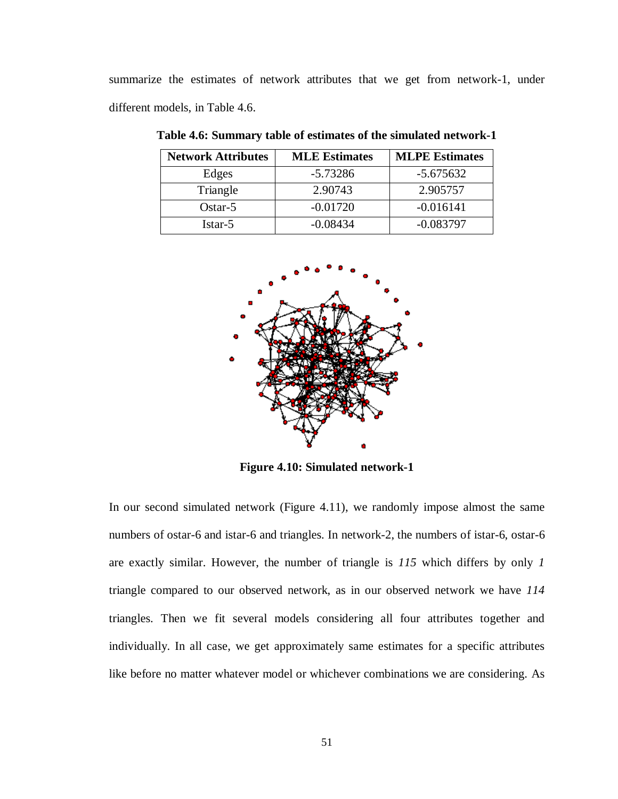summarize the estimates of network attributes that we get from network-1, under different models, in Table 4.6.

| <b>Network Attributes</b> | <b>MLE Estimates</b> | <b>MLPE Estimates</b> |
|---------------------------|----------------------|-----------------------|
| Edges                     | $-5.73286$           | $-5.675632$           |
| Triangle                  | 2.90743              | 2.905757              |
| $Ostar-5$                 | $-0.01720$           | $-0.016141$           |
| Istar-5                   | $-0.08434$           | $-0.083797$           |

**Table 4.6: Summary table of estimates of the simulated network-1**



**Figure 4.10: Simulated network-1**

In our second simulated network (Figure 4.11), we randomly impose almost the same numbers of ostar-6 and istar-6 and triangles. In network-2, the numbers of istar-6, ostar-6 are exactly similar. However, the number of triangle is *115* which differs by only *1* triangle compared to our observed network, as in our observed network we have *114* triangles. Then we fit several models considering all four attributes together and individually. In all case, we get approximately same estimates for a specific attributes like before no matter whatever model or whichever combinations we are considering. As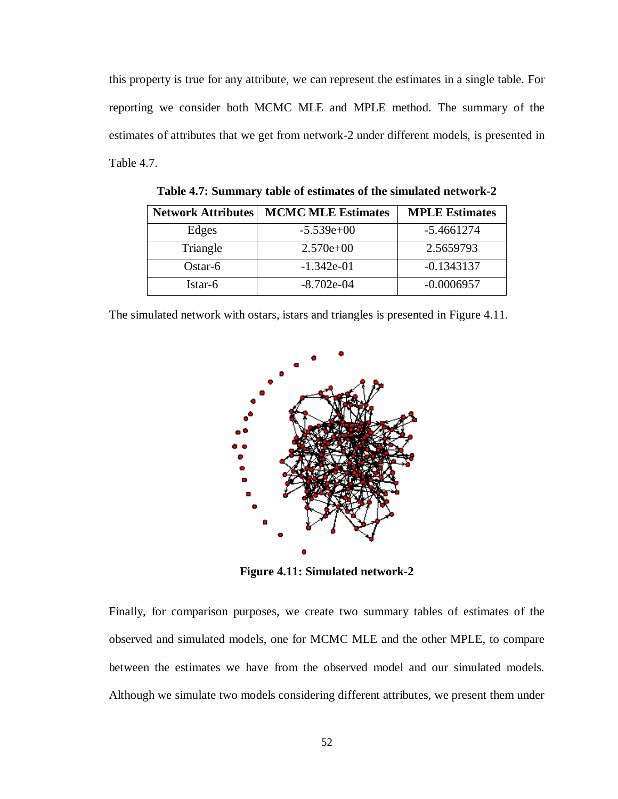this property is true for any attribute, we can represent the estimates in a single table. For reporting we consider both MCMC MLE and MPLE method. The summary of the estimates of attributes that we get from network-2 under different models, is presented in Table 4.7.

| <b>Network Attributes</b> | <b>MCMC MLE Estimates</b> | <b>MPLE Estimates</b> |
|---------------------------|---------------------------|-----------------------|
| Edges                     | $-5.539e+00$              | $-5.4661274$          |
| Triangle                  | $2.570e+00$               | 2.5659793             |
| Ostar- $6$                | $-1.342e-01$              | $-0.1343137$          |
| Istar-6                   | $-8.702e-04$              | $-0.0006957$          |

**Table 4.7: Summary table of estimates of the simulated network-2**

The simulated network with ostars, istars and triangles is presented in Figure 4.11.



**Figure 4.11: Simulated network-2**

Finally, for comparison purposes, we create two summary tables of estimates of the observed and simulated models, one for MCMC MLE and the other MPLE, to compare between the estimates we have from the observed model and our simulated models. Although we simulate two models considering different attributes, we present them under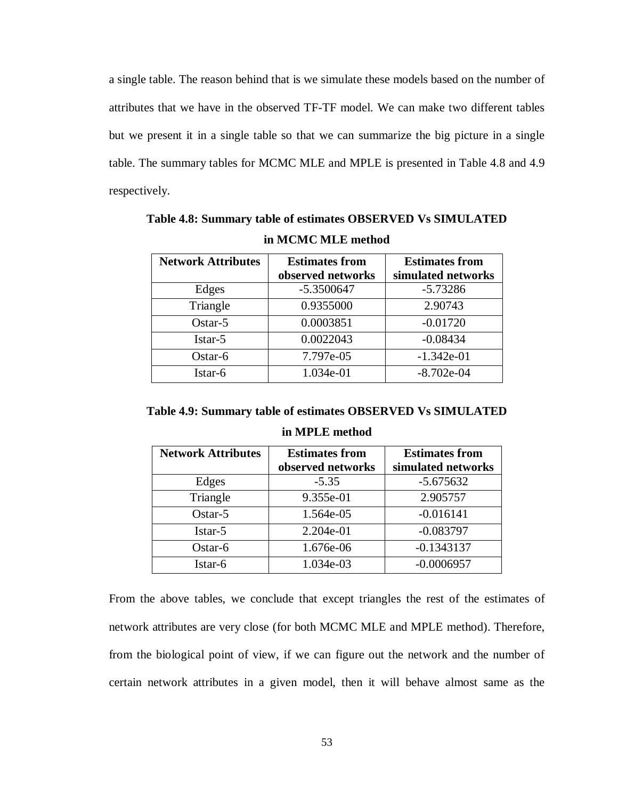a single table. The reason behind that is we simulate these models based on the number of attributes that we have in the observed TF-TF model. We can make two different tables but we present it in a single table so that we can summarize the big picture in a single table. The summary tables for MCMC MLE and MPLE is presented in Table 4.8 and 4.9 respectively.

**Network Attributes Estimates from observed networks Estimates from simulated networks** Edges 1.5.3500647 -5.73286 Triangle 0.9355000 2.90743 Ostar-5 1 0.0003851 -0.01720  $Istar-5$  0.0022043  $-0.08434$ Ostar-6 7.797e-05 -1.342e-01  $Istar-6$   $1.034e-01$   $-8.702e-04$ 

**Table 4.8: Summary table of estimates OBSERVED Vs SIMULATED in MCMC MLE method**

| <b>Network Attributes</b> | <b>Estimates from</b><br>observed networks | <b>Estimates from</b><br>simulated networks |
|---------------------------|--------------------------------------------|---------------------------------------------|
| Edges                     | $-5.35$                                    | $-5.675632$                                 |
| Triangle                  | 9.355e-01                                  | 2.905757                                    |
| $Ostar-5$                 | 1.564e-05                                  | $-0.016141$                                 |
| Istar-5                   | 2.204e-01                                  | $-0.083797$                                 |
| $Ostar-6$                 | 1.676e-06                                  | $-0.1343137$                                |
| Istar-6                   | 1.034e-03                                  | $-0.0006957$                                |

**in MPLE method**

From the above tables, we conclude that except triangles the rest of the estimates of network attributes are very close (for both MCMC MLE and MPLE method). Therefore, from the biological point of view, if we can figure out the network and the number of certain network attributes in a given model, then it will behave almost same as the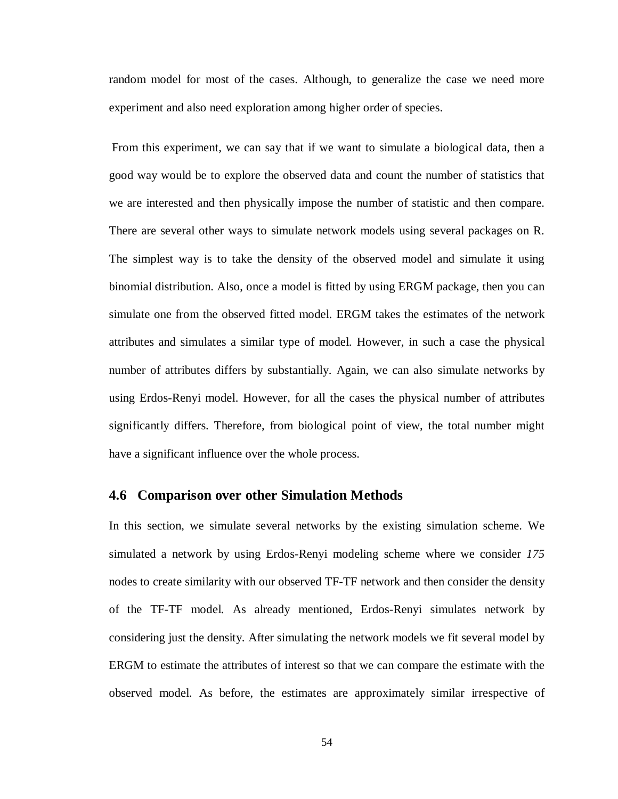random model for most of the cases. Although, to generalize the case we need more experiment and also need exploration among higher order of species.

From this experiment, we can say that if we want to simulate a biological data, then a good way would be to explore the observed data and count the number of statistics that we are interested and then physically impose the number of statistic and then compare. There are several other ways to simulate network models using several packages on R. The simplest way is to take the density of the observed model and simulate it using binomial distribution. Also, once a model is fitted by using ERGM package, then you can simulate one from the observed fitted model. ERGM takes the estimates of the network attributes and simulates a similar type of model. However, in such a case the physical number of attributes differs by substantially. Again, we can also simulate networks by using Erdos-Renyi model. However, for all the cases the physical number of attributes significantly differs. Therefore, from biological point of view, the total number might have a significant influence over the whole process.

#### **4.6 Comparison over other Simulation Methods**

In this section, we simulate several networks by the existing simulation scheme. We simulated a network by using Erdos-Renyi modeling scheme where we consider *175* nodes to create similarity with our observed TF-TF network and then consider the density of the TF-TF model. As already mentioned, Erdos-Renyi simulates network by considering just the density. After simulating the network models we fit several model by ERGM to estimate the attributes of interest so that we can compare the estimate with the observed model. As before, the estimates are approximately similar irrespective of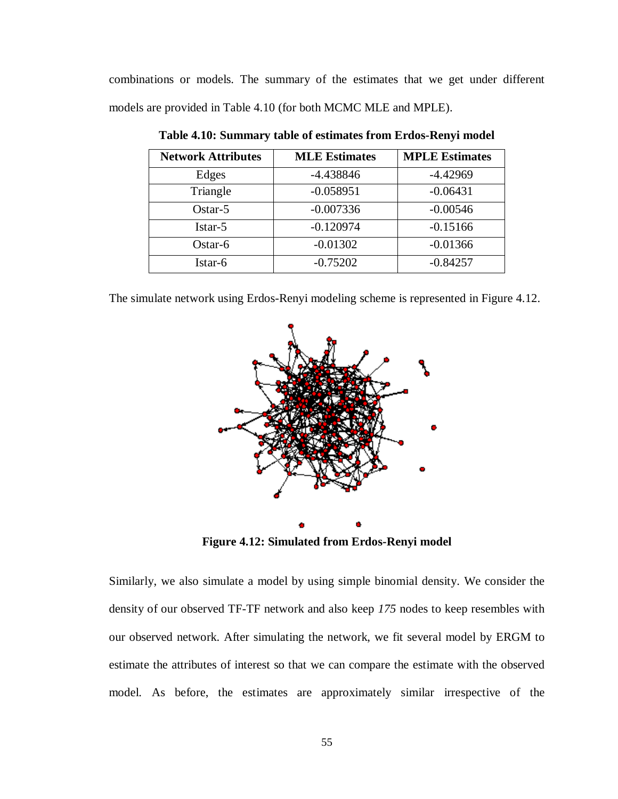combinations or models. The summary of the estimates that we get under different models are provided in Table 4.10 (for both MCMC MLE and MPLE).

| <b>Network Attributes</b> | <b>MLE Estimates</b> | <b>MPLE Estimates</b> |
|---------------------------|----------------------|-----------------------|
| Edges                     | $-4.438846$          | $-4.42969$            |
| Triangle                  | $-0.058951$          | $-0.06431$            |
| $Ostar-5$                 | $-0.007336$          | $-0.00546$            |
| Istar-5                   | $-0.120974$          | $-0.15166$            |
| Ostar-6                   | $-0.01302$           | $-0.01366$            |
| Istar-6                   | $-0.75202$           | $-0.84257$            |

**Table 4.10: Summary table of estimates from Erdos-Renyi model**

The simulate network using Erdos-Renyi modeling scheme is represented in Figure 4.12.



**Figure 4.12: Simulated from Erdos-Renyi model**

Similarly, we also simulate a model by using simple binomial density. We consider the density of our observed TF-TF network and also keep *175* nodes to keep resembles with our observed network. After simulating the network, we fit several model by ERGM to estimate the attributes of interest so that we can compare the estimate with the observed model. As before, the estimates are approximately similar irrespective of the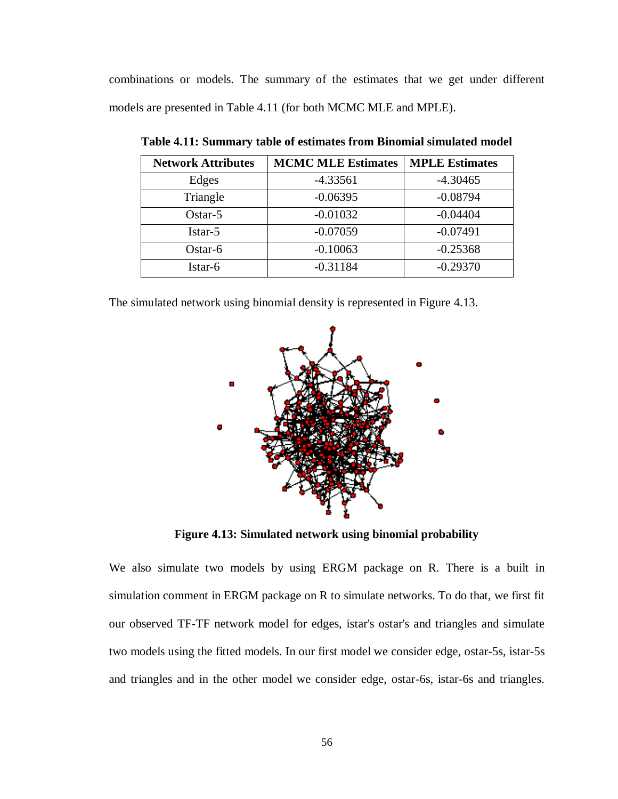combinations or models. The summary of the estimates that we get under different models are presented in Table 4.11 (for both MCMC MLE and MPLE).

| <b>Network Attributes</b> | <b>MCMC MLE Estimates</b> | <b>MPLE Estimates</b> |
|---------------------------|---------------------------|-----------------------|
| Edges                     | $-4.33561$                | $-4.30465$            |
| Triangle                  | $-0.06395$                | $-0.08794$            |
| $Ostar-5$                 | $-0.01032$                | $-0.04404$            |
| Istar-5                   | $-0.07059$                | $-0.07491$            |
| Ostar-6                   | $-0.10063$                | $-0.25368$            |
| Istar-6                   | $-0.31184$                | $-0.29370$            |

**Table 4.11: Summary table of estimates from Binomial simulated model**

The simulated network using binomial density is represented in Figure 4.13.



**Figure 4.13: Simulated network using binomial probability**

We also simulate two models by using ERGM package on R. There is a built in simulation comment in ERGM package on R to simulate networks. To do that, we first fit our observed TF-TF network model for edges, istar's ostar's and triangles and simulate two models using the fitted models. In our first model we consider edge, ostar-5s, istar-5s and triangles and in the other model we consider edge, ostar-6s, istar-6s and triangles.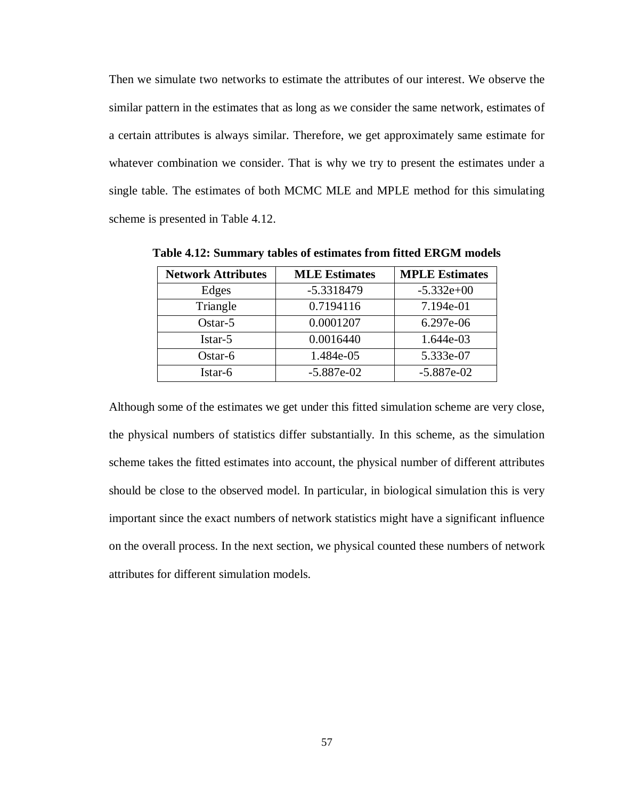Then we simulate two networks to estimate the attributes of our interest. We observe the similar pattern in the estimates that as long as we consider the same network, estimates of a certain attributes is always similar. Therefore, we get approximately same estimate for whatever combination we consider. That is why we try to present the estimates under a single table. The estimates of both MCMC MLE and MPLE method for this simulating scheme is presented in Table 4.12.

| <b>Network Attributes</b> | <b>MLE Estimates</b> | <b>MPLE Estimates</b> |
|---------------------------|----------------------|-----------------------|
| Edges                     | -5.3318479           | $-5.332e+00$          |
| Triangle                  | 0.7194116            | 7.194e-01             |
| $Ostar-5$                 | 0.0001207            | 6.297e-06             |
| Istar-5                   | 0.0016440            | 1.644e-03             |
| Ostar-6                   | 1.484e-05            | 5.333e-07             |
| Istar-6                   | $-5.887e-02$         | $-5.887e-02$          |

**Table 4.12: Summary tables of estimates from fitted ERGM models**

Although some of the estimates we get under this fitted simulation scheme are very close, the physical numbers of statistics differ substantially. In this scheme, as the simulation scheme takes the fitted estimates into account, the physical number of different attributes should be close to the observed model. In particular, in biological simulation this is very important since the exact numbers of network statistics might have a significant influence on the overall process. In the next section, we physical counted these numbers of network attributes for different simulation models.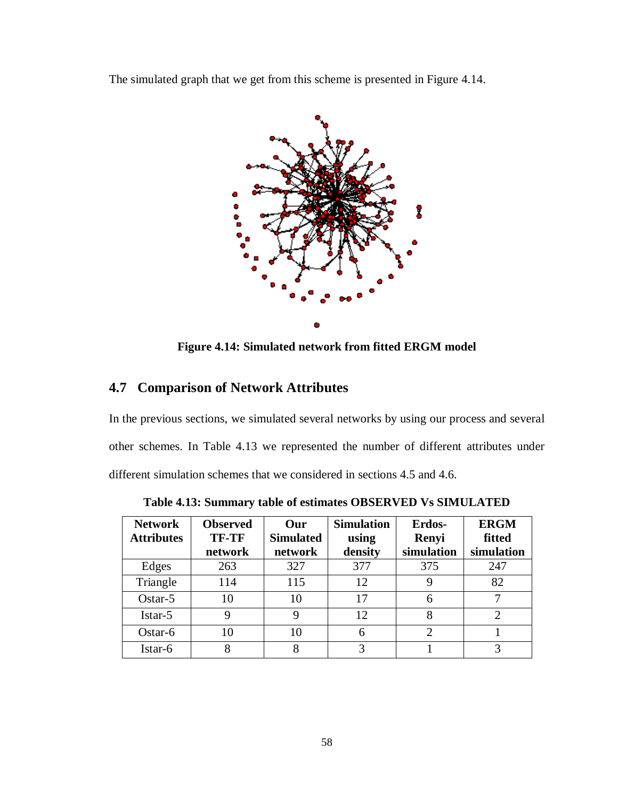The simulated graph that we get from this scheme is presented in Figure 4.14.



**Figure 4.14: Simulated network from fitted ERGM model**

### **4.7 Comparison of Network Attributes**

In the previous sections, we simulated several networks by using our process and several other schemes. In Table 4.13 we represented the number of different attributes under different simulation schemes that we considered in sections 4.5 and 4.6.

| <b>Network</b><br><b>Attributes</b> | <b>Observed</b><br><b>TF-TF</b><br>network | Our<br><b>Simulated</b><br>network | <b>Simulation</b><br>using<br>density | <b>Erdos-</b><br>Renyi<br>simulation | <b>ERGM</b><br>fitted<br>simulation |
|-------------------------------------|--------------------------------------------|------------------------------------|---------------------------------------|--------------------------------------|-------------------------------------|
| Edges                               | 263                                        | 327                                | 377                                   | 375                                  | 247                                 |
| Triangle                            | 114                                        | 115                                | 12                                    | 9                                    | 82                                  |
| $Ostar-5$                           | 10                                         | 10                                 | 17                                    | 6                                    |                                     |
| Istar-5                             | Q                                          | 9                                  | 12                                    | 8                                    | ◠                                   |
| Ostar-6                             | 10                                         | 10                                 | 6                                     | っ                                    |                                     |
| Istar-6                             | 8                                          | 8                                  | 3                                     |                                      |                                     |

**Table 4.13: Summary table of estimates OBSERVED Vs SIMULATED**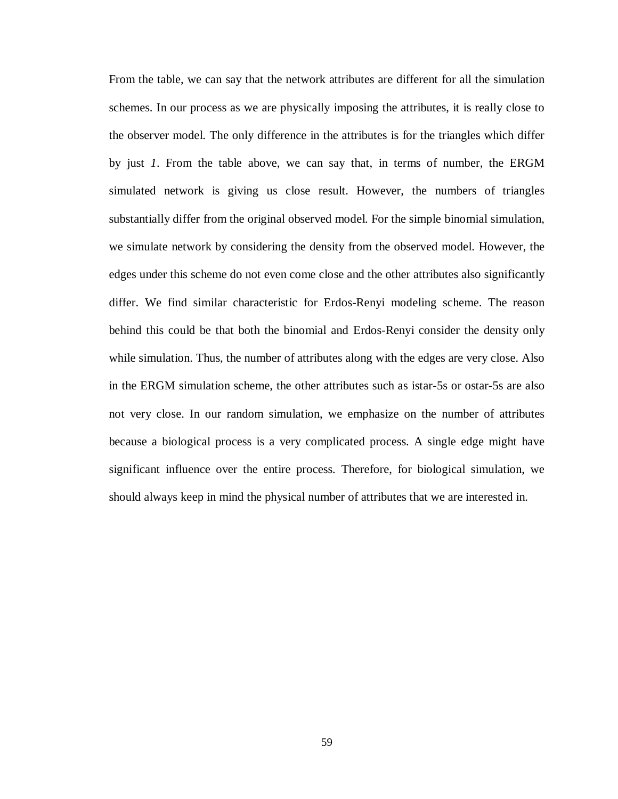From the table, we can say that the network attributes are different for all the simulation schemes. In our process as we are physically imposing the attributes, it is really close to the observer model. The only difference in the attributes is for the triangles which differ by just *1*. From the table above, we can say that, in terms of number, the ERGM simulated network is giving us close result. However, the numbers of triangles substantially differ from the original observed model. For the simple binomial simulation, we simulate network by considering the density from the observed model. However, the edges under this scheme do not even come close and the other attributes also significantly differ. We find similar characteristic for Erdos-Renyi modeling scheme. The reason behind this could be that both the binomial and Erdos-Renyi consider the density only while simulation. Thus, the number of attributes along with the edges are very close. Also in the ERGM simulation scheme, the other attributes such as istar-5s or ostar-5s are also not very close. In our random simulation, we emphasize on the number of attributes because a biological process is a very complicated process. A single edge might have significant influence over the entire process. Therefore, for biological simulation, we should always keep in mind the physical number of attributes that we are interested in.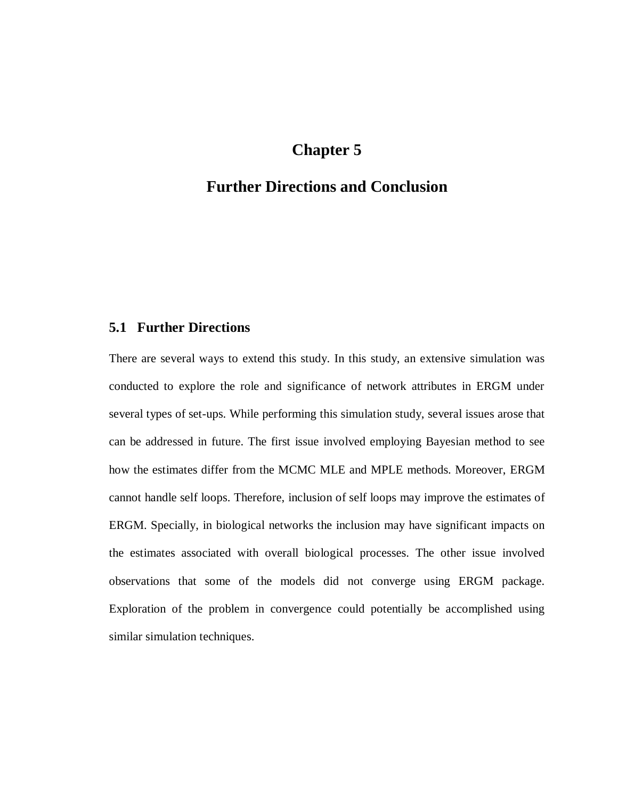# **Chapter 5**

# **Further Directions and Conclusion**

### **5.1 Further Directions**

There are several ways to extend this study. In this study, an extensive simulation was conducted to explore the role and significance of network attributes in ERGM under several types of set-ups. While performing this simulation study, several issues arose that can be addressed in future. The first issue involved employing Bayesian method to see how the estimates differ from the MCMC MLE and MPLE methods. Moreover, ERGM cannot handle self loops. Therefore, inclusion of self loops may improve the estimates of ERGM. Specially, in biological networks the inclusion may have significant impacts on the estimates associated with overall biological processes. The other issue involved observations that some of the models did not converge using ERGM package. Exploration of the problem in convergence could potentially be accomplished using similar simulation techniques.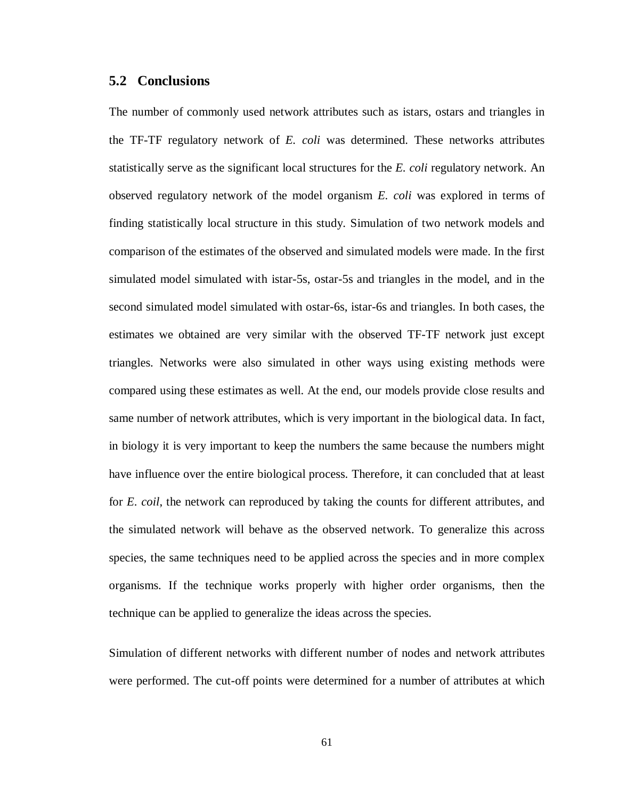#### **5.2 Conclusions**

The number of commonly used network attributes such as istars, ostars and triangles in the TF-TF regulatory network of *E. coli* was determined. These networks attributes statistically serve as the significant local structures for the *E. coli* regulatory network. An observed regulatory network of the model organism *E. coli* was explored in terms of finding statistically local structure in this study. Simulation of two network models and comparison of the estimates of the observed and simulated models were made. In the first simulated model simulated with istar-5s, ostar-5s and triangles in the model, and in the second simulated model simulated with ostar-6s, istar-6s and triangles. In both cases, the estimates we obtained are very similar with the observed TF-TF network just except triangles. Networks were also simulated in other ways using existing methods were compared using these estimates as well. At the end, our models provide close results and same number of network attributes, which is very important in the biological data. In fact, in biology it is very important to keep the numbers the same because the numbers might have influence over the entire biological process. Therefore, it can concluded that at least for *E. coil*, the network can reproduced by taking the counts for different attributes, and the simulated network will behave as the observed network. To generalize this across species, the same techniques need to be applied across the species and in more complex organisms. If the technique works properly with higher order organisms, then the technique can be applied to generalize the ideas across the species.

Simulation of different networks with different number of nodes and network attributes were performed. The cut-off points were determined for a number of attributes at which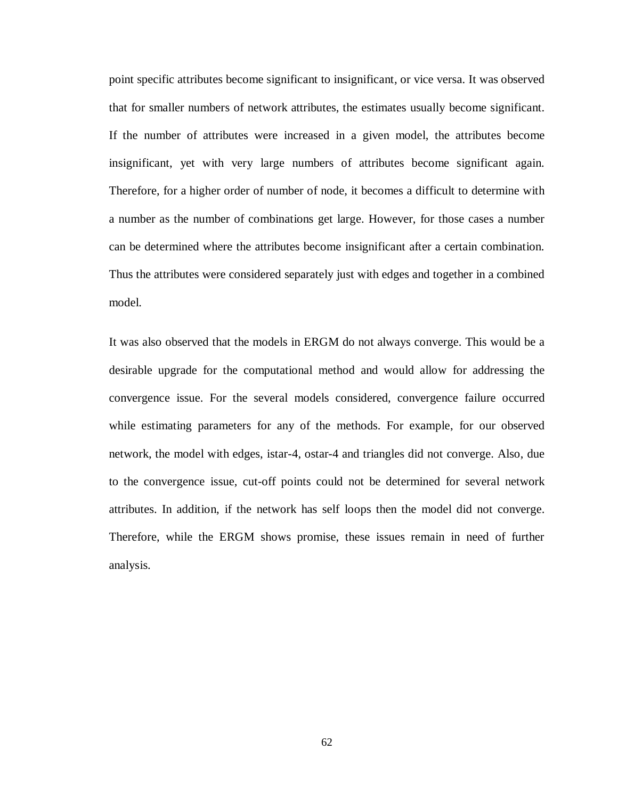point specific attributes become significant to insignificant, or vice versa. It was observed that for smaller numbers of network attributes, the estimates usually become significant. If the number of attributes were increased in a given model, the attributes become insignificant, yet with very large numbers of attributes become significant again. Therefore, for a higher order of number of node, it becomes a difficult to determine with a number as the number of combinations get large. However, for those cases a number can be determined where the attributes become insignificant after a certain combination. Thus the attributes were considered separately just with edges and together in a combined model.

It was also observed that the models in ERGM do not always converge. This would be a desirable upgrade for the computational method and would allow for addressing the convergence issue. For the several models considered, convergence failure occurred while estimating parameters for any of the methods. For example, for our observed network, the model with edges, istar-4, ostar-4 and triangles did not converge. Also, due to the convergence issue, cut-off points could not be determined for several network attributes. In addition, if the network has self loops then the model did not converge. Therefore, while the ERGM shows promise, these issues remain in need of further analysis.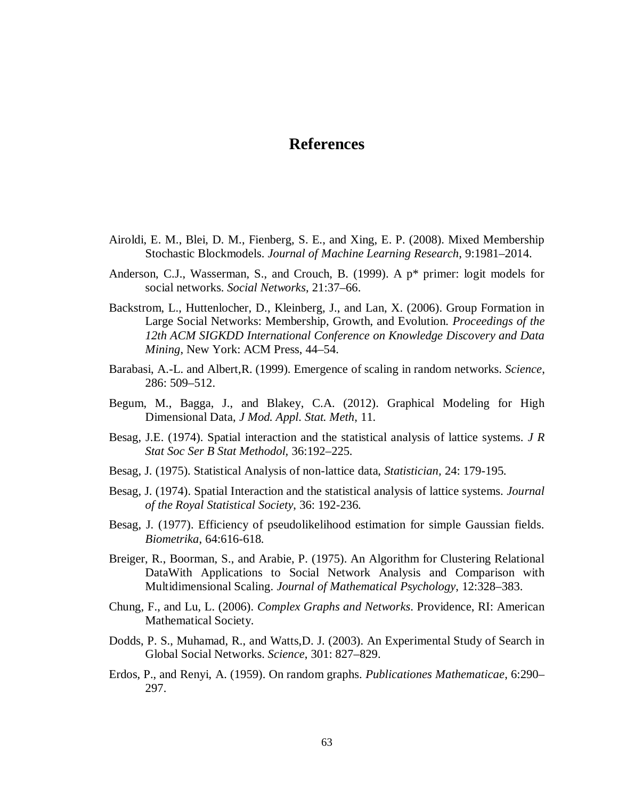### **References**

- Airoldi, E. M., Blei, D. M., Fienberg, S. E., and Xing, E. P. (2008). Mixed Membership Stochastic Blockmodels. *Journal of Machine Learning Research*, 9:1981–2014.
- Anderson, C.J., Wasserman, S., and Crouch, B. (1999). A p\* primer: logit models for social networks. *Social Networks*, 21:37–66.
- Backstrom, L., Huttenlocher, D., Kleinberg, J., and Lan, X. (2006). Group Formation in Large Social Networks: Membership, Growth, and Evolution. *Proceedings of the 12th ACM SIGKDD International Conference on Knowledge Discovery and Data Mining*, New York: ACM Press, 44–54.
- Barabasi, A.-L. and Albert,R. (1999). Emergence of scaling in random networks. *Science*, 286: 509–512.
- Begum, M., Bagga, J., and Blakey, C.A. (2012). Graphical Modeling for High Dimensional Data, *J Mod. Appl. Stat. Meth*, 11.
- Besag, J.E. (1974). Spatial interaction and the statistical analysis of lattice systems. *J R Stat Soc Ser B Stat Methodol,* 36:192–225.
- Besag, J. (1975). Statistical Analysis of non-lattice data, *Statistician,* 24: 179-195.
- Besag, J. (1974). Spatial Interaction and the statistical analysis of lattice systems. *Journal of the Royal Statistical Society*, 36: 192-236.
- Besag, J. (1977). Efficiency of pseudolikelihood estimation for simple Gaussian fields. *Biometrika*, 64:616-618.
- Breiger, R., Boorman, S., and Arabie, P. (1975). An Algorithm for Clustering Relational DataWith Applications to Social Network Analysis and Comparison with Multidimensional Scaling. *Journal of Mathematical Psychology*, 12:328–383.
- Chung, F., and Lu, L. (2006). *Complex Graphs and Networks*. Providence, RI: American Mathematical Society.
- Dodds, P. S., Muhamad, R., and Watts,D. J. (2003). An Experimental Study of Search in Global Social Networks. *Science*, 301: 827–829.
- Erdos, P., and Renyi, A. (1959). On random graphs. *Publicationes Mathematicae*, 6:290– 297.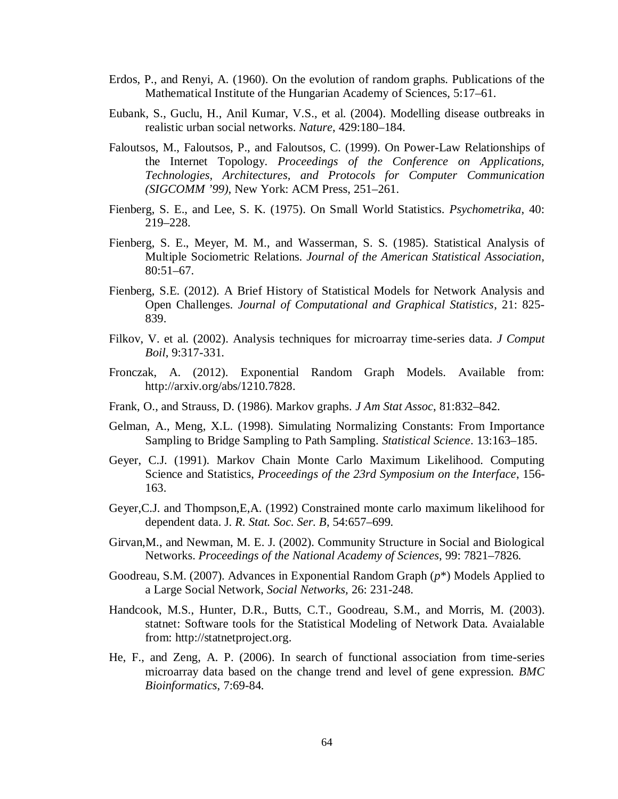- Erdos, P., and Renyi, A. (1960). On the evolution of random graphs. Publications of the Mathematical Institute of the Hungarian Academy of Sciences, 5:17–61.
- Eubank, S., Guclu, H., Anil Kumar, V.S., et al. (2004). Modelling disease outbreaks in realistic urban social networks. *Nature*, 429:180–184.
- Faloutsos, M., Faloutsos, P., and Faloutsos, C. (1999). On Power-Law Relationships of the Internet Topology. *Proceedings of the Conference on Applications, Technologies, Architectures, and Protocols for Computer Communication (SIGCOMM '99)*, New York: ACM Press, 251–261.
- Fienberg, S. E., and Lee, S. K. (1975). On Small World Statistics. *Psychometrika*, 40: 219–228.
- Fienberg, S. E., Meyer, M. M., and Wasserman, S. S. (1985). Statistical Analysis of Multiple Sociometric Relations. *Journal of the American Statistical Association*, 80:51–67.
- Fienberg, S.E. (2012). A Brief History of Statistical Models for Network Analysis and Open Challenges. *Journal of Computational and Graphical Statistics*, 21: 825- 839.
- Filkov, V. et al. (2002). Analysis techniques for microarray time-series data. *J Comput Boil*, 9:317-331.
- Fronczak, A. (2012). Exponential Random Graph Models. Available from: http://arxiv.org/abs/1210.7828.
- Frank, O., and Strauss, D. (1986). Markov graphs. *J Am Stat Assoc*, 81:832–842.
- Gelman, A., Meng, X.L. (1998). Simulating Normalizing Constants: From Importance Sampling to Bridge Sampling to Path Sampling. *Statistical Science*. 13:163–185.
- Geyer, C.J. (1991). Markov Chain Monte Carlo Maximum Likelihood. Computing Science and Statistics, *Proceedings of the 23rd Symposium on the Interface*, 156- 163.
- Geyer,C.J. and Thompson,E,A. (1992) Constrained monte carlo maximum likelihood for dependent data. J*. R. Stat. Soc. Ser. B*, 54:657–699.
- Girvan,M., and Newman, M. E. J. (2002). Community Structure in Social and Biological Networks. *Proceedings of the National Academy of Sciences*, 99: 7821–7826.
- Goodreau, S.M. (2007). Advances in Exponential Random Graph (*p*\*) Models Applied to a Large Social Network, *Social Networks,* 26: 231-248.
- Handcook, M.S., Hunter, D.R., Butts, C.T., Goodreau, S.M., and Morris, M. (2003). statnet: Software tools for the Statistical Modeling of Network Data. Avaialable from: http://statnetproject.org.
- He, F., and Zeng, A. P. (2006). In search of functional association from time-series microarray data based on the change trend and level of gene expression. *BMC Bioinformatics*, 7:69-84.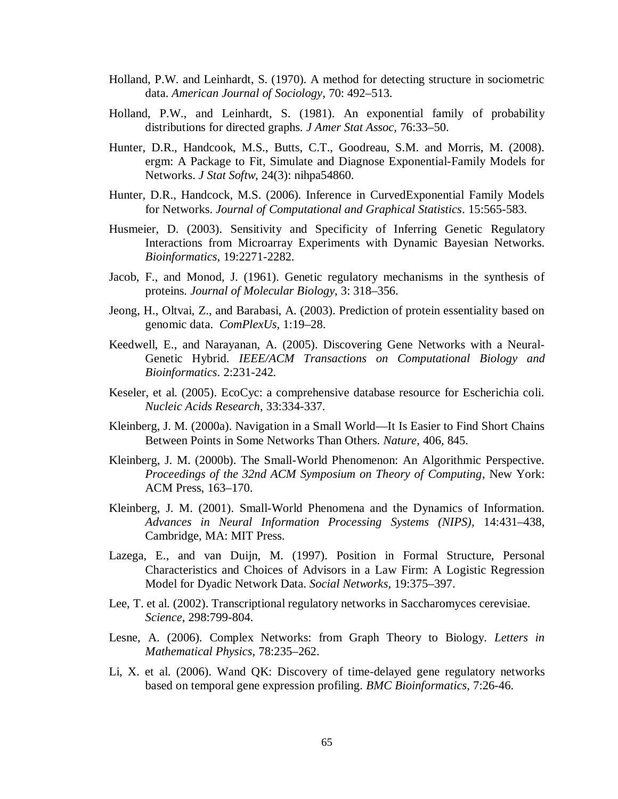- Holland, P.W. and Leinhardt, S. (1970). A method for detecting structure in sociometric data. *American Journal of Sociology*, 70: 492–513.
- Holland, P.W., and Leinhardt, S. (1981). An exponential family of probability distributions for directed graphs. *J Amer Stat Assoc,* 76:33–50.
- Hunter, D.R., Handcook, M.S., Butts, C.T., Goodreau, S.M. and Morris, M. (2008). ergm: A Package to Fit, Simulate and Diagnose Exponential-Family Models for Networks. *J Stat Softw*, 24(3): nihpa54860.
- Hunter, D.R., Handcock, M.S. (2006). Inference in CurvedExponential Family Models for Networks. *Journal of Computational and Graphical Statistics*. 15:565-583.
- Husmeier, D. (2003). Sensitivity and Specificity of Inferring Genetic Regulatory Interactions from Microarray Experiments with Dynamic Bayesian Networks. *Bioinformatics*, 19:2271-2282.
- Jacob, F., and Monod, J. (1961). Genetic regulatory mechanisms in the synthesis of proteins. *Journal of Molecular Biology*, 3: 318–356.
- Jeong, H., Oltvai, Z., and Barabasi, A. (2003). Prediction of protein essentiality based on genomic data. *ComPlexUs*, 1:19–28.
- Keedwell, E., and Narayanan, A. (2005). Discovering Gene Networks with a Neural-Genetic Hybrid. *IEEE/ACM Transactions on Computational Biology and Bioinformatics*. 2:231-242.
- Keseler, et al. (2005). EcoCyc: a comprehensive database resource for Escherichia coli*. Nucleic Acids Research*, 33:334-337.
- Kleinberg, J. M. (2000a). Navigation in a Small World—It Is Easier to Find Short Chains Between Points in Some Networks Than Others. *Nature*, 406, 845.
- Kleinberg, J. M. (2000b). The Small-World Phenomenon: An Algorithmic Perspective. *Proceedings of the 32nd ACM Symposium on Theory of Computing*, New York: ACM Press, 163–170.
- Kleinberg, J. M. (2001). Small-World Phenomena and the Dynamics of Information. *Advances in Neural Information Processing Systems (NIPS),* 14:431–438, Cambridge, MA: MIT Press.
- Lazega, E., and van Duijn, M. (1997). Position in Formal Structure, Personal Characteristics and Choices of Advisors in a Law Firm: A Logistic Regression Model for Dyadic Network Data. *Social Networks*, 19:375–397.
- Lee, T. et al. (2002). Transcriptional regulatory networks in Saccharomyces cerevisiae. *Science*, 298:799-804.
- Lesne, A. (2006). Complex Networks: from Graph Theory to Biology. *Letters in Mathematical Physics*, 78:235–262.
- Li, X. et al. (2006). Wand QK: Discovery of time-delayed gene regulatory networks based on temporal gene expression profiling. *BMC Bioinformatics*, 7:26-46.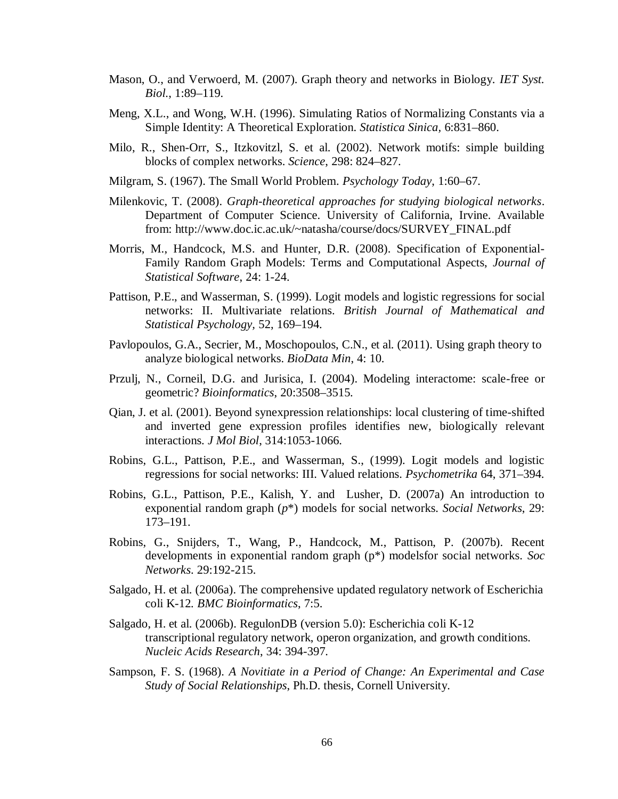- Mason, O., and Verwoerd, M. (2007). Graph theory and networks in Biology. *IET Syst. Biol.*, 1:89–119.
- Meng, X.L., and Wong, W.H. (1996). Simulating Ratios of Normalizing Constants via a Simple Identity: A Theoretical Exploration. *Statistica Sinica,* 6:831–860.
- Milo, R., Shen-Orr, S., Itzkovitzl, S. et al. (2002). Network motifs: simple building blocks of complex networks. *Science*, 298: 824–827.
- Milgram, S. (1967). The Small World Problem. *Psychology Today*, 1:60–67.
- Milenkovic, T. (2008). *Graph-theoretical approaches for studying biological networks*. Department of Computer Science. University of California, Irvine. Available from: http://www.doc.ic.ac.uk/~natasha/course/docs/SURVEY\_FINAL.pdf
- Morris, M., Handcock, M.S. and Hunter, D.R. (2008). Specification of Exponential-Family Random Graph Models: Terms and Computational Aspects, *Journal of Statistical Software*, 24: 1-24.
- Pattison, P.E., and Wasserman, S. (1999). Logit models and logistic regressions for social networks: II. Multivariate relations. *British Journal of Mathematical and Statistical Psychology,* 52, 169–194.
- Pavlopoulos, G.A., Secrier, M., Moschopoulos, C.N., et al. (2011). Using graph theory to analyze biological networks. *BioData Min*, 4: 10.
- Przulj, N., Corneil, D.G. and Jurisica, I. (2004). Modeling interactome: scale-free or geometric? *Bioinformatics*, 20:3508–3515.
- Qian, J. et al. (2001). Beyond synexpression relationships: local clustering of time-shifted and inverted gene expression profiles identifies new, biologically relevant interactions. *J Mol Biol*, 314:1053-1066.
- Robins, G.L., Pattison, P.E., and Wasserman, S., (1999). Logit models and logistic regressions for social networks: III. Valued relations. *Psychometrika* 64, 371–394.
- Robins, G.L., Pattison, P.E., Kalish, Y. and Lusher, D. (2007a) An introduction to exponential random graph (*p*\*) models for social networks. *Social Networks*, 29: 173–191.
- Robins, G., Snijders, T., Wang, P., Handcock, M., Pattison, P. (2007b). Recent developments in exponential random graph (p\*) modelsfor social networks. *Soc Networks*. 29:192-215.
- Salgado, H. et al. (2006a). The comprehensive updated regulatory network of Escherichia coli K-12*. BMC Bioinformatics*, 7:5.
- Salgado, H. et al. (2006b). RegulonDB (version 5.0): Escherichia coli K-12 transcriptional regulatory network, operon organization, and growth conditions. *Nucleic Acids Research*, 34: 394-397.
- Sampson, F. S. (1968). *A Novitiate in a Period of Change: An Experimental and Case Study of Social Relationships*, Ph.D. thesis, Cornell University.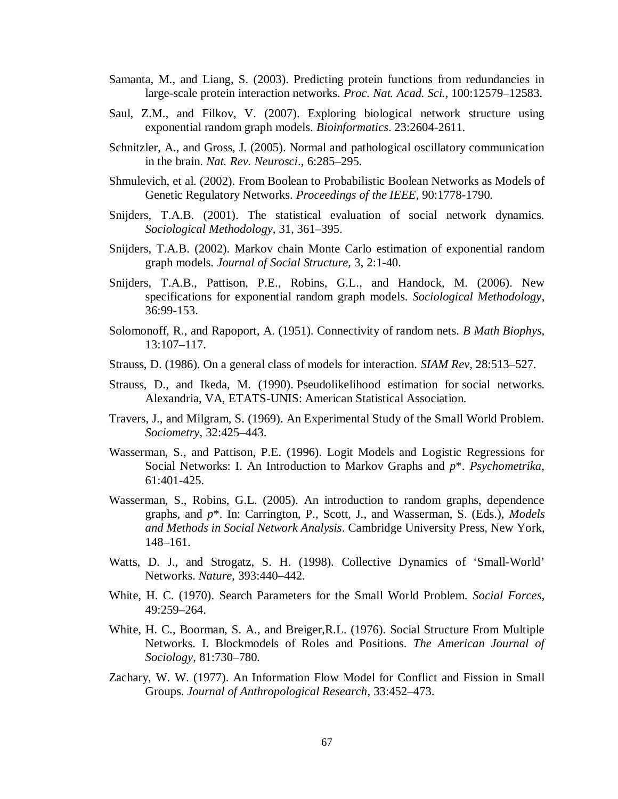- Samanta, M., and Liang, S. (2003). Predicting protein functions from redundancies in large-scale protein interaction networks. *Proc. Nat. Acad. Sci.,* 100:12579–12583.
- Saul, Z.M., and Filkov, V. (2007). Exploring biological network structure using exponential random graph models. *Bioinformatics*. 23:2604-2611.
- Schnitzler, A., and Gross, J. (2005). Normal and pathological oscillatory communication in the brain. *Nat. Rev. Neurosci*., 6:285–295.
- Shmulevich, et al. (2002). From Boolean to Probabilistic Boolean Networks as Models of Genetic Regulatory Networks. *Proceedings of the IEEE*, 90:1778-1790.
- Snijders, T.A.B. (2001). The statistical evaluation of social network dynamics. *Sociological Methodology,* 31, 361–395.
- Snijders, T.A.B. (2002). Markov chain Monte Carlo estimation of exponential random graph models. *Journal of Social Structure,* 3, 2:1-40.
- Snijders, T.A.B., Pattison, P.E., Robins, G.L., and Handock, M. (2006). New specifications for exponential random graph models. *Sociological Methodology*, 36:99-153.
- Solomonoff, R., and Rapoport, A. (1951). Connectivity of random nets. *B Math Biophys,* 13:107–117.
- Strauss, D. (1986). On a general class of models for interaction. *SIAM Rev,* 28:513–527.
- Strauss, D., and Ikeda, M. (1990). Pseudolikelihood estimation for social networks. Alexandria, VA, ETATS-UNIS: American Statistical Association.
- Travers, J., and Milgram, S. (1969). An Experimental Study of the Small World Problem. *Sociometry*, 32:425–443.
- Wasserman, S., and Pattison, P.E. (1996). Logit Models and Logistic Regressions for Social Networks: I. An Introduction to Markov Graphs and *p*\*. *Psychometrika*, 61:401-425.
- Wasserman, S., Robins, G.L. (2005). An introduction to random graphs, dependence graphs, and *p*\*. In: Carrington, P., Scott, J., and Wasserman, S. (Eds.), *Models and Methods in Social Network Analysis*. Cambridge University Press, New York, 148–161.
- Watts, D. J., and Strogatz, S. H. (1998). Collective Dynamics of 'Small-World' Networks. *Nature*, 393:440–442.
- White, H. C. (1970). Search Parameters for the Small World Problem. *Social Forces*, 49:259–264.
- White, H. C., Boorman, S. A., and Breiger,R.L. (1976). Social Structure From Multiple Networks. I. Blockmodels of Roles and Positions. *The American Journal of Sociology*, 81:730–780.
- Zachary, W. W. (1977). An Information Flow Model for Conflict and Fission in Small Groups. *Journal of Anthropological Research*, 33:452–473.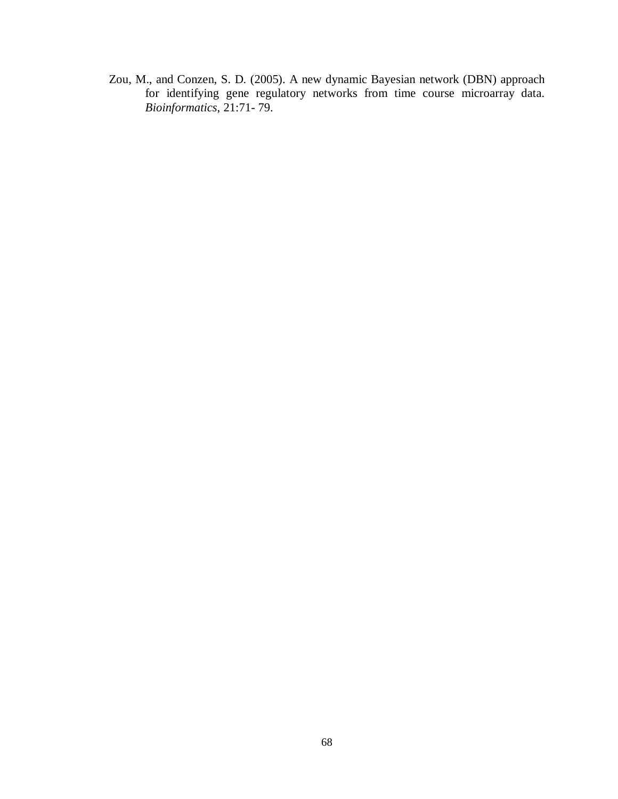Zou, M., and Conzen, S. D. (2005). A new dynamic Bayesian network (DBN) approach for identifying gene regulatory networks from time course microarray data. *Bioinformatics*, 21:71- 79.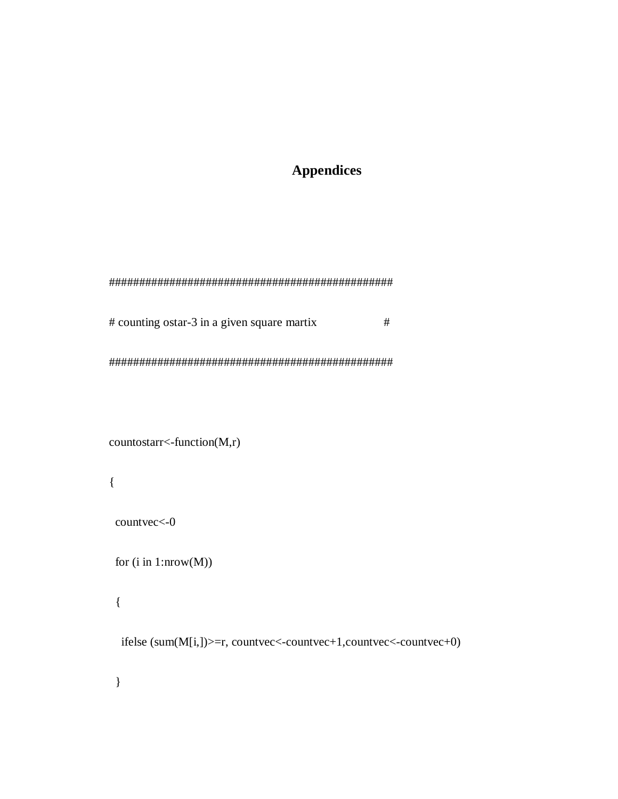## **Appendices**

# counting ostar-3 in a given square martix  $\#$ 

 $countostarr <$ -function(M,r)

 $\{$ 

countvec<-0

for  $(i$  in 1:nrow $(M))$ 

 $\{$ 

ifelse  $(sum(M[i,])>=r, countvec<-countvec+1, countvec--countvec+0)$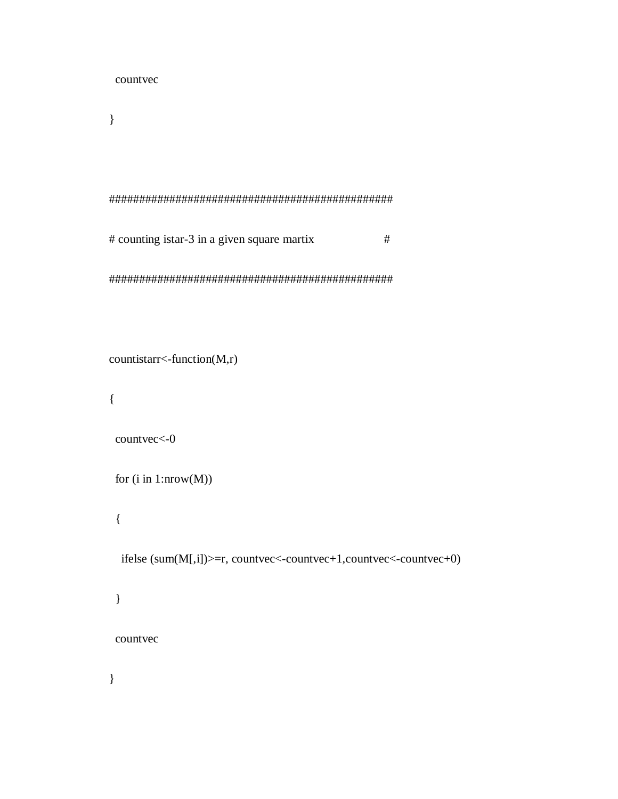countvec

 $\}$ 

# counting istar-3 in a given square martix  $\#$ 

```
countistar <-function(M,r)
```
 $\{$ 

```
countvec<-0
```

```
for (i in 1:nrow(M))
```
 $\{$ 

```
ifelse (sum(M[,i])>=r, countvec<-countvec+1, countvec<-countvec+0)
```
 $\}$ 

countvec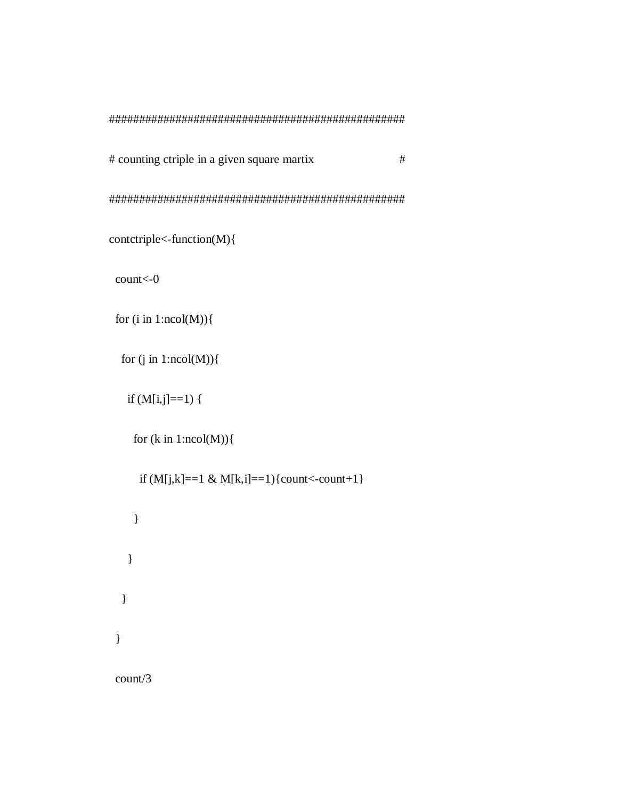# counting ctriple in a given square martix #

#################################################

```
contctriple<-function(M){
```
count<-0

```
for (i in 1:ncol(M)) {
```

```
for (j in 1:ncol(M)) {
```

```
if (M[i,j]=-1) {
```

```
for (k \in \{1:n\} \cap \text{col}(M))
```

```
if (M[i,k]=-1 \& M[k,i]=-1 {count<-count+1}
     }
   }
  }
 }
 count/3
```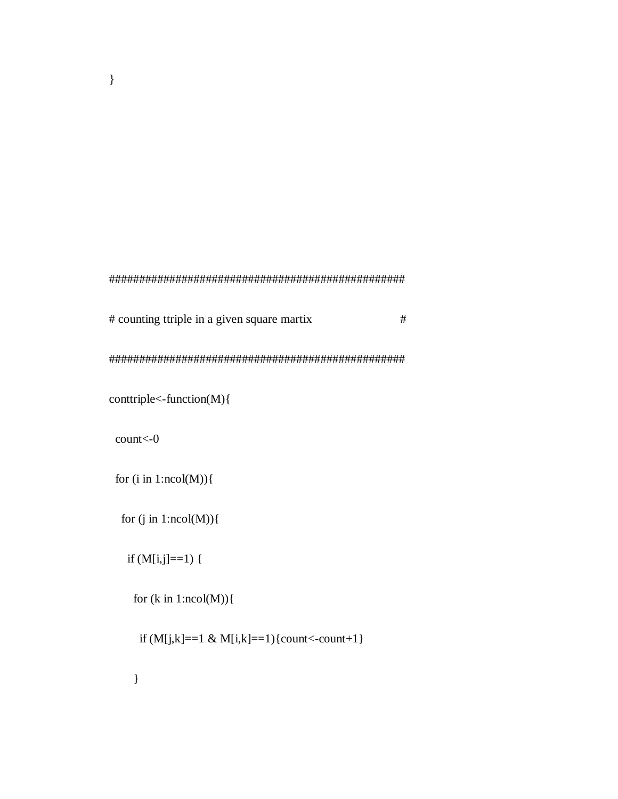## #################################################

# counting ttriple in a given square martix #

#################################################

conttriple<-function(M){

count<-0

for  $(i$  in  $1:ncol(M))$ 

for  $(j$  in  $1:ncol(M))$  {

if  $(M[i,j]=-1)$  {

for  $(k \in \{1:n\} \cap \text{col}(M))$ 

if  $(M[j,k]=-1 \& M[i,k]=-1){\text{count}}-count+1$ 

}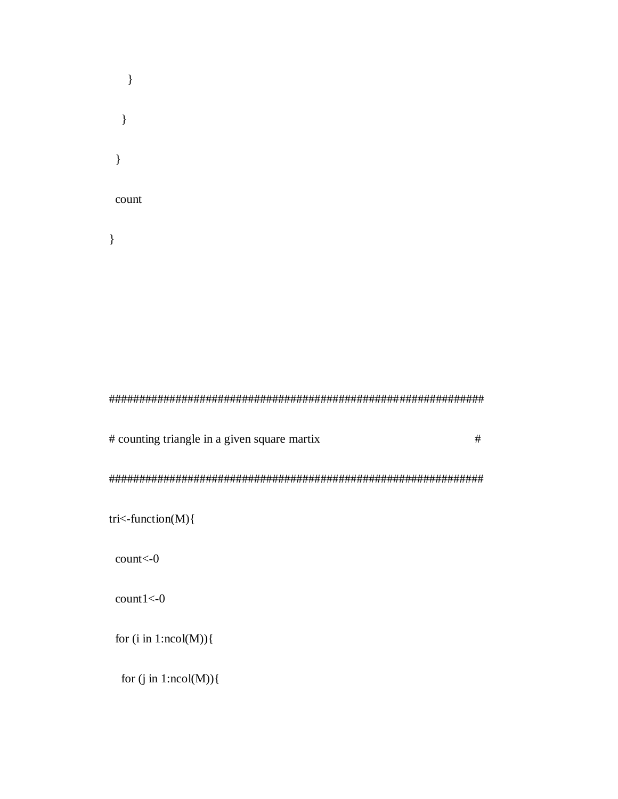$\}$  $\}$  $\}$ count  $\}$ 

# counting triangle in a given square martix  $\#$ 

tri<-function(M){

 $count<0$ 

 $count1<0$ 

for  $(i$  in  $1:ncol(M))$  {

for  $(j$  in 1:ncol(M)) $\{$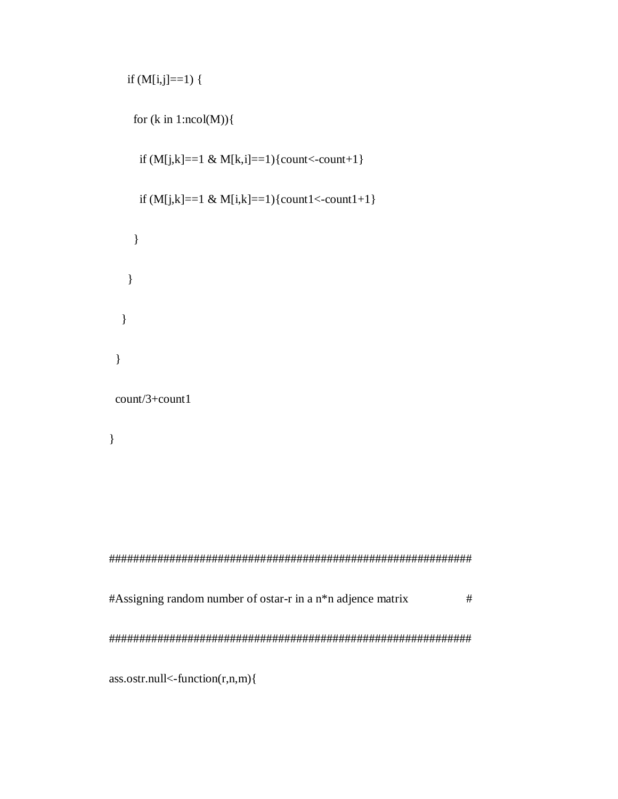```
if (M[i,j]=1) {
```

```
for (k \in \{1:ncol(M))\}if (M[j,k]=-1 \& M[k,i]=-1){count<-count+1}
   if (M[i,k]=-1 \& M[i,k]=-1){count1<-count1+1}
   \}\overline{\mathbf{r}}\left\{ \right\}\}count/3+count1
\}#Assigning random number of ostar-r in a n*n adjence matrix
```
 $\#$ 

 $ass.$ ostr.null<-function $(r, n, m)$ {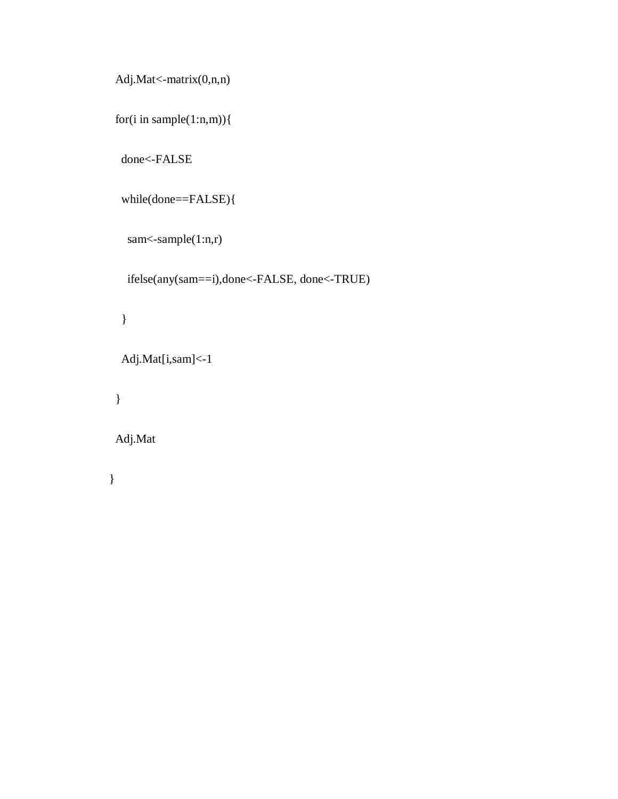```
 Adj.Mat<-matrix(0,n,n)
```

```
 for(i in sample(1:n,m)){
```
done<-FALSE

```
 while(done==FALSE){
```

```
sam<-sample(1:n,r)
```

```
 ifelse(any(sam==i),done<-FALSE, done<-TRUE)
```

```
 }
```

```
 Adj.Mat[i,sam]<-1
```

```
 }
```

```
 Adj.Mat
```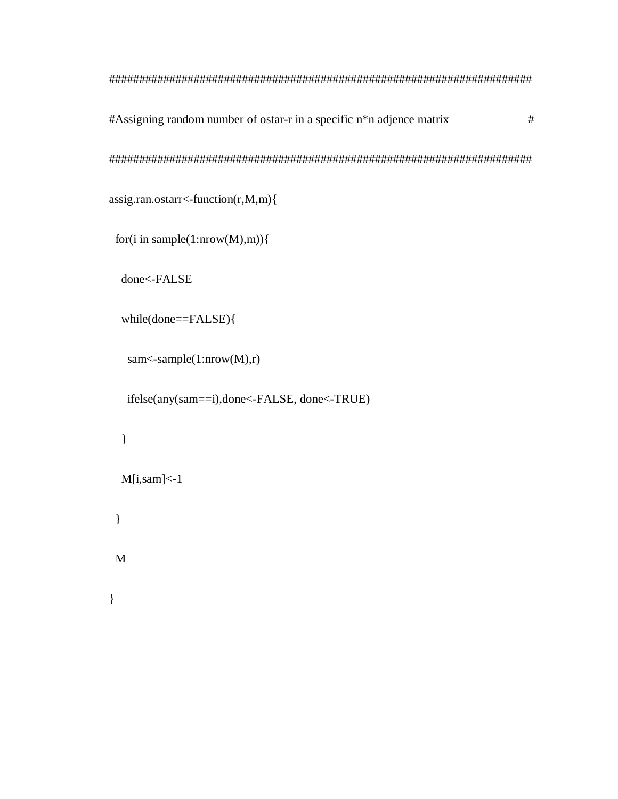#Assigning random number of ostar-r in a specific n\*n adjence matrix  $#$  $assign. on. of a  $r$  -function( $r$ ,  $M$ ,  $m$ )\{$ for(i in sample(1:nrow(M),m)){ done<-FALSE  $while(done==FALSE)$ {

```
sam<-sample(1: nrow(M), r)
```
ifelse(any(sam==i),done<-FALSE, done<-TRUE)

```
\}M[i,sam]<-1\}
```
 $\mathbf{M}$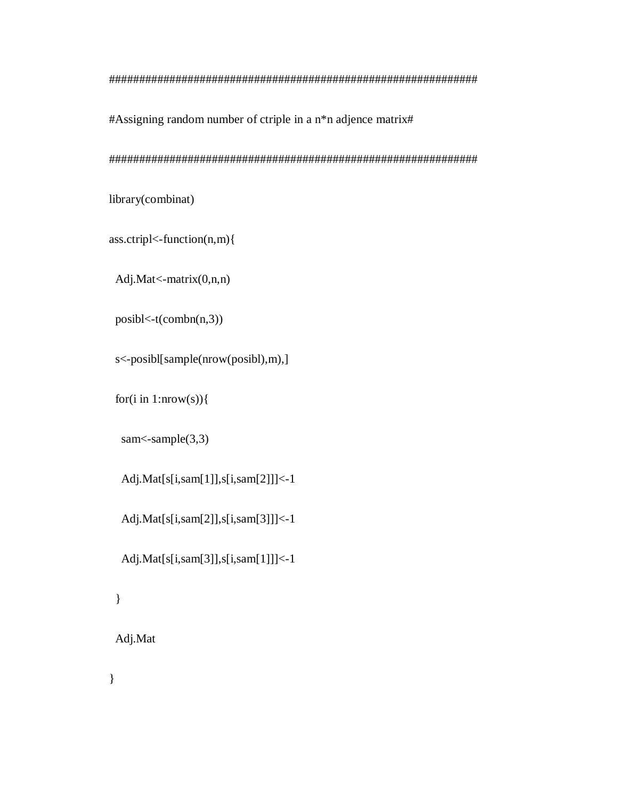## #############################################################

#Assigning random number of ctriple in a n\*n adjence matrix#

#############################################################

library(combinat)

ass.ctripl<-function(n,m){

Adj.Mat<-matrix(0,n,n)

posibl<-t(combn(n,3))

s<-posibl[sample(nrow(posibl),m),]

for(i in 1:nrow(s)) $\{$ 

sam<-sample(3,3)

Adj.Mat[s[i,sam[1]],s[i,sam[2]]]<-1

Adj.Mat[s[i,sam[2]],s[i,sam[3]]]<-1

Adj.Mat[s[i,sam[3]],s[i,sam[1]]]<-1

}

Adj.Mat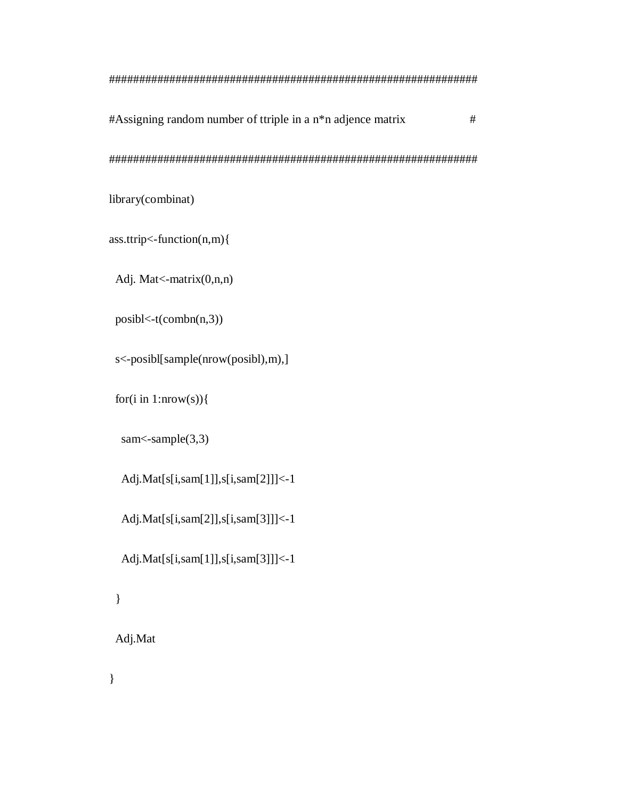$\#$ Assigning random number of ttriple in a n<sup>\*</sup>n adjence matrix  $\#$ ############################################################# library(combinat)

ass.ttrip<-function(n,m){

Adj. Mat<-matrix(0,n,n)

posibl<-t(combn(n,3))

s<-posibl[sample(nrow(posibl),m),]

for(i in 1:nrow(s)) $\{$ 

sam<-sample(3,3)

Adj.Mat[s[i,sam[1]],s[i,sam[2]]]<-1

Adj.Mat[s[i,sam[2]],s[i,sam[3]]]<-1

Adj.Mat[s[i,sam[1]],s[i,sam[3]]]<-1

}

Adj.Mat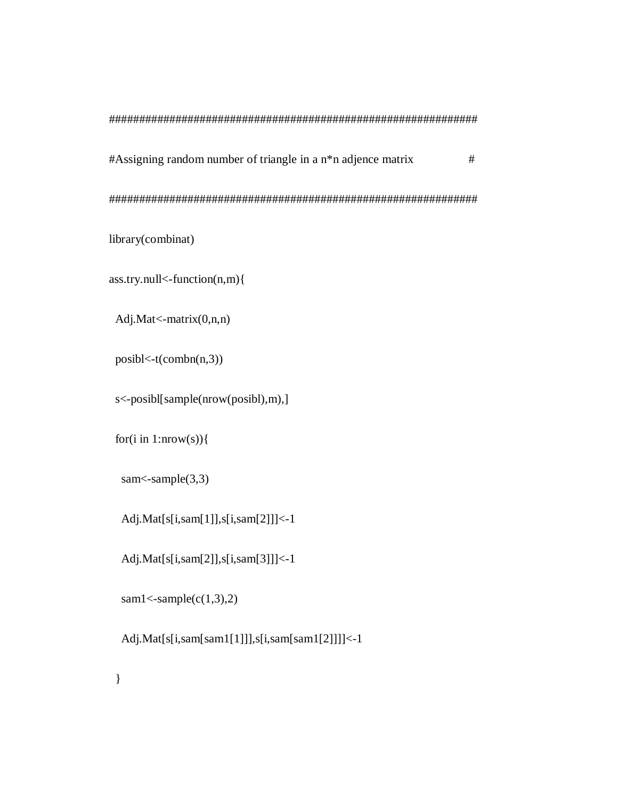| $#Assigning random number of triangle in a n*n adience matrix$ | # |
|----------------------------------------------------------------|---|
|                                                                |   |

library(combinat)

ass.try.null<-function(n,m){

Adj.Mat<-matrix(0,n,n)

posibl<-t(combn(n,3))

s<-posibl[sample(nrow(posibl),m),]

for(i in  $1:uvw(s)$ ){

sam $\leq$ -sample(3,3)

Adj.Mat[s[i,sam[1]],s[i,sam[2]]]<-1

Adj.Mat[s[i,sam[2]],s[i,sam[3]]]<-1

 $sam1$ 

}

Adj.Mat[s[i,sam[sam1[1]]],s[i,sam[sam1[2]]]]<-1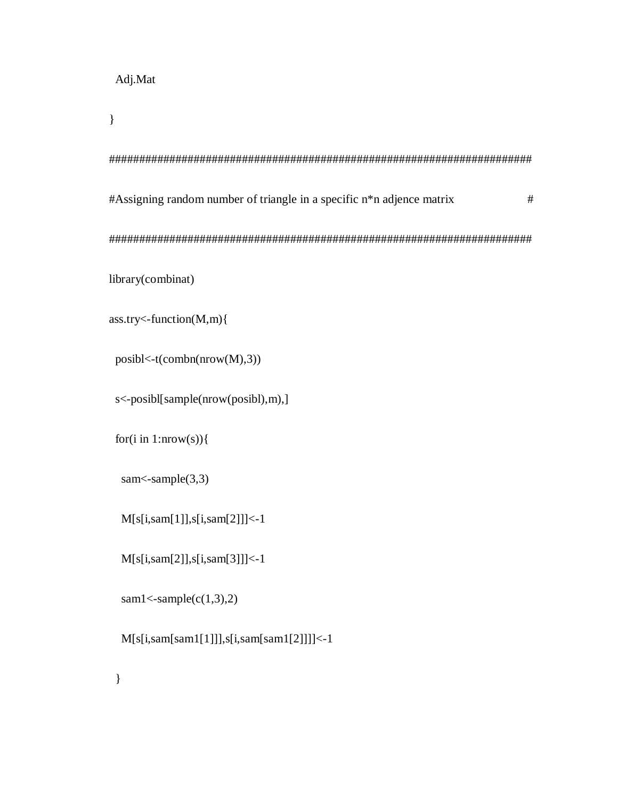$\}$ 

```
#Assigning random number of triangle in a specific n*n adjence matrix
                                     \#library(combinat)
ass.try<-function(M,m){
posibl < t(combn(nrow(M),3))
```
s<-posibl[sample(nrow(posibl),m),]

for(i in 1:nrow(s)){

sam<br/> $\leq$ sample $(3,3)$ 

 $M[s[i,sam[1]], s[i,sam[2]]] < -1$ 

 $M[s[i,sam[2]], s[i,sam[3]]] < -1$ 

 $sam1<-sample(c(1,3),2)$ 

 $M[s[i,sam[sam1[1]]],s[i,sam[sam1[2]]]]$  <-1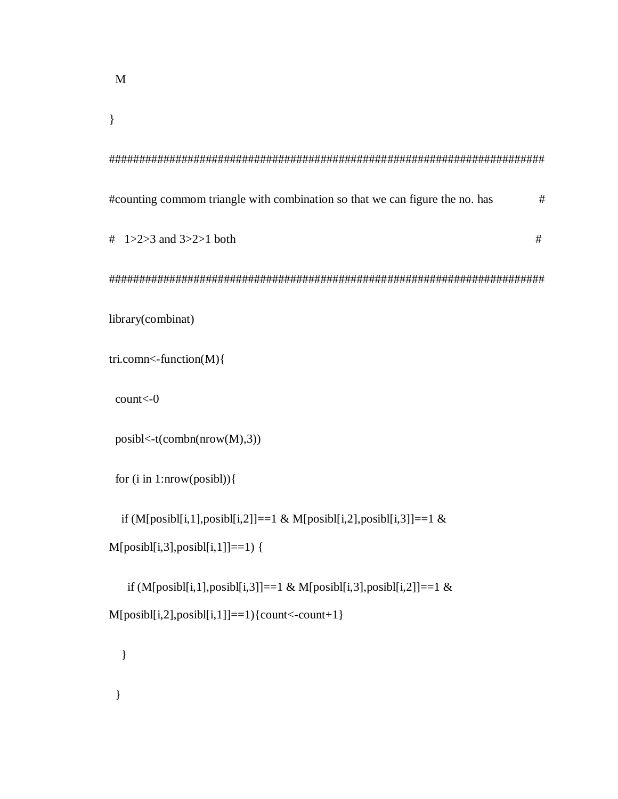$\}$ 

| #counting commom triangle with combination so that we can figure the no. has | # |
|------------------------------------------------------------------------------|---|
| # $1 > 2 > 3$ and $3 > 2 > 1$ both                                           | # |
|                                                                              |   |
| library(combinat)                                                            |   |
| tri.comn<-function(M){                                                       |   |
| count<0                                                                      |   |
| posibl < t(combn(nrow(M),3))                                                 |   |
| for $(i$ in 1:nrow(posibl)) $\{$                                             |   |
| if (M[posibl[i,1],posibl[i,2]]==1 & M[posibl[i,2],posibl[i,3]]==1 &          |   |
| $M[posib1[i,3], posib1[i,1]] == 1)$ {                                        |   |
| if (M[posibl[i,1],posibl[i,3]]==1 & M[posibl[i,3],posibl[i,2]]==1 &          |   |

```
M[posib][i,2], posib][i,1] = 1){\text{count}<-count+1}
```
 $\hspace{0.1cm}\}$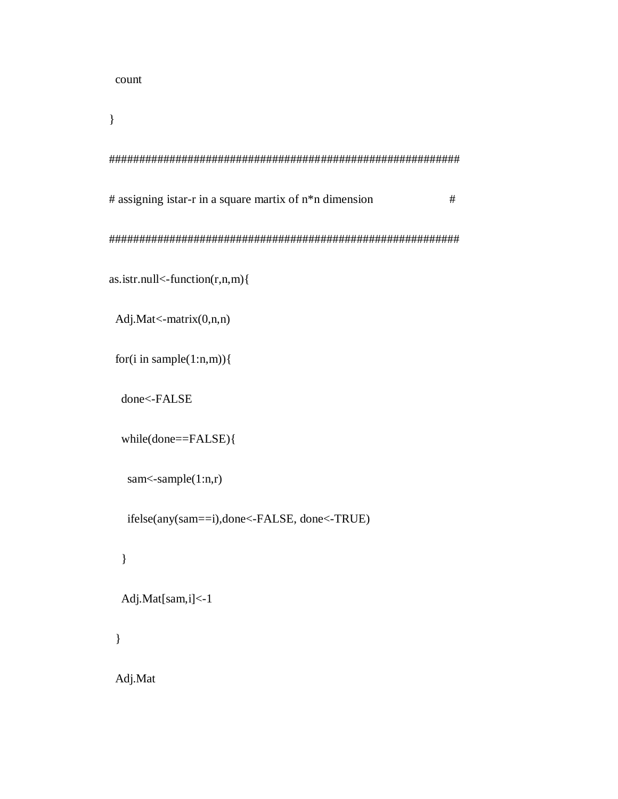count

 $\}$ 

```
# assigning istar-r in a square martix of n * n dimension
                                               \#as. \text{istr}.\text{null} < \text{-function}(r, n, m)Adj.Mat<-matrix(0,n,n)
for(i in sample(1:n,m)){
 done<-FALSE
 while(done==FALSE){
  sam <-sample(1:n,r)ifelse(any(sam==i),done<-FALSE, done<-TRUE)
 \}Adj.Mat[sam,i]<-1
```
 $\}$ 

Adj.Mat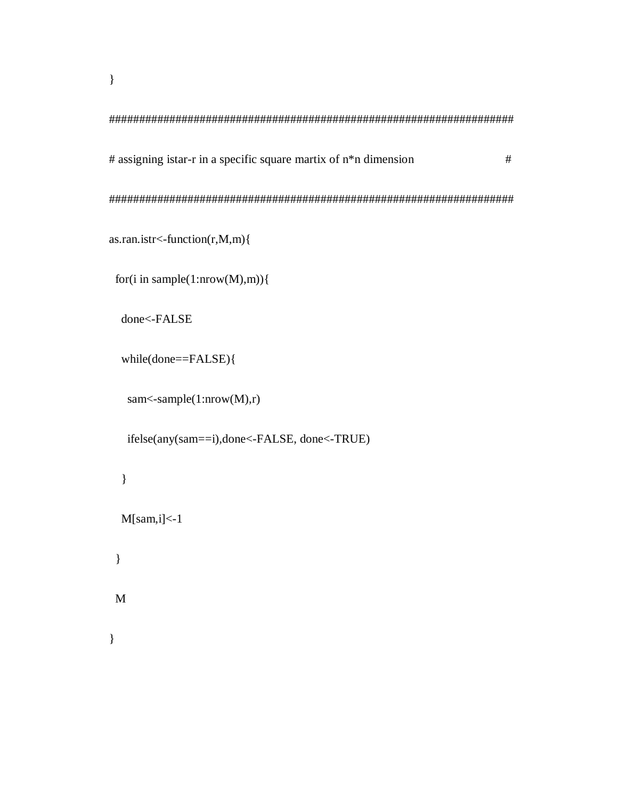$\left\{ \right\}$ 

# assigning istar-r in a specific square martix of n\*n dimension  $\#$ 

as.ran.istr<-function(r,M,m){

for(i in sample(1:nrow(M),m)){

done<-FALSE

```
while(done==FALSE){
```
sam<-sample(1:nrow(M),r)

```
ifelse(any(sam==i),done<-FALSE, done<-TRUE)
```

```
\overline{\phantom{a}}M[sam, i] < -1\}\mathbf{M}
```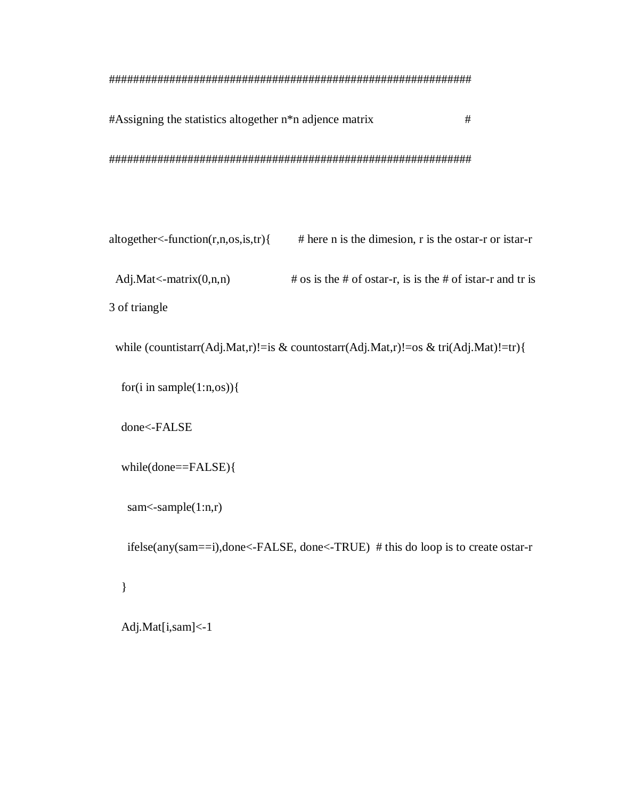```
#Assigning the statistics altogether n*n adjence matrix
                               #
```

```
altogether \leq-function(r, n, os, is, tr)# here n is the dimesion, r is the ostar-r or istar-r
 Adj.Mat < -matrix(0, n, n)\# os is the \# of ostar-r, is is the \# of istar-r and tr is
3 of triangle
```
while (countistarr(Adj.Mat,r)!=is & countostarr(Adj.Mat,r)!=os & tri(Adj.Mat)!=tr){

for(i in sample $(1:n, os)$ ){

done<-FALSE

```
while(done = <b>FALSE</b>)
```
sam $\leq$ -sample $(1:n,r)$ 

ifelse(any(sam==i),done<-FALSE, done<-TRUE) # this do loop is to create ostar-r

 $\}$ 

Adj.Mat[i,sam]<-1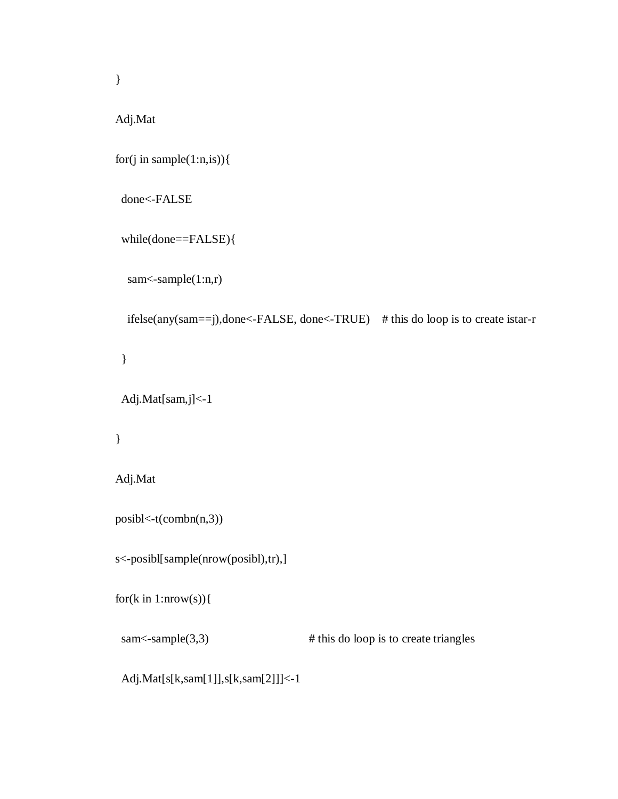Adj.Mat

```
 for(j in sample(1:n,is)){
```

```
 done<-FALSE
```

```
 while(done==FALSE){
```

```
sam<-sample(1:n,r)
```

```
 ifelse(any(sam==j),done<-FALSE, done<-TRUE) # this do loop is to create istar-r
```
}

```
 Adj.Mat[sam,j]<-1
```

```
 }
```

```
 Adj.Mat
```

```
 posibl<-t(combn(n,3))
```

```
 s<-posibl[sample(nrow(posibl),tr),]
```

```
for(k in 1:nrow(s)){
```
sam<-sample(3,3)  $\qquad$  # this do loop is to create triangles

Adj.Mat[s[k,sam[1]],s[k,sam[2]]]<-1